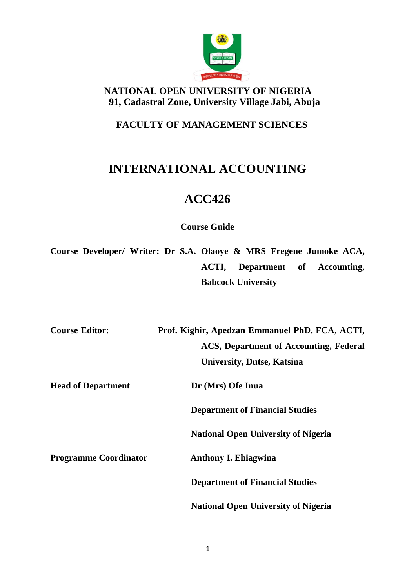

# **NATIONAL OPEN UNIVERSITY OF NIGERIA 91, Cadastral Zone, University Village Jabi, Abuja**

## **FACULTY OF MANAGEMENT SCIENCES**

# **INTERNATIONAL ACCOUNTING**

# **ACC426**

**Course Guide**

**Course Developer/ Writer: Dr S.A. Olaoye & MRS Fregene Jumoke ACA, ACTI, Department of Accounting, Babcock University**

| <b>Course Editor:</b>        | Prof. Kighir, Apedzan Emmanuel PhD, FCA, ACTI, |
|------------------------------|------------------------------------------------|
|                              | <b>ACS, Department of Accounting, Federal</b>  |
|                              | <b>University, Dutse, Katsina</b>              |
| <b>Head of Department</b>    | Dr (Mrs) Ofe Inua                              |
|                              | <b>Department of Financial Studies</b>         |
|                              | <b>National Open University of Nigeria</b>     |
| <b>Programme Coordinator</b> | <b>Anthony I. Ehiagwina</b>                    |
|                              | <b>Department of Financial Studies</b>         |
|                              | <b>National Open University of Nigeria</b>     |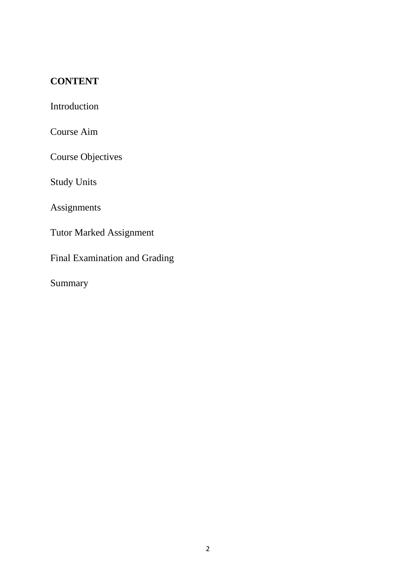# **CONTENT**

Introduction

Course Aim

Course Objectives

Study Units

Assignments

Tutor Marked Assignment

Final Examination and Grading

Summary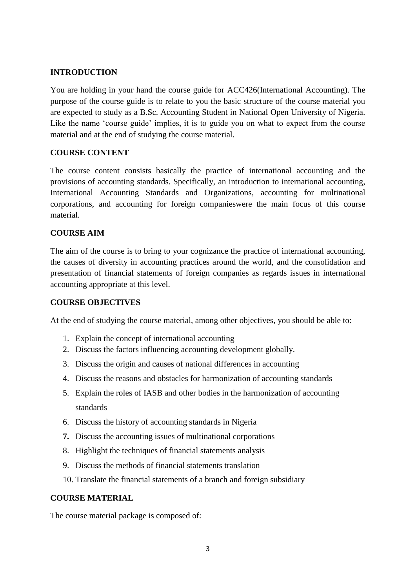## **INTRODUCTION**

You are holding in your hand the course guide for ACC426(International Accounting). The purpose of the course guide is to relate to you the basic structure of the course material you are expected to study as a B.Sc. Accounting Student in National Open University of Nigeria. Like the name 'course guide' implies, it is to guide you on what to expect from the course material and at the end of studying the course material.

## **COURSE CONTENT**

The course content consists basically the practice of international accounting and the provisions of accounting standards. Specifically, an introduction to international accounting, International Accounting Standards and Organizations, accounting for multinational corporations, and accounting for foreign companieswere the main focus of this course material.

## **COURSE AIM**

The aim of the course is to bring to your cognizance the practice of international accounting, the causes of diversity in accounting practices around the world, and the consolidation and presentation of financial statements of foreign companies as regards issues in international accounting appropriate at this level.

## **COURSE OBJECTIVES**

At the end of studying the course material, among other objectives, you should be able to:

- 1. Explain the concept of international accounting
- 2. Discuss the factors influencing accounting development globally.
- 3. Discuss the origin and causes of national differences in accounting
- 4. Discuss the reasons and obstacles for harmonization of accounting standards
- 5. Explain the roles of IASB and other bodies in the harmonization of accounting standards
- 6. Discuss the history of accounting standards in Nigeria
- **7.** Discuss the accounting issues of multinational corporations
- 8. Highlight the techniques of financial statements analysis
- 9. Discuss the methods of financial statements translation
- 10. Translate the financial statements of a branch and foreign subsidiary

## **COURSE MATERIAL**

The course material package is composed of: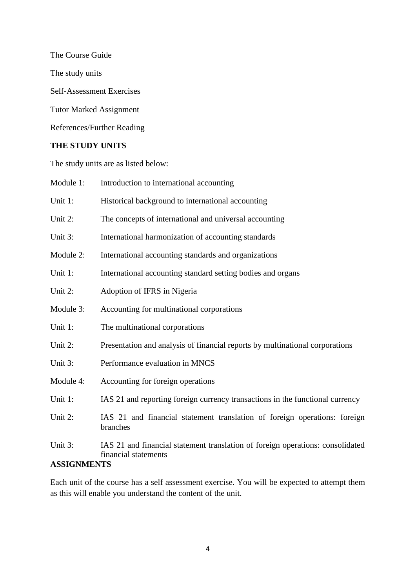The Course Guide The study units Self-Assessment Exercises

Tutor Marked Assignment

References/Further Reading

## **THE STUDY UNITS**

The study units are as listed below:

| Module 1:                     | Introduction to international accounting                                                               |
|-------------------------------|--------------------------------------------------------------------------------------------------------|
| Unit 1:                       | Historical background to international accounting                                                      |
| Unit 2:                       | The concepts of international and universal accounting                                                 |
| Unit 3:                       | International harmonization of accounting standards                                                    |
| Module 2:                     | International accounting standards and organizations                                                   |
| Unit 1:                       | International accounting standard setting bodies and organs                                            |
| Unit 2:                       | Adoption of IFRS in Nigeria                                                                            |
| Module 3:                     | Accounting for multinational corporations                                                              |
| Unit 1:                       | The multinational corporations                                                                         |
| Unit 2:                       | Presentation and analysis of financial reports by multinational corporations                           |
| Unit 3:                       | Performance evaluation in MNCS                                                                         |
| Module 4:                     | Accounting for foreign operations                                                                      |
| Unit 1:                       | IAS 21 and reporting foreign currency transactions in the functional currency                          |
| Unit 2:                       | IAS 21 and financial statement translation of foreign operations: foreign<br>branches                  |
| Unit 3:<br><b>ASSIGNMENTS</b> | IAS 21 and financial statement translation of foreign operations: consolidated<br>financial statements |

Each unit of the course has a self assessment exercise. You will be expected to attempt them as this will enable you understand the content of the unit.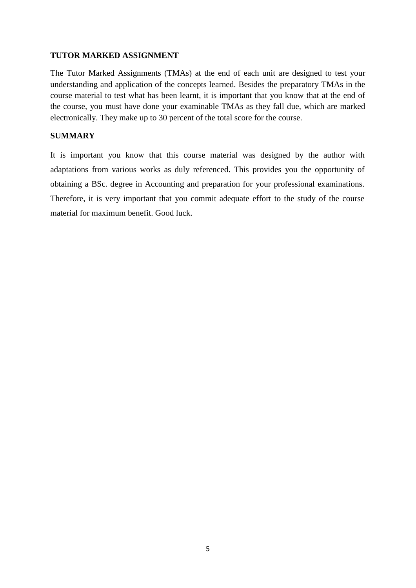## **TUTOR MARKED ASSIGNMENT**

The Tutor Marked Assignments (TMAs) at the end of each unit are designed to test your understanding and application of the concepts learned. Besides the preparatory TMAs in the course material to test what has been learnt, it is important that you know that at the end of the course, you must have done your examinable TMAs as they fall due, which are marked electronically. They make up to 30 percent of the total score for the course.

## **SUMMARY**

It is important you know that this course material was designed by the author with adaptations from various works as duly referenced. This provides you the opportunity of obtaining a BSc. degree in Accounting and preparation for your professional examinations. Therefore, it is very important that you commit adequate effort to the study of the course material for maximum benefit. Good luck.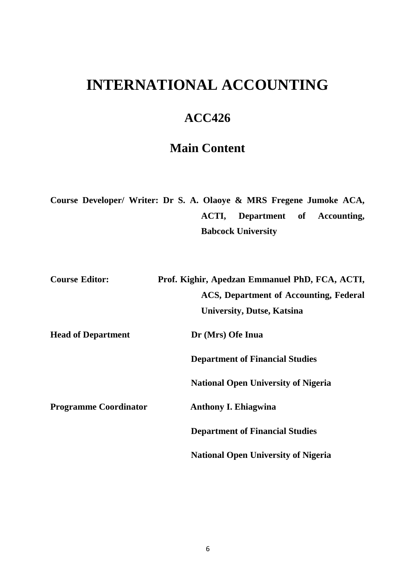# **INTERNATIONAL ACCOUNTING**

# **ACC426**

# **Main Content**

**Course Developer/ Writer: Dr S. A. Olaoye & MRS Fregene Jumoke ACA, ACTI, Department of Accounting, Babcock University**

| <b>Course Editor:</b>        | Prof. Kighir, Apedzan Emmanuel PhD, FCA, ACTI, |
|------------------------------|------------------------------------------------|
|                              | ACS, Department of Accounting, Federal         |
|                              | <b>University, Dutse, Katsina</b>              |
| <b>Head of Department</b>    | Dr (Mrs) Ofe Inua                              |
|                              | <b>Department of Financial Studies</b>         |
|                              | <b>National Open University of Nigeria</b>     |
| <b>Programme Coordinator</b> | <b>Anthony I. Ehiagwina</b>                    |
|                              | <b>Department of Financial Studies</b>         |
|                              | <b>National Open University of Nigeria</b>     |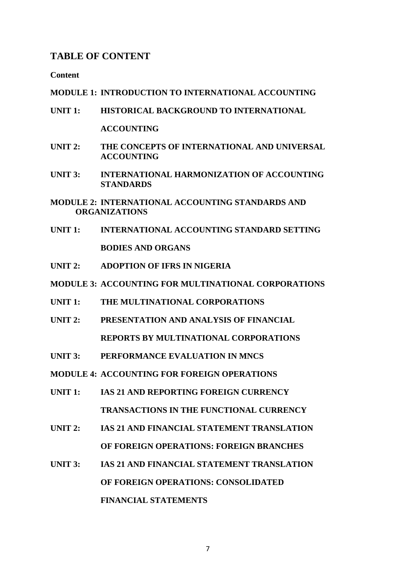## **TABLE OF CONTENT**

**Content**

#### **MODULE 1: INTRODUCTION TO INTERNATIONAL ACCOUNTING**

- **UNIT 1: HISTORICAL BACKGROUND TO INTERNATIONAL ACCOUNTING**
- **UNIT 2: THE CONCEPTS OF INTERNATIONAL AND UNIVERSAL ACCOUNTING**
- **UNIT 3: INTERNATIONAL HARMONIZATION OF ACCOUNTING STANDARDS**

**MODULE 2: INTERNATIONAL ACCOUNTING STANDARDS AND ORGANIZATIONS**

- **UNIT 1: INTERNATIONAL ACCOUNTING STANDARD SETTING BODIES AND ORGANS**
- **UNIT 2: ADOPTION OF IFRS IN NIGERIA**
- **MODULE 3: ACCOUNTING FOR MULTINATIONAL CORPORATIONS**
- **UNIT 1: THE MULTINATIONAL CORPORATIONS**
- **UNIT 2: PRESENTATION AND ANALYSIS OF FINANCIAL REPORTS BY MULTINATIONAL CORPORATIONS**
- **UNIT 3: PERFORMANCE EVALUATION IN MNCS**
- **MODULE 4: ACCOUNTING FOR FOREIGN OPERATIONS**
- **UNIT 1: IAS 21 AND REPORTING FOREIGN CURRENCY TRANSACTIONS IN THE FUNCTIONAL CURRENCY**
- **UNIT 2: IAS 21 AND FINANCIAL STATEMENT TRANSLATION OF FOREIGN OPERATIONS: FOREIGN BRANCHES**
- **UNIT 3: IAS 21 AND FINANCIAL STATEMENT TRANSLATION OF FOREIGN OPERATIONS: CONSOLIDATED FINANCIAL STATEMENTS**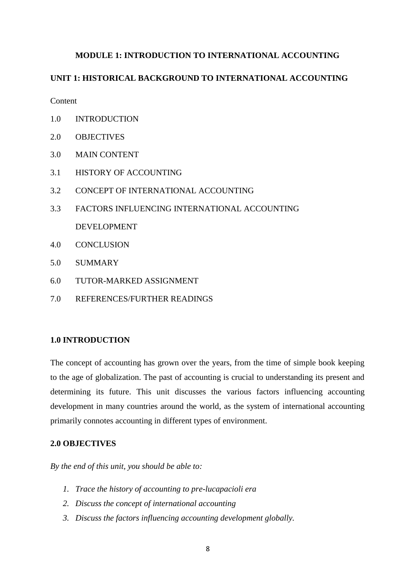## **MODULE 1: INTRODUCTION TO INTERNATIONAL ACCOUNTING**

### **UNIT 1: HISTORICAL BACKGROUND TO INTERNATIONAL ACCOUNTING**

**Content** 

- 1.0 INTRODUCTION
- 2.0 OBJECTIVES
- 3.0 MAIN CONTENT
- 3.1 HISTORY OF ACCOUNTING
- 3.2 CONCEPT OF INTERNATIONAL ACCOUNTING
- 3.3 FACTORS INFLUENCING INTERNATIONAL ACCOUNTING DEVELOPMENT
- 4.0 CONCLUSION
- 5.0 SUMMARY
- 6.0 TUTOR-MARKED ASSIGNMENT
- 7.0 REFERENCES/FURTHER READINGS

#### **1.0 INTRODUCTION**

The concept of accounting has grown over the years, from the time of simple book keeping to the age of globalization. The past of accounting is crucial to understanding its present and determining its future. This unit discusses the various factors influencing accounting development in many countries around the world, as the system of international accounting primarily connotes accounting in different types of environment.

#### **2.0 OBJECTIVES**

*By the end of this unit, you should be able to:*

- *1. Trace the history of accounting to pre-lucapacioli era*
- *2. Discuss the concept of international accounting*
- *3. Discuss the factors influencing accounting development globally.*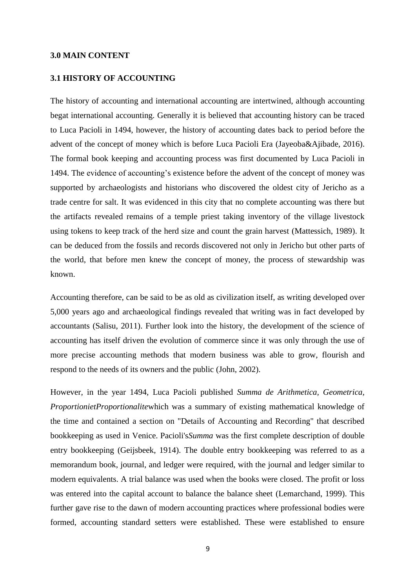#### **3.0 MAIN CONTENT**

#### **3.1 HISTORY OF ACCOUNTING**

The history of accounting and international accounting are intertwined, although accounting begat international accounting. Generally it is believed that accounting history can be traced to Luca Pacioli in 1494, however, the history of accounting dates back to period before the advent of the concept of money which is before Luca Pacioli Era (Jayeoba&Ajibade, 2016). The formal book keeping and accounting process was first documented by Luca Pacioli in 1494. The evidence of accounting's existence before the advent of the concept of money was supported by archaeologists and historians who discovered the oldest city of Jericho as a trade centre for salt. It was evidenced in this city that no complete accounting was there but the artifacts revealed remains of a temple priest taking inventory of the village livestock using tokens to keep track of the herd size and count the grain harvest (Mattessich, 1989). It can be deduced from the fossils and records discovered not only in Jericho but other parts of the world, that before men knew the concept of money, the process of stewardship was known.

Accounting therefore, can be said to be as old as civilization itself, as writing developed over 5,000 years ago and archaeological findings revealed that writing was in fact developed by accountants (Salisu, 2011). Further look into the history, the development of the science of accounting has itself driven the evolution of commerce since it was only through the use of more precise accounting methods that modern business was able to grow, flourish and respond to the needs of its owners and the public (John, 2002).

However, in the year 1494, Luca Pacioli published *Summa de Arithmetica, Geometrica, ProportionietProportionalite*which was a summary of existing mathematical knowledge of the time and contained a section on "Details of Accounting and Recording" that described bookkeeping as used in Venice. Pacioli's*Summa* was the first complete description of double entry bookkeeping (Geijsbeek, 1914). The double entry bookkeeping was referred to as a memorandum book, journal, and ledger were required, with the journal and ledger similar to modern equivalents. A trial balance was used when the books were closed. The profit or loss was entered into the capital account to balance the balance sheet (Lemarchand, 1999). This further gave rise to the dawn of modern accounting practices where professional bodies were formed, accounting standard setters were established. These were established to ensure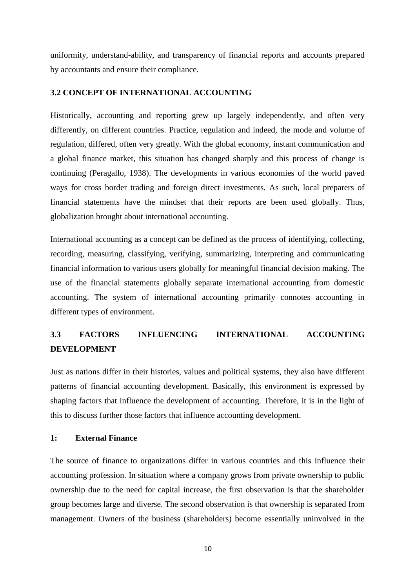uniformity, understand-ability, and transparency of financial reports and accounts prepared by accountants and ensure their compliance.

#### **3.2 CONCEPT OF INTERNATIONAL ACCOUNTING**

Historically, accounting and reporting grew up largely independently, and often very differently, on different countries. Practice, regulation and indeed, the mode and volume of regulation, differed, often very greatly. With the global economy, instant communication and a global finance market, this situation has changed sharply and this process of change is continuing (Peragallo, 1938). The developments in various economies of the world paved ways for cross border trading and foreign direct investments. As such, local preparers of financial statements have the mindset that their reports are been used globally. Thus, globalization brought about international accounting.

International accounting as a concept can be defined as the process of identifying, collecting, recording, measuring, classifying, verifying, summarizing, interpreting and communicating financial information to various users globally for meaningful financial decision making. The use of the financial statements globally separate international accounting from domestic accounting. The system of international accounting primarily connotes accounting in different types of environment.

# **3.3 FACTORS INFLUENCING INTERNATIONAL ACCOUNTING DEVELOPMENT**

Just as nations differ in their histories, values and political systems, they also have different patterns of financial accounting development. Basically, this environment is expressed by shaping factors that influence the development of accounting. Therefore, it is in the light of this to discuss further those factors that influence accounting development.

#### **1: External Finance**

The source of finance to organizations differ in various countries and this influence their accounting profession. In situation where a company grows from private ownership to public ownership due to the need for capital increase, the first observation is that the shareholder group becomes large and diverse. The second observation is that ownership is separated from management. Owners of the business (shareholders) become essentially uninvolved in the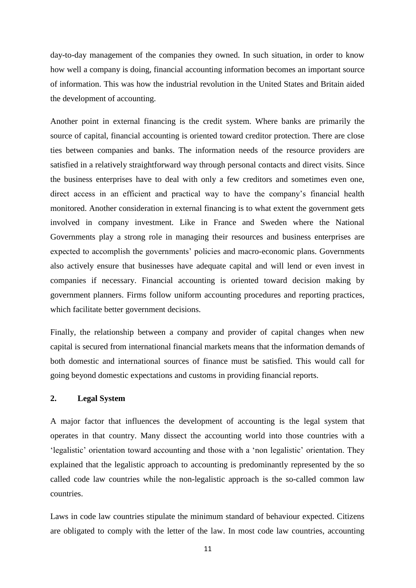day-to-day management of the companies they owned. In such situation, in order to know how well a company is doing, financial accounting information becomes an important source of information. This was how the industrial revolution in the United States and Britain aided the development of accounting.

Another point in external financing is the credit system. Where banks are primarily the source of capital, financial accounting is oriented toward creditor protection. There are close ties between companies and banks. The information needs of the resource providers are satisfied in a relatively straightforward way through personal contacts and direct visits. Since the business enterprises have to deal with only a few creditors and sometimes even one, direct access in an efficient and practical way to have the company's financial health monitored. Another consideration in external financing is to what extent the government gets involved in company investment. Like in France and Sweden where the National Governments play a strong role in managing their resources and business enterprises are expected to accomplish the governments' policies and macro-economic plans. Governments also actively ensure that businesses have adequate capital and will lend or even invest in companies if necessary. Financial accounting is oriented toward decision making by government planners. Firms follow uniform accounting procedures and reporting practices, which facilitate better government decisions.

Finally, the relationship between a company and provider of capital changes when new capital is secured from international financial markets means that the information demands of both domestic and international sources of finance must be satisfied. This would call for going beyond domestic expectations and customs in providing financial reports.

#### **2. Legal System**

A major factor that influences the development of accounting is the legal system that operates in that country. Many dissect the accounting world into those countries with a 'legalistic' orientation toward accounting and those with a 'non legalistic' orientation. They explained that the legalistic approach to accounting is predominantly represented by the so called code law countries while the non-legalistic approach is the so-called common law countries.

Laws in code law countries stipulate the minimum standard of behaviour expected. Citizens are obligated to comply with the letter of the law. In most code law countries, accounting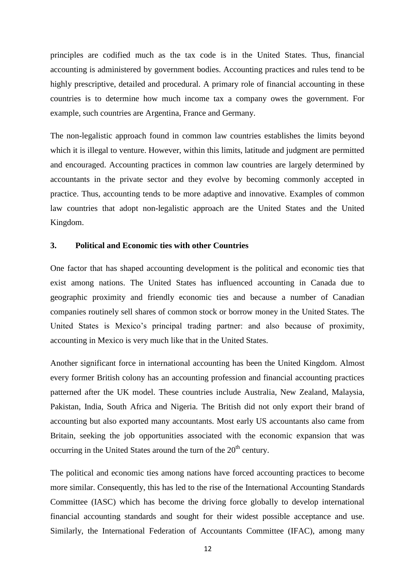principles are codified much as the tax code is in the United States. Thus, financial accounting is administered by government bodies. Accounting practices and rules tend to be highly prescriptive, detailed and procedural. A primary role of financial accounting in these countries is to determine how much income tax a company owes the government. For example, such countries are Argentina, France and Germany.

The non-legalistic approach found in common law countries establishes the limits beyond which it is illegal to venture. However, within this limits, latitude and judgment are permitted and encouraged. Accounting practices in common law countries are largely determined by accountants in the private sector and they evolve by becoming commonly accepted in practice. Thus, accounting tends to be more adaptive and innovative. Examples of common law countries that adopt non-legalistic approach are the United States and the United Kingdom.

#### **3. Political and Economic ties with other Countries**

One factor that has shaped accounting development is the political and economic ties that exist among nations. The United States has influenced accounting in Canada due to geographic proximity and friendly economic ties and because a number of Canadian companies routinely sell shares of common stock or borrow money in the United States. The United States is Mexico's principal trading partner: and also because of proximity, accounting in Mexico is very much like that in the United States.

Another significant force in international accounting has been the United Kingdom. Almost every former British colony has an accounting profession and financial accounting practices patterned after the UK model. These countries include Australia, New Zealand, Malaysia, Pakistan, India, South Africa and Nigeria. The British did not only export their brand of accounting but also exported many accountants. Most early US accountants also came from Britain, seeking the job opportunities associated with the economic expansion that was occurring in the United States around the turn of the  $20<sup>th</sup>$  century.

The political and economic ties among nations have forced accounting practices to become more similar. Consequently, this has led to the rise of the International Accounting Standards Committee (IASC) which has become the driving force globally to develop international financial accounting standards and sought for their widest possible acceptance and use. Similarly, the International Federation of Accountants Committee (IFAC), among many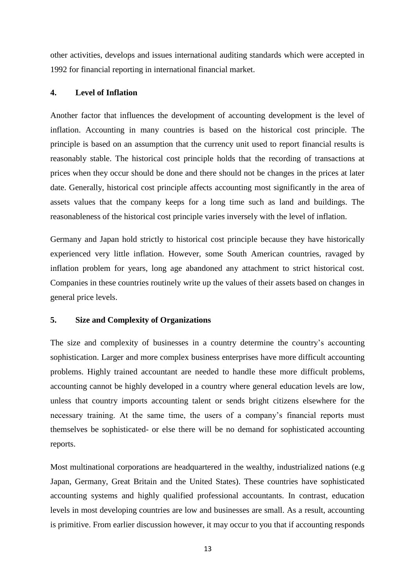other activities, develops and issues international auditing standards which were accepted in 1992 for financial reporting in international financial market.

## **4. Level of Inflation**

Another factor that influences the development of accounting development is the level of inflation. Accounting in many countries is based on the historical cost principle. The principle is based on an assumption that the currency unit used to report financial results is reasonably stable. The historical cost principle holds that the recording of transactions at prices when they occur should be done and there should not be changes in the prices at later date. Generally, historical cost principle affects accounting most significantly in the area of assets values that the company keeps for a long time such as land and buildings. The reasonableness of the historical cost principle varies inversely with the level of inflation.

Germany and Japan hold strictly to historical cost principle because they have historically experienced very little inflation. However, some South American countries, ravaged by inflation problem for years, long age abandoned any attachment to strict historical cost. Companies in these countries routinely write up the values of their assets based on changes in general price levels.

## **5. Size and Complexity of Organizations**

The size and complexity of businesses in a country determine the country's accounting sophistication. Larger and more complex business enterprises have more difficult accounting problems. Highly trained accountant are needed to handle these more difficult problems, accounting cannot be highly developed in a country where general education levels are low, unless that country imports accounting talent or sends bright citizens elsewhere for the necessary training. At the same time, the users of a company's financial reports must themselves be sophisticated- or else there will be no demand for sophisticated accounting reports.

Most multinational corporations are headquartered in the wealthy, industrialized nations (e.g Japan, Germany, Great Britain and the United States). These countries have sophisticated accounting systems and highly qualified professional accountants. In contrast, education levels in most developing countries are low and businesses are small. As a result, accounting is primitive. From earlier discussion however, it may occur to you that if accounting responds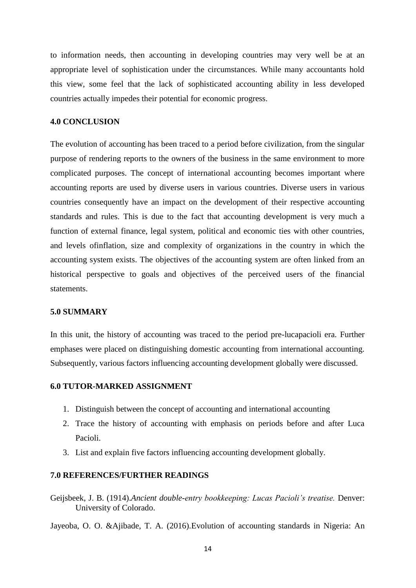to information needs, then accounting in developing countries may very well be at an appropriate level of sophistication under the circumstances. While many accountants hold this view, some feel that the lack of sophisticated accounting ability in less developed countries actually impedes their potential for economic progress.

#### **4.0 CONCLUSION**

The evolution of accounting has been traced to a period before civilization, from the singular purpose of rendering reports to the owners of the business in the same environment to more complicated purposes. The concept of international accounting becomes important where accounting reports are used by diverse users in various countries. Diverse users in various countries consequently have an impact on the development of their respective accounting standards and rules. This is due to the fact that accounting development is very much a function of external finance, legal system, political and economic ties with other countries, and levels ofinflation, size and complexity of organizations in the country in which the accounting system exists. The objectives of the accounting system are often linked from an historical perspective to goals and objectives of the perceived users of the financial statements.

#### **5.0 SUMMARY**

In this unit, the history of accounting was traced to the period pre-lucapacioli era. Further emphases were placed on distinguishing domestic accounting from international accounting. Subsequently, various factors influencing accounting development globally were discussed.

#### **6.0 TUTOR-MARKED ASSIGNMENT**

- 1. Distinguish between the concept of accounting and international accounting
- 2. Trace the history of accounting with emphasis on periods before and after Luca Pacioli.
- 3. List and explain five factors influencing accounting development globally.

#### **7.0 REFERENCES/FURTHER READINGS**

Geijsbeek, J. B. (1914).*Ancient double-entry bookkeeping: Lucas Pacioli's treatise.* Denver: University of Colorado.

Jayeoba, O. O. &Ajibade, T. A. (2016).Evolution of accounting standards in Nigeria: An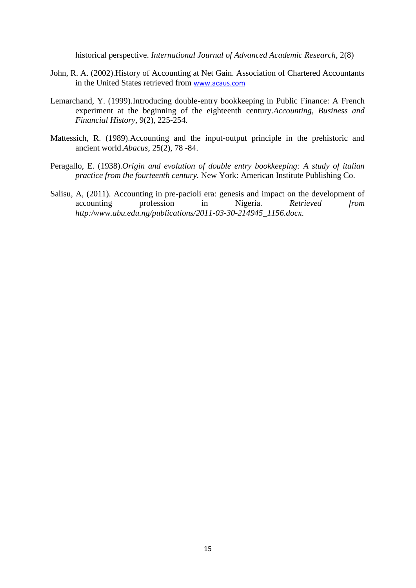historical perspective. *International Journal of Advanced Academic Research*, 2(8)

- John, R. A. (2002).History of Accounting at Net Gain. Association of Chartered Accountants in the United States retrieved from [www.acaus.com](http://www.acaus.com/)
- Lemarchand, Y. (1999).Introducing double-entry bookkeeping in Public Finance: A French experiment at the beginning of the eighteenth century.*Accounting, Business and Financial History*, 9(2), 225-254.
- Mattessich, R. (1989).Accounting and the input-output principle in the prehistoric and ancient world.*Abacus*, 25(2), 78 -84.
- Peragallo, E. (1938).*Origin and evolution of double entry bookkeeping: A study of italian practice from the fourteenth century.* New York: American Institute Publishing Co.
- Salisu, A, (2011). Accounting in pre-pacioli era: genesis and impact on the development of accounting profession in Nigeria. *Retrieved from http:/www.abu.edu.ng/publications/2011-03-30-214945\_1156.docx*.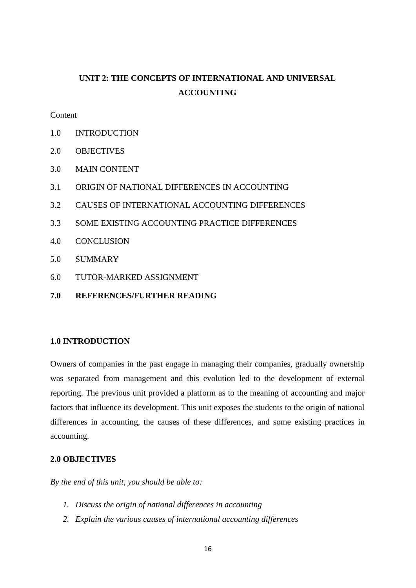# **UNIT 2: THE CONCEPTS OF INTERNATIONAL AND UNIVERSAL ACCOUNTING**

**Content** 

- 1.0 INTRODUCTION
- 2.0 OBJECTIVES
- 3.0 MAIN CONTENT
- 3.1 ORIGIN OF NATIONAL DIFFERENCES IN ACCOUNTING
- 3.2 CAUSES OF INTERNATIONAL ACCOUNTING DIFFERENCES
- 3.3 SOME EXISTING ACCOUNTING PRACTICE DIFFERENCES
- 4.0 CONCLUSION
- 5.0 SUMMARY
- 6.0 TUTOR-MARKED ASSIGNMENT
- **7.0 REFERENCES/FURTHER READING**

### **1.0 INTRODUCTION**

Owners of companies in the past engage in managing their companies, gradually ownership was separated from management and this evolution led to the development of external reporting. The previous unit provided a platform as to the meaning of accounting and major factors that influence its development. This unit exposes the students to the origin of national differences in accounting, the causes of these differences, and some existing practices in accounting.

#### **2.0 OBJECTIVES**

*By the end of this unit, you should be able to:*

- *1. Discuss the origin of national differences in accounting*
- *2. Explain the various causes of international accounting differences*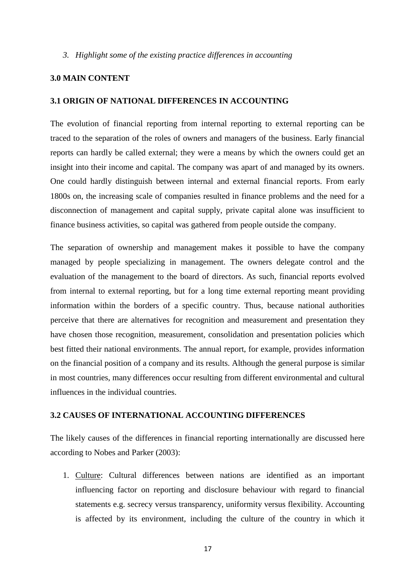#### *3. Highlight some of the existing practice differences in accounting*

### **3.0 MAIN CONTENT**

#### **3.1 ORIGIN OF NATIONAL DIFFERENCES IN ACCOUNTING**

The evolution of financial reporting from internal reporting to external reporting can be traced to the separation of the roles of owners and managers of the business. Early financial reports can hardly be called external; they were a means by which the owners could get an insight into their income and capital. The company was apart of and managed by its owners. One could hardly distinguish between internal and external financial reports. From early 1800s on, the increasing scale of companies resulted in finance problems and the need for a disconnection of management and capital supply, private capital alone was insufficient to finance business activities, so capital was gathered from people outside the company.

The separation of ownership and management makes it possible to have the company managed by people specializing in management. The owners delegate control and the evaluation of the management to the board of directors. As such, financial reports evolved from internal to external reporting, but for a long time external reporting meant providing information within the borders of a specific country. Thus, because national authorities perceive that there are alternatives for recognition and measurement and presentation they have chosen those recognition, measurement, consolidation and presentation policies which best fitted their national environments. The annual report, for example, provides information on the financial position of a company and its results. Although the general purpose is similar in most countries, many differences occur resulting from different environmental and cultural influences in the individual countries.

### **3.2 CAUSES OF INTERNATIONAL ACCOUNTING DIFFERENCES**

The likely causes of the differences in financial reporting internationally are discussed here according to Nobes and Parker (2003):

1. Culture: Cultural differences between nations are identified as an important influencing factor on reporting and disclosure behaviour with regard to financial statements e.g. secrecy versus transparency, uniformity versus flexibility. Accounting is affected by its environment, including the culture of the country in which it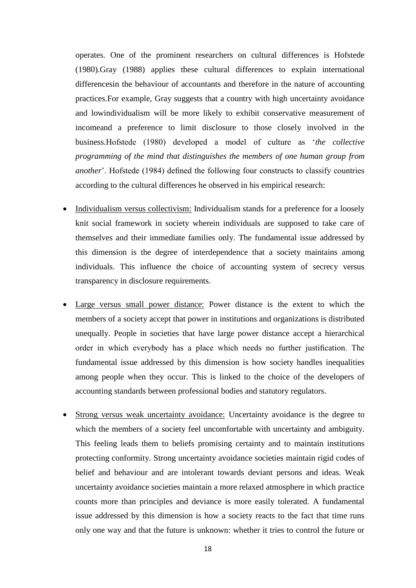operates. One of the prominent researchers on cultural differences is Hofstede (1980).Gray (1988) applies these cultural differences to explain international differencesin the behaviour of accountants and therefore in the nature of accounting practices.For example, Gray suggests that a country with high uncertainty avoidance and lowindividualism will be more likely to exhibit conservative measurement of incomeand a preference to limit disclosure to those closely involved in the business.Hofstede (1980) developed a model of culture as '*the collective programming of the mind that distinguishes the members of one human group from another*'. Hofstede (1984) defined the following four constructs to classify countries according to the cultural differences he observed in his empirical research:

- Individualism versus collectivism: Individualism stands for a preference for a loosely knit social framework in society wherein individuals are supposed to take care of themselves and their immediate families only. The fundamental issue addressed by this dimension is the degree of interdependence that a society maintains among individuals. This influence the choice of accounting system of secrecy versus transparency in disclosure requirements.
- Large versus small power distance: Power distance is the extent to which the members of a society accept that power in institutions and organizations is distributed unequally. People in societies that have large power distance accept a hierarchical order in which everybody has a place which needs no further justification. The fundamental issue addressed by this dimension is how society handles inequalities among people when they occur. This is linked to the choice of the developers of accounting standards between professional bodies and statutory regulators.
- Strong versus weak uncertainty avoidance: Uncertainty avoidance is the degree to which the members of a society feel uncomfortable with uncertainty and ambiguity. This feeling leads them to beliefs promising certainty and to maintain institutions protecting conformity. Strong uncertainty avoidance societies maintain rigid codes of belief and behaviour and are intolerant towards deviant persons and ideas. Weak uncertainty avoidance societies maintain a more relaxed atmosphere in which practice counts more than principles and deviance is more easily tolerated. A fundamental issue addressed by this dimension is how a society reacts to the fact that time runs only one way and that the future is unknown: whether it tries to control the future or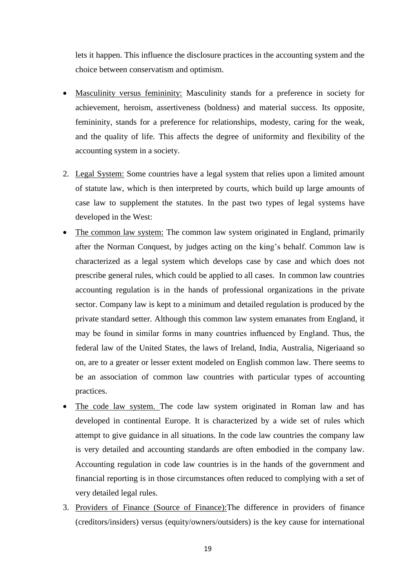lets it happen. This influence the disclosure practices in the accounting system and the choice between conservatism and optimism.

- Masculinity versus femininity: Masculinity stands for a preference in society for achievement, heroism, assertiveness (boldness) and material success. Its opposite, femininity, stands for a preference for relationships, modesty, caring for the weak, and the quality of life. This affects the degree of uniformity and flexibility of the accounting system in a society.
- 2. Legal System: Some countries have a legal system that relies upon a limited amount of statute law, which is then interpreted by courts, which build up large amounts of case law to supplement the statutes. In the past two types of legal systems have developed in the West:
- The common law system: The common law system originated in England, primarily after the Norman Conquest, by judges acting on the king's behalf. Common law is characterized as a legal system which develops case by case and which does not prescribe general rules, which could be applied to all cases. In common law countries accounting regulation is in the hands of professional organizations in the private sector. Company law is kept to a minimum and detailed regulation is produced by the private standard setter. Although this common law system emanates from England, it may be found in similar forms in many countries influenced by England. Thus, the federal law of the United States, the laws of Ireland, India, Australia, Nigeriaand so on, are to a greater or lesser extent modeled on English common law. There seems to be an association of common law countries with particular types of accounting practices.
- The code law system. The code law system originated in Roman law and has developed in continental Europe. It is characterized by a wide set of rules which attempt to give guidance in all situations. In the code law countries the company law is very detailed and accounting standards are often embodied in the company law. Accounting regulation in code law countries is in the hands of the government and financial reporting is in those circumstances often reduced to complying with a set of very detailed legal rules.
- 3. Providers of Finance (Source of Finance):The difference in providers of finance (creditors/insiders) versus (equity/owners/outsiders) is the key cause for international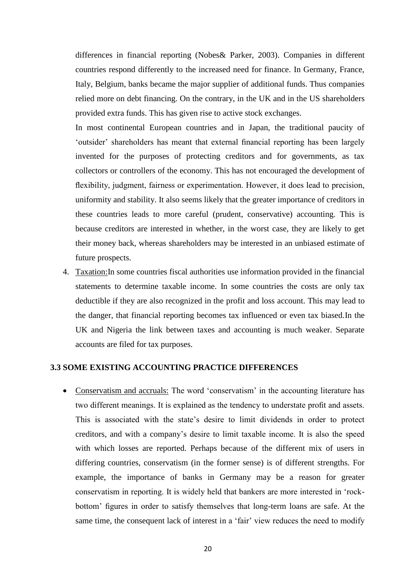differences in financial reporting (Nobes& Parker, 2003). Companies in different countries respond differently to the increased need for finance. In Germany, France, Italy, Belgium, banks became the major supplier of additional funds. Thus companies relied more on debt financing. On the contrary, in the UK and in the US shareholders provided extra funds. This has given rise to active stock exchanges.

In most continental European countries and in Japan, the traditional paucity of 'outsider' shareholders has meant that external financial reporting has been largely invented for the purposes of protecting creditors and for governments, as tax collectors or controllers of the economy. This has not encouraged the development of flexibility, judgment, fairness or experimentation. However, it does lead to precision, uniformity and stability. It also seems likely that the greater importance of creditors in these countries leads to more careful (prudent, conservative) accounting. This is because creditors are interested in whether, in the worst case, they are likely to get their money back, whereas shareholders may be interested in an unbiased estimate of future prospects.

4. Taxation:In some countries fiscal authorities use information provided in the financial statements to determine taxable income. In some countries the costs are only tax deductible if they are also recognized in the profit and loss account. This may lead to the danger, that financial reporting becomes tax influenced or even tax biased.In the UK and Nigeria the link between taxes and accounting is much weaker. Separate accounts are filed for tax purposes.

## **3.3 SOME EXISTING ACCOUNTING PRACTICE DIFFERENCES**

 Conservatism and accruals: The word 'conservatism' in the accounting literature has two different meanings. It is explained as the tendency to understate profit and assets. This is associated with the state's desire to limit dividends in order to protect creditors, and with a company's desire to limit taxable income. It is also the speed with which losses are reported. Perhaps because of the different mix of users in differing countries, conservatism (in the former sense) is of different strengths. For example, the importance of banks in Germany may be a reason for greater conservatism in reporting. It is widely held that bankers are more interested in 'rockbottom' figures in order to satisfy themselves that long-term loans are safe. At the same time, the consequent lack of interest in a 'fair' view reduces the need to modify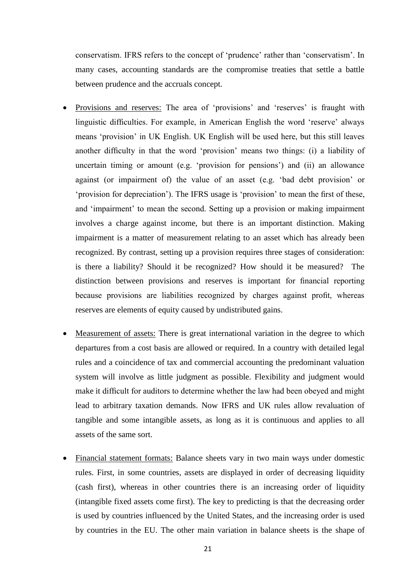conservatism. IFRS refers to the concept of 'prudence' rather than 'conservatism'. In many cases, accounting standards are the compromise treaties that settle a battle between prudence and the accruals concept.

- Provisions and reserves: The area of 'provisions' and 'reserves' is fraught with linguistic difficulties. For example, in American English the word 'reserve' always means 'provision' in UK English. UK English will be used here, but this still leaves another difficulty in that the word 'provision' means two things: (i) a liability of uncertain timing or amount (e.g. 'provision for pensions') and (ii) an allowance against (or impairment of) the value of an asset (e.g. 'bad debt provision' or 'provision for depreciation'). The IFRS usage is 'provision' to mean the first of these, and 'impairment' to mean the second. Setting up a provision or making impairment involves a charge against income, but there is an important distinction. Making impairment is a matter of measurement relating to an asset which has already been recognized. By contrast, setting up a provision requires three stages of consideration: is there a liability? Should it be recognized? How should it be measured? The distinction between provisions and reserves is important for financial reporting because provisions are liabilities recognized by charges against profit, whereas reserves are elements of equity caused by undistributed gains.
- Measurement of assets: There is great international variation in the degree to which departures from a cost basis are allowed or required. In a country with detailed legal rules and a coincidence of tax and commercial accounting the predominant valuation system will involve as little judgment as possible. Flexibility and judgment would make it difficult for auditors to determine whether the law had been obeyed and might lead to arbitrary taxation demands. Now IFRS and UK rules allow revaluation of tangible and some intangible assets, as long as it is continuous and applies to all assets of the same sort.
- Financial statement formats: Balance sheets vary in two main ways under domestic rules. First, in some countries, assets are displayed in order of decreasing liquidity (cash first), whereas in other countries there is an increasing order of liquidity (intangible fixed assets come first). The key to predicting is that the decreasing order is used by countries influenced by the United States, and the increasing order is used by countries in the EU. The other main variation in balance sheets is the shape of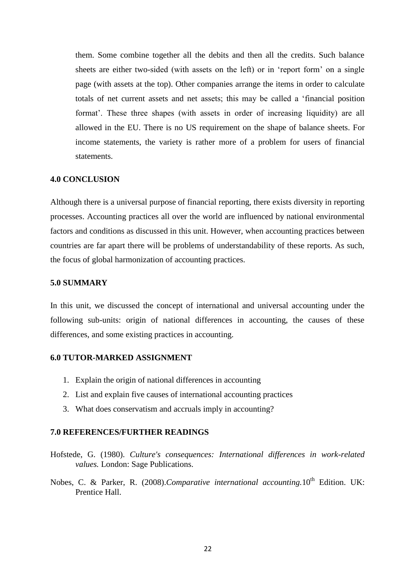them. Some combine together all the debits and then all the credits. Such balance sheets are either two-sided (with assets on the left) or in 'report form' on a single page (with assets at the top). Other companies arrange the items in order to calculate totals of net current assets and net assets; this may be called a 'financial position format'. These three shapes (with assets in order of increasing liquidity) are all allowed in the EU. There is no US requirement on the shape of balance sheets. For income statements, the variety is rather more of a problem for users of financial statements.

#### **4.0 CONCLUSION**

Although there is a universal purpose of financial reporting, there exists diversity in reporting processes. Accounting practices all over the world are influenced by national environmental factors and conditions as discussed in this unit. However, when accounting practices between countries are far apart there will be problems of understandability of these reports. As such, the focus of global harmonization of accounting practices.

#### **5.0 SUMMARY**

In this unit, we discussed the concept of international and universal accounting under the following sub-units: origin of national differences in accounting, the causes of these differences, and some existing practices in accounting.

#### **6.0 TUTOR-MARKED ASSIGNMENT**

- 1. Explain the origin of national differences in accounting
- 2. List and explain five causes of international accounting practices
- 3. What does conservatism and accruals imply in accounting?

#### **7.0 REFERENCES/FURTHER READINGS**

- Hofstede, G. (1980). *Culture's consequences: International differences in work-related values.* London: Sage Publications.
- Nobes, C. & Parker, R. (2008).*Comparative international accounting*.10<sup>th</sup> Edition. UK: Prentice Hall.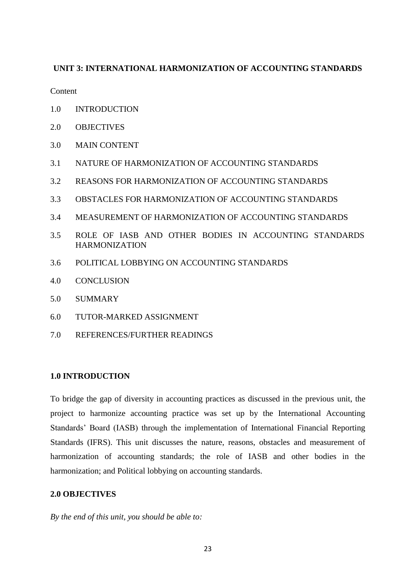## **UNIT 3: INTERNATIONAL HARMONIZATION OF ACCOUNTING STANDARDS**

Content

- 1.0 INTRODUCTION
- 2.0 OBJECTIVES
- 3.0 MAIN CONTENT
- 3.1 NATURE OF HARMONIZATION OF ACCOUNTING STANDARDS
- 3.2 REASONS FOR HARMONIZATION OF ACCOUNTING STANDARDS
- 3.3 OBSTACLES FOR HARMONIZATION OF ACCOUNTING STANDARDS
- 3.4 MEASUREMENT OF HARMONIZATION OF ACCOUNTING STANDARDS
- 3.5 ROLE OF IASB AND OTHER BODIES IN ACCOUNTING STANDARDS HARMONIZATION
- 3.6 POLITICAL LOBBYING ON ACCOUNTING STANDARDS
- 4.0 CONCLUSION
- 5.0 SUMMARY
- 6.0 TUTOR-MARKED ASSIGNMENT
- 7.0 REFERENCES/FURTHER READINGS

## **1.0 INTRODUCTION**

To bridge the gap of diversity in accounting practices as discussed in the previous unit, the project to harmonize accounting practice was set up by the International Accounting Standards' Board (IASB) through the implementation of International Financial Reporting Standards (IFRS). This unit discusses the nature, reasons, obstacles and measurement of harmonization of accounting standards; the role of IASB and other bodies in the harmonization; and Political lobbying on accounting standards.

## **2.0 OBJECTIVES**

*By the end of this unit, you should be able to:*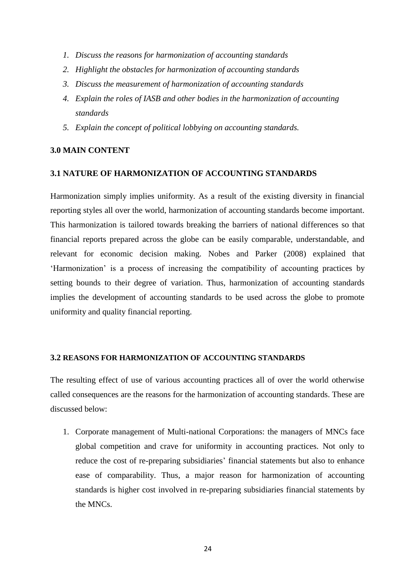- *1. Discuss the reasons for harmonization of accounting standards*
- *2. Highlight the obstacles for harmonization of accounting standards*
- *3. Discuss the measurement of harmonization of accounting standards*
- *4. Explain the roles of IASB and other bodies in the harmonization of accounting standards*
- *5. Explain the concept of political lobbying on accounting standards.*

### **3.0 MAIN CONTENT**

#### **3.1 NATURE OF HARMONIZATION OF ACCOUNTING STANDARDS**

Harmonization simply implies uniformity. As a result of the existing diversity in financial reporting styles all over the world, harmonization of accounting standards become important. This harmonization is tailored towards breaking the barriers of national differences so that financial reports prepared across the globe can be easily comparable, understandable, and relevant for economic decision making. Nobes and Parker (2008) explained that 'Harmonization' is a process of increasing the compatibility of accounting practices by setting bounds to their degree of variation. Thus, harmonization of accounting standards implies the development of accounting standards to be used across the globe to promote uniformity and quality financial reporting.

#### **3.2 REASONS FOR HARMONIZATION OF ACCOUNTING STANDARDS**

The resulting effect of use of various accounting practices all of over the world otherwise called consequences are the reasons for the harmonization of accounting standards. These are discussed below:

1. Corporate management of Multi-national Corporations: the managers of MNCs face global competition and crave for uniformity in accounting practices. Not only to reduce the cost of re-preparing subsidiaries' financial statements but also to enhance ease of comparability. Thus, a major reason for harmonization of accounting standards is higher cost involved in re-preparing subsidiaries financial statements by the MNCs.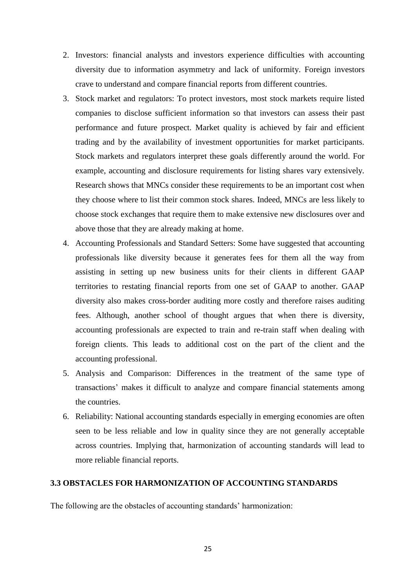- 2. Investors: financial analysts and investors experience difficulties with accounting diversity due to information asymmetry and lack of uniformity. Foreign investors crave to understand and compare financial reports from different countries.
- 3. Stock market and regulators: To protect investors, most stock markets require listed companies to disclose sufficient information so that investors can assess their past performance and future prospect. Market quality is achieved by fair and efficient trading and by the availability of investment opportunities for market participants. Stock markets and regulators interpret these goals differently around the world. For example, accounting and disclosure requirements for listing shares vary extensively. Research shows that MNCs consider these requirements to be an important cost when they choose where to list their common stock shares. Indeed, MNCs are less likely to choose stock exchanges that require them to make extensive new disclosures over and above those that they are already making at home.
- 4. Accounting Professionals and Standard Setters: Some have suggested that accounting professionals like diversity because it generates fees for them all the way from assisting in setting up new business units for their clients in different GAAP territories to restating financial reports from one set of GAAP to another. GAAP diversity also makes cross-border auditing more costly and therefore raises auditing fees. Although, another school of thought argues that when there is diversity, accounting professionals are expected to train and re-train staff when dealing with foreign clients. This leads to additional cost on the part of the client and the accounting professional.
- 5. Analysis and Comparison: Differences in the treatment of the same type of transactions' makes it difficult to analyze and compare financial statements among the countries.
- 6. Reliability: National accounting standards especially in emerging economies are often seen to be less reliable and low in quality since they are not generally acceptable across countries. Implying that, harmonization of accounting standards will lead to more reliable financial reports.

#### **3.3 OBSTACLES FOR HARMONIZATION OF ACCOUNTING STANDARDS**

The following are the obstacles of accounting standards' harmonization: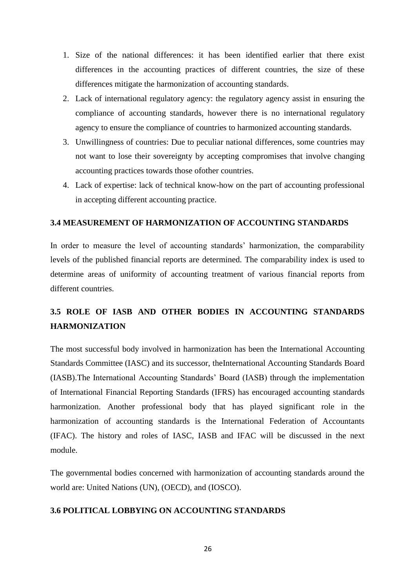- 1. Size of the national differences: it has been identified earlier that there exist differences in the accounting practices of different countries, the size of these differences mitigate the harmonization of accounting standards.
- 2. Lack of international regulatory agency: the regulatory agency assist in ensuring the compliance of accounting standards, however there is no international regulatory agency to ensure the compliance of countries to harmonized accounting standards.
- 3. Unwillingness of countries: Due to peculiar national differences, some countries may not want to lose their sovereignty by accepting compromises that involve changing accounting practices towards those ofother countries.
- 4. Lack of expertise: lack of technical know-how on the part of accounting professional in accepting different accounting practice.

#### **3.4 MEASUREMENT OF HARMONIZATION OF ACCOUNTING STANDARDS**

In order to measure the level of accounting standards' harmonization, the comparability levels of the published financial reports are determined. The comparability index is used to determine areas of uniformity of accounting treatment of various financial reports from different countries.

## **3.5 ROLE OF IASB AND OTHER BODIES IN ACCOUNTING STANDARDS HARMONIZATION**

The most successful body involved in harmonization has been the International Accounting Standards Committee (IASC) and its successor, theInternational Accounting Standards Board (IASB).The International Accounting Standards' Board (IASB) through the implementation of International Financial Reporting Standards (IFRS) has encouraged accounting standards harmonization. Another professional body that has played significant role in the harmonization of accounting standards is the International Federation of Accountants (IFAC). The history and roles of IASC, IASB and IFAC will be discussed in the next module.

The governmental bodies concerned with harmonization of accounting standards around the world are: United Nations (UN), (OECD), and (IOSCO).

## **3.6 POLITICAL LOBBYING ON ACCOUNTING STANDARDS**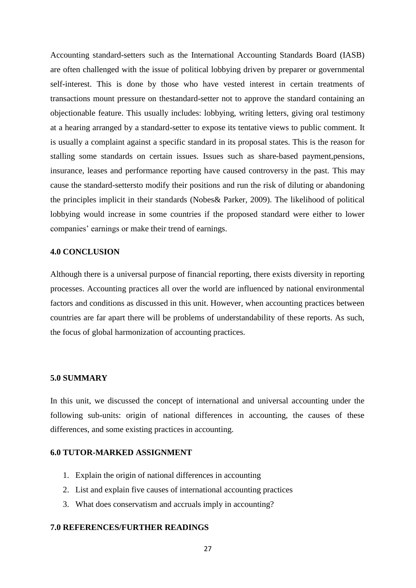Accounting standard-setters such as the International Accounting Standards Board (IASB) are often challenged with the issue of political lobbying driven by preparer or governmental self-interest. This is done by those who have vested interest in certain treatments of transactions mount pressure on thestandard-setter not to approve the standard containing an objectionable feature. This usually includes: lobbying, writing letters, giving oral testimony at a hearing arranged by a standard-setter to expose its tentative views to public comment. It is usually a complaint against a specific standard in its proposal states. This is the reason for stalling some standards on certain issues. Issues such as share-based payment,pensions, insurance, leases and performance reporting have caused controversy in the past. This may cause the standard-settersto modify their positions and run the risk of diluting or abandoning the principles implicit in their standards (Nobes& Parker, 2009). The likelihood of political lobbying would increase in some countries if the proposed standard were either to lower companies' earnings or make their trend of earnings.

#### **4.0 CONCLUSION**

Although there is a universal purpose of financial reporting, there exists diversity in reporting processes. Accounting practices all over the world are influenced by national environmental factors and conditions as discussed in this unit. However, when accounting practices between countries are far apart there will be problems of understandability of these reports. As such, the focus of global harmonization of accounting practices.

#### **5.0 SUMMARY**

In this unit, we discussed the concept of international and universal accounting under the following sub-units: origin of national differences in accounting, the causes of these differences, and some existing practices in accounting.

#### **6.0 TUTOR-MARKED ASSIGNMENT**

- 1. Explain the origin of national differences in accounting
- 2. List and explain five causes of international accounting practices
- 3. What does conservatism and accruals imply in accounting?

#### **7.0 REFERENCES/FURTHER READINGS**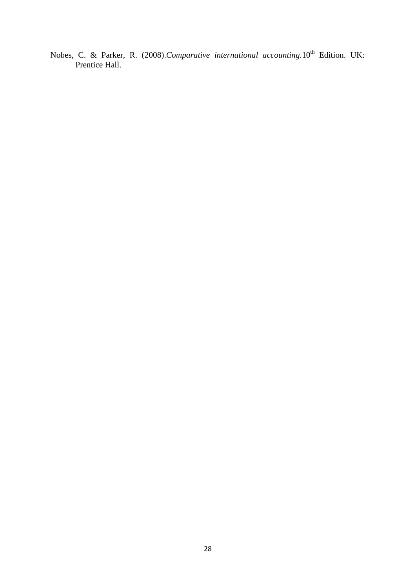Nobes, C. & Parker, R. (2008).*Comparative international accounting*.10<sup>th</sup> Edition. UK: Prentice Hall.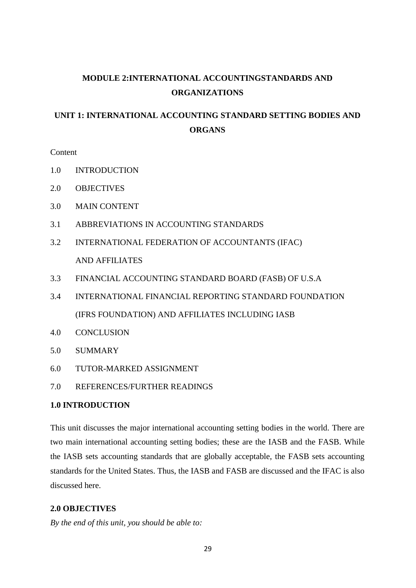# **MODULE 2:INTERNATIONAL ACCOUNTINGSTANDARDS AND ORGANIZATIONS**

## **UNIT 1: INTERNATIONAL ACCOUNTING STANDARD SETTING BODIES AND ORGANS**

**Content** 

- 1.0 INTRODUCTION
- 2.0 OBJECTIVES
- 3.0 MAIN CONTENT
- 3.1 ABBREVIATIONS IN ACCOUNTING STANDARDS
- 3.2 INTERNATIONAL FEDERATION OF ACCOUNTANTS (IFAC) AND AFFILIATES
- 3.3 FINANCIAL ACCOUNTING STANDARD BOARD (FASB) OF U.S.A
- 3.4 INTERNATIONAL FINANCIAL REPORTING STANDARD FOUNDATION (IFRS FOUNDATION) AND AFFILIATES INCLUDING IASB
- 4.0 CONCLUSION
- 5.0 SUMMARY
- 6.0 TUTOR-MARKED ASSIGNMENT
- 7.0 REFERENCES/FURTHER READINGS

#### **1.0 INTRODUCTION**

This unit discusses the major international accounting setting bodies in the world. There are two main international accounting setting bodies; these are the IASB and the FASB. While the IASB sets accounting standards that are globally acceptable, the FASB sets accounting standards for the United States. Thus, the IASB and FASB are discussed and the IFAC is also discussed here.

#### **2.0 OBJECTIVES**

*By the end of this unit, you should be able to:*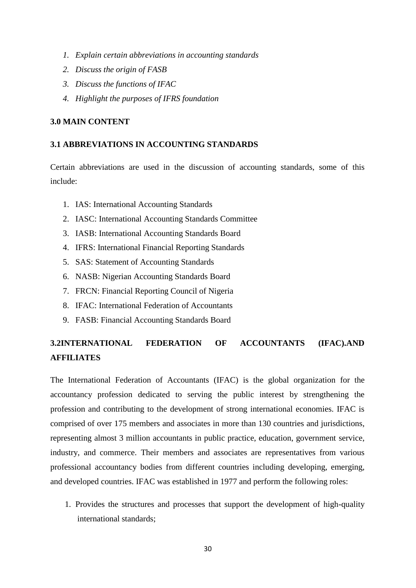- *1. Explain certain abbreviations in accounting standards*
- *2. Discuss the origin of FASB*
- *3. Discuss the functions of IFAC*
- *4. Highlight the purposes of IFRS foundation*

#### **3.0 MAIN CONTENT**

#### **3.1 ABBREVIATIONS IN ACCOUNTING STANDARDS**

Certain abbreviations are used in the discussion of accounting standards, some of this include:

- 1. IAS: International Accounting Standards
- 2. IASC: International Accounting Standards Committee
- 3. IASB: International Accounting Standards Board
- 4. IFRS: International Financial Reporting Standards
- 5. SAS: Statement of Accounting Standards
- 6. NASB: Nigerian Accounting Standards Board
- 7. FRCN: Financial Reporting Council of Nigeria
- 8. IFAC: International Federation of Accountants
- 9. FASB: Financial Accounting Standards Board

## **3.2INTERNATIONAL FEDERATION OF ACCOUNTANTS (IFAC).AND AFFILIATES**

The International Federation of Accountants (IFAC) is the global organization for the accountancy profession dedicated to serving the public interest by strengthening the profession and contributing to the development of strong international economies. IFAC is comprised of over 175 members and associates in more than 130 countries and jurisdictions, representing almost 3 million accountants in public practice, education, government service, industry, and commerce. Their members and associates are representatives from various professional accountancy bodies from different countries including developing, emerging, and developed countries. IFAC was established in 1977 and perform the following roles:

1. Provides the structures and processes that support the development of high-quality international standards;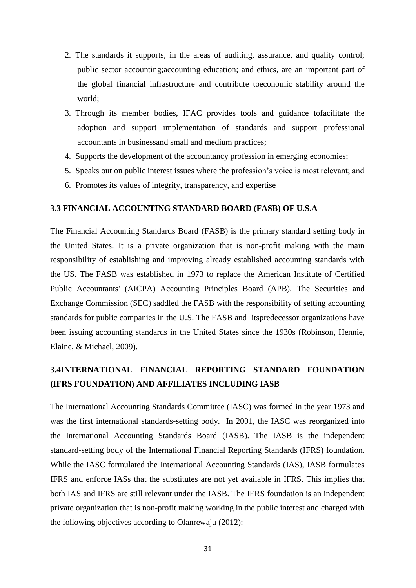- 2. The standards it supports, in the areas of auditing, assurance, and quality control; public sector accounting;accounting education; and ethics, are an important part of the global financial infrastructure and contribute toeconomic stability around the world;
- 3. Through its member bodies, IFAC provides tools and guidance tofacilitate the adoption and support implementation of standards and support professional accountants in businessand small and medium practices;
- 4. Supports the development of the accountancy profession in emerging economies;
- 5. Speaks out on public interest issues where the profession's voice is most relevant; and
- 6. Promotes its values of integrity, transparency, and expertise

#### **3.3 FINANCIAL ACCOUNTING STANDARD BOARD (FASB) OF U.S.A**

The Financial Accounting Standards Board (FASB) is the primary standard setting body in the United States. It is a private organization that is non-profit making with the main responsibility of establishing and improving already established accounting standards with the US. The FASB was established in 1973 to replace the American Institute of Certified Public Accountants' (AICPA) Accounting Principles Board (APB). The Securities and Exchange Commission (SEC) saddled the FASB with the responsibility of setting accounting standards for public companies in the U.S. The FASB and itspredecessor organizations have been issuing accounting standards in the United States since the 1930s (Robinson, Hennie, Elaine, & Michael, 2009).

## **3.4INTERNATIONAL FINANCIAL REPORTING STANDARD FOUNDATION (IFRS FOUNDATION) AND AFFILIATES INCLUDING IASB**

The International Accounting Standards Committee (IASC) was formed in the year 1973 and was the first international standards-setting body. In 2001, the IASC was reorganized into the International Accounting Standards Board (IASB). The IASB is the independent standard-setting body of the International Financial Reporting Standards (IFRS) foundation. While the IASC formulated the International Accounting Standards (IAS), IASB formulates IFRS and enforce IASs that the substitutes are not yet available in IFRS. This implies that both IAS and IFRS are still relevant under the IASB. The IFRS foundation is an independent private organization that is non-profit making working in the public interest and charged with the following objectives according to Olanrewaju (2012):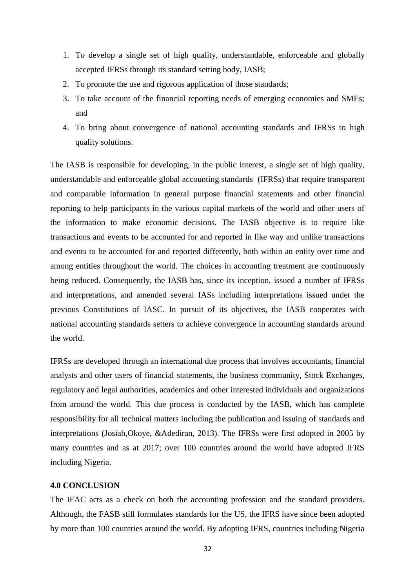- 1. To develop a single set of high quality, understandable, enforceable and globally accepted IFRSs through its standard setting body, IASB;
- 2. To promote the use and rigorous application of those standards;
- 3. To take account of the financial reporting needs of emerging economies and SMEs; and
- 4. To bring about convergence of national accounting standards and IFRSs to high quality solutions.

The IASB is responsible for developing, in the public interest, a single set of high quality, understandable and enforceable global accounting standards (IFRSs) that require transparent and comparable information in general purpose financial statements and other financial reporting to help participants in the various capital markets of the world and other users of the information to make economic decisions. The IASB objective is to require like transactions and events to be accounted for and reported in like way and unlike transactions and events to be accounted for and reported differently, both within an entity over time and among entities throughout the world. The choices in accounting treatment are continuously being reduced. Consequently, the IASB has, since its inception, issued a number of IFRSs and interpretations, and amended several IASs including interpretations issued under the previous Constitutions of IASC. In pursuit of its objectives, the IASB cooperates with national accounting standards setters to achieve convergence in accounting standards around the world.

IFRSs are developed through an international due process that involves accountants, financial analysts and other users of financial statements, the business community, Stock Exchanges, regulatory and legal authorities, academics and other interested individuals and organizations from around the world. This due process is conducted by the IASB, which has complete responsibility for all technical matters including the publication and issuing of standards and interpretations (Josiah,Okoye, &Adediran, 2013). The IFRSs were first adopted in 2005 by many countries and as at 2017; over 100 countries around the world have adopted IFRS including Nigeria.

#### **4.0 CONCLUSION**

The IFAC acts as a check on both the accounting profession and the standard providers. Although, the FASB still formulates standards for the US, the IFRS have since been adopted by more than 100 countries around the world. By adopting IFRS, countries including Nigeria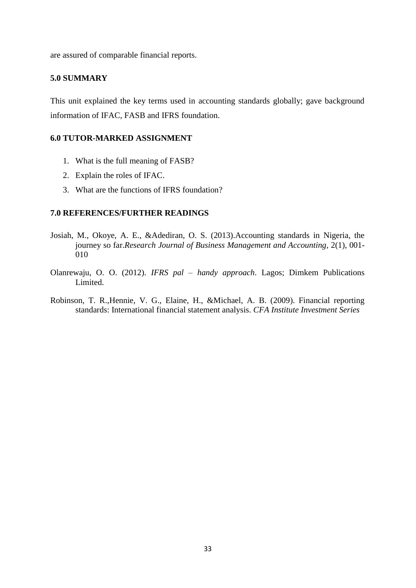are assured of comparable financial reports.

#### **5.0 SUMMARY**

This unit explained the key terms used in accounting standards globally; gave background information of IFAC, FASB and IFRS foundation.

#### **6.0 TUTOR-MARKED ASSIGNMENT**

- 1. What is the full meaning of FASB?
- 2. Explain the roles of IFAC.
- 3. What are the functions of IFRS foundation?

#### **7.0 REFERENCES/FURTHER READINGS**

- Josiah, M., Okoye, A. E., &Adediran, O. S. (2013).Accounting standards in Nigeria, the journey so far.*Research Journal of Business Management and Accounting,* 2(1), 001- 010
- Olanrewaju, O. O. (2012). *IFRS pal – handy approach*. Lagos; Dimkem Publications Limited.
- Robinson, T. R.,Hennie, V. G., Elaine, H., &Michael, A. B. (2009). Financial reporting standards: International financial statement analysis. *CFA Institute Investment Series*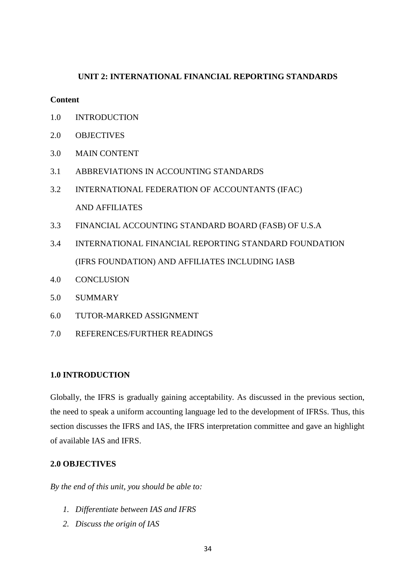## **UNIT 2: INTERNATIONAL FINANCIAL REPORTING STANDARDS**

#### **Content**

- 1.0 INTRODUCTION
- 2.0 OBJECTIVES
- 3.0 MAIN CONTENT
- 3.1 ABBREVIATIONS IN ACCOUNTING STANDARDS
- 3.2 INTERNATIONAL FEDERATION OF ACCOUNTANTS (IFAC) AND AFFILIATES
- 3.3 FINANCIAL ACCOUNTING STANDARD BOARD (FASB) OF U.S.A
- 3.4 INTERNATIONAL FINANCIAL REPORTING STANDARD FOUNDATION (IFRS FOUNDATION) AND AFFILIATES INCLUDING IASB
- 4.0 CONCLUSION
- 5.0 SUMMARY
- 6.0 TUTOR-MARKED ASSIGNMENT
- 7.0 REFERENCES/FURTHER READINGS

#### **1.0 INTRODUCTION**

Globally, the IFRS is gradually gaining acceptability. As discussed in the previous section, the need to speak a uniform accounting language led to the development of IFRSs. Thus, this section discusses the IFRS and IAS, the IFRS interpretation committee and gave an highlight of available IAS and IFRS.

#### **2.0 OBJECTIVES**

*By the end of this unit, you should be able to:*

- *1. Differentiate between IAS and IFRS*
- *2. Discuss the origin of IAS*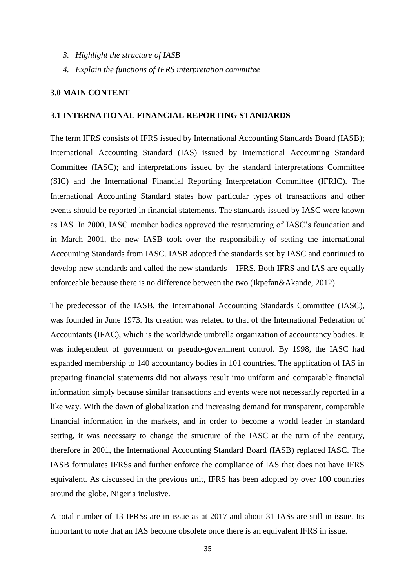- *3. Highlight the structure of IASB*
- *4. Explain the functions of IFRS interpretation committee*

#### **3.0 MAIN CONTENT**

#### **3.1 INTERNATIONAL FINANCIAL REPORTING STANDARDS**

The term IFRS consists of IFRS issued by International Accounting Standards Board (IASB); International Accounting Standard (IAS) issued by International Accounting Standard Committee (IASC); and interpretations issued by the standard interpretations Committee (SIC) and the International Financial Reporting Interpretation Committee (IFRIC). The International Accounting Standard states how particular types of transactions and other events should be reported in financial statements. The standards issued by IASC were known as IAS. In 2000, IASC member bodies approved the restructuring of IASC's foundation and in March 2001, the new IASB took over the responsibility of setting the international Accounting Standards from IASC. IASB adopted the standards set by IASC and continued to develop new standards and called the new standards – IFRS. Both IFRS and IAS are equally enforceable because there is no difference between the two (Ikpefan&Akande, 2012).

The predecessor of the IASB, the International Accounting Standards Committee (IASC), was founded in June 1973. Its creation was related to that of the International Federation of Accountants (IFAC), which is the worldwide umbrella organization of accountancy bodies. It was independent of government or pseudo-government control. By 1998, the IASC had expanded membership to 140 accountancy bodies in 101 countries. The application of IAS in preparing financial statements did not always result into uniform and comparable financial information simply because similar transactions and events were not necessarily reported in a like way. With the dawn of globalization and increasing demand for transparent, comparable financial information in the markets, and in order to become a world leader in standard setting, it was necessary to change the structure of the IASC at the turn of the century, therefore in 2001, the International Accounting Standard Board (IASB) replaced IASC. The IASB formulates IFRSs and further enforce the compliance of IAS that does not have IFRS equivalent. As discussed in the previous unit, IFRS has been adopted by over 100 countries around the globe, Nigeria inclusive.

A total number of 13 IFRSs are in issue as at 2017 and about 31 IASs are still in issue. Its important to note that an IAS become obsolete once there is an equivalent IFRS in issue.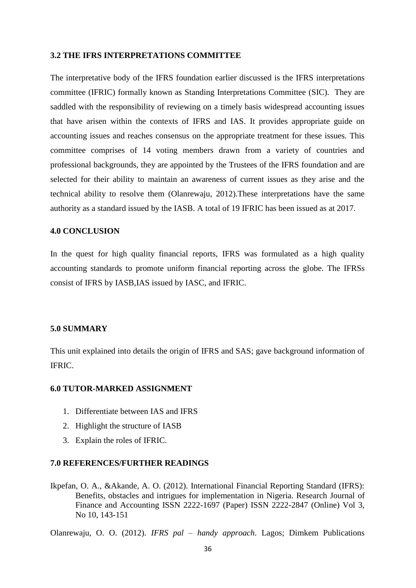#### **3.2 THE IFRS INTERPRETATIONS COMMITTEE**

The interpretative body of the IFRS foundation earlier discussed is the IFRS interpretations committee (IFRIC) formally known as Standing Interpretations Committee (SIC). They are saddled with the responsibility of reviewing on a timely basis widespread accounting issues that have arisen within the contexts of IFRS and IAS. It provides appropriate guide on accounting issues and reaches consensus on the appropriate treatment for these issues. This committee comprises of 14 voting members drawn from a variety of countries and professional backgrounds, they are appointed by the Trustees of the IFRS foundation and are selected for their ability to maintain an awareness of current issues as they arise and the technical ability to resolve them (Olanrewaju, 2012).These interpretations have the same authority as a standard issued by the IASB. A total of 19 IFRIC has been issued as at 2017.

#### **4.0 CONCLUSION**

In the quest for high quality financial reports, IFRS was formulated as a high quality accounting standards to promote uniform financial reporting across the globe. The IFRSs consist of IFRS by IASB,IAS issued by IASC, and IFRIC.

#### **5.0 SUMMARY**

This unit explained into details the origin of IFRS and SAS; gave background information of IFRIC.

### **6.0 TUTOR-MARKED ASSIGNMENT**

- 1. Differentiate between IAS and IFRS
- 2. Highlight the structure of IASB
- 3. Explain the roles of IFRIC.

#### **7.0 REFERENCES/FURTHER READINGS**

Ikpefan, O. A., &Akande, A. O. (2012). International Financial Reporting Standard (IFRS): Benefits, obstacles and intrigues for implementation in Nigeria. Research Journal of Finance and Accounting ISSN 2222-1697 (Paper) ISSN 2222-2847 (Online) Vol 3, No 10, 143-151

Olanrewaju, O. O. (2012). *IFRS pal – handy approach*. Lagos; Dimkem Publications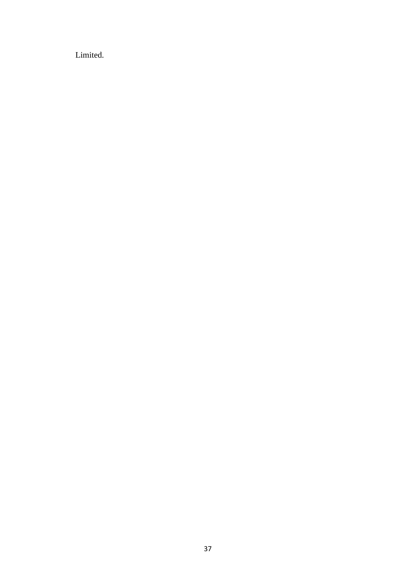Limited.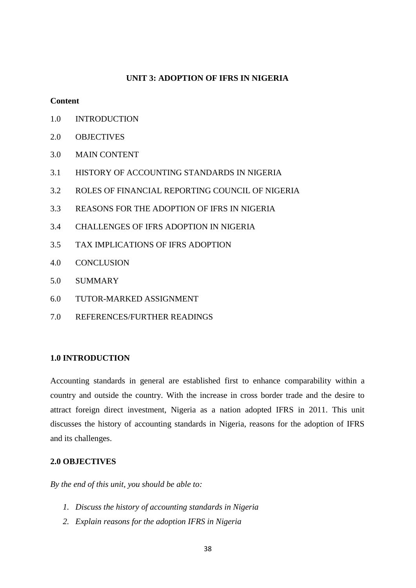#### **UNIT 3: ADOPTION OF IFRS IN NIGERIA**

## **Content**

- 1.0 INTRODUCTION
- 2.0 OBJECTIVES
- 3.0 MAIN CONTENT
- 3.1 HISTORY OF ACCOUNTING STANDARDS IN NIGERIA
- 3.2 ROLES OF FINANCIAL REPORTING COUNCIL OF NIGERIA
- 3.3 REASONS FOR THE ADOPTION OF IFRS IN NIGERIA
- 3.4 CHALLENGES OF IFRS ADOPTION IN NIGERIA
- 3.5 TAX IMPLICATIONS OF IFRS ADOPTION
- 4.0 CONCLUSION
- 5.0 SUMMARY
- 6.0 TUTOR-MARKED ASSIGNMENT
- 7.0 REFERENCES/FURTHER READINGS

## **1.0 INTRODUCTION**

Accounting standards in general are established first to enhance comparability within a country and outside the country. With the increase in cross border trade and the desire to attract foreign direct investment, Nigeria as a nation adopted IFRS in 2011. This unit discusses the history of accounting standards in Nigeria, reasons for the adoption of IFRS and its challenges.

#### **2.0 OBJECTIVES**

*By the end of this unit, you should be able to:*

- *1. Discuss the history of accounting standards in Nigeria*
- *2. Explain reasons for the adoption IFRS in Nigeria*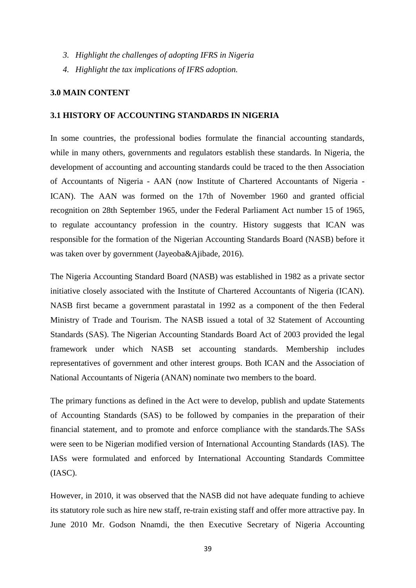- *3. Highlight the challenges of adopting IFRS in Nigeria*
- *4. Highlight the tax implications of IFRS adoption.*

#### **3.0 MAIN CONTENT**

#### **3.1 HISTORY OF ACCOUNTING STANDARDS IN NIGERIA**

In some countries, the professional bodies formulate the financial accounting standards, while in many others, governments and regulators establish these standards. In Nigeria, the development of accounting and accounting standards could be traced to the then Association of Accountants of Nigeria - AAN (now Institute of Chartered Accountants of Nigeria - ICAN). The AAN was formed on the 17th of November 1960 and granted official recognition on 28th September 1965, under the Federal Parliament Act number 15 of 1965, to regulate accountancy profession in the country. History suggests that ICAN was responsible for the formation of the Nigerian Accounting Standards Board (NASB) before it was taken over by government (Jayeoba&Ajibade, 2016).

The Nigeria Accounting Standard Board (NASB) was established in 1982 as a private sector initiative closely associated with the Institute of Chartered Accountants of Nigeria (ICAN). NASB first became a government parastatal in 1992 as a component of the then Federal Ministry of Trade and Tourism. The NASB issued a total of 32 Statement of Accounting Standards (SAS). The Nigerian Accounting Standards Board Act of 2003 provided the legal framework under which NASB set accounting standards. Membership includes representatives of government and other interest groups. Both ICAN and the Association of National Accountants of Nigeria (ANAN) nominate two members to the board.

The primary functions as defined in the Act were to develop, publish and update Statements of Accounting Standards (SAS) to be followed by companies in the preparation of their financial statement, and to promote and enforce compliance with the standards.The SASs were seen to be Nigerian modified version of International Accounting Standards (IAS). The IASs were formulated and enforced by International Accounting Standards Committee (IASC).

However, in 2010, it was observed that the NASB did not have adequate funding to achieve its statutory role such as hire new staff, re-train existing staff and offer more attractive pay. In June 2010 Mr. Godson Nnamdi, the then Executive Secretary of Nigeria Accounting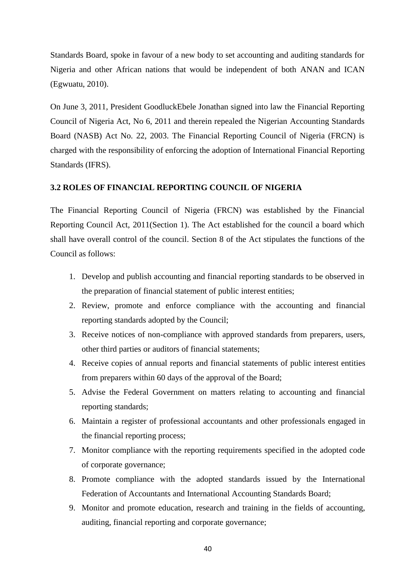Standards Board, spoke in favour of a new body to set accounting and auditing standards for Nigeria and other African nations that would be independent of both ANAN and ICAN (Egwuatu, 2010).

On June 3, 2011, President GoodluckEbele Jonathan signed into law the Financial Reporting Council of Nigeria Act, No 6, 2011 and therein repealed the Nigerian Accounting Standards Board (NASB) Act No. 22, 2003. The Financial Reporting Council of Nigeria (FRCN) is charged with the responsibility of enforcing the adoption of International Financial Reporting Standards (IFRS).

## **3.2 ROLES OF FINANCIAL REPORTING COUNCIL OF NIGERIA**

The Financial Reporting Council of Nigeria (FRCN) was established by the Financial Reporting Council Act, 2011(Section 1). The Act established for the council a board which shall have overall control of the council. Section 8 of the Act stipulates the functions of the Council as follows:

- 1. Develop and publish accounting and financial reporting standards to be observed in the preparation of financial statement of public interest entities;
- 2. Review, promote and enforce compliance with the accounting and financial reporting standards adopted by the Council;
- 3. Receive notices of non-compliance with approved standards from preparers, users, other third parties or auditors of financial statements;
- 4. Receive copies of annual reports and financial statements of public interest entities from preparers within 60 days of the approval of the Board;
- 5. Advise the Federal Government on matters relating to accounting and financial reporting standards;
- 6. Maintain a register of professional accountants and other professionals engaged in the financial reporting process;
- 7. Monitor compliance with the reporting requirements specified in the adopted code of corporate governance;
- 8. Promote compliance with the adopted standards issued by the International Federation of Accountants and International Accounting Standards Board;
- 9. Monitor and promote education, research and training in the fields of accounting, auditing, financial reporting and corporate governance;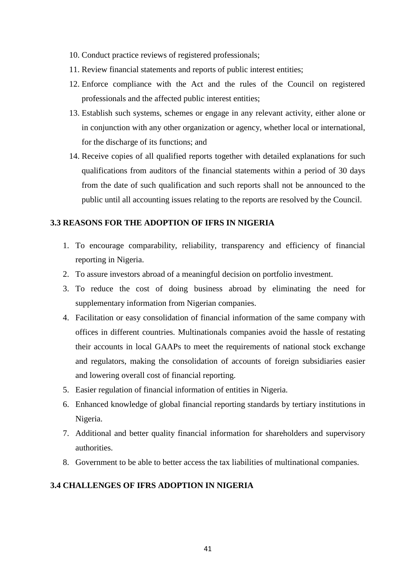- 10. Conduct practice reviews of registered professionals;
- 11. Review financial statements and reports of public interest entities;
- 12. Enforce compliance with the Act and the rules of the Council on registered professionals and the affected public interest entities;
- 13. Establish such systems, schemes or engage in any relevant activity, either alone or in conjunction with any other organization or agency, whether local or international, for the discharge of its functions; and
- 14. Receive copies of all qualified reports together with detailed explanations for such qualifications from auditors of the financial statements within a period of 30 days from the date of such qualification and such reports shall not be announced to the public until all accounting issues relating to the reports are resolved by the Council.

## **3.3 REASONS FOR THE ADOPTION OF IFRS IN NIGERIA**

- 1. To encourage comparability, reliability, transparency and efficiency of financial reporting in Nigeria.
- 2. To assure investors abroad of a meaningful decision on portfolio investment.
- 3. To reduce the cost of doing business abroad by eliminating the need for supplementary information from Nigerian companies.
- 4. Facilitation or easy consolidation of financial information of the same company with offices in different countries. Multinationals companies avoid the hassle of restating their accounts in local GAAPs to meet the requirements of national stock exchange and regulators, making the consolidation of accounts of foreign subsidiaries easier and lowering overall cost of financial reporting.
- 5. Easier regulation of financial information of entities in Nigeria.
- 6. Enhanced knowledge of global financial reporting standards by tertiary institutions in Nigeria.
- 7. Additional and better quality financial information for shareholders and supervisory authorities.
- 8. Government to be able to better access the tax liabilities of multinational companies.

## **3.4 CHALLENGES OF IFRS ADOPTION IN NIGERIA**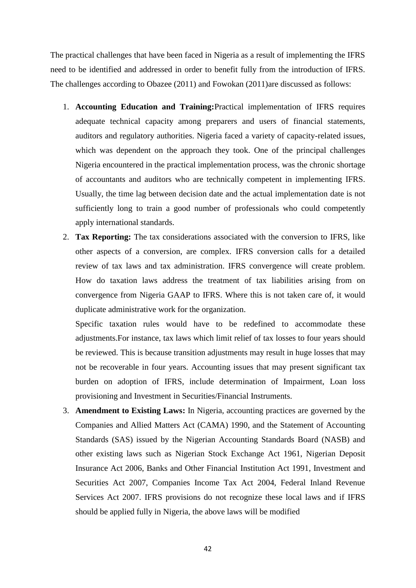The practical challenges that have been faced in Nigeria as a result of implementing the IFRS need to be identified and addressed in order to benefit fully from the introduction of IFRS. The challenges according to Obazee (2011) and Fowokan (2011)are discussed as follows:

- 1. **Accounting Education and Training:**Practical implementation of IFRS requires adequate technical capacity among preparers and users of financial statements, auditors and regulatory authorities. Nigeria faced a variety of capacity-related issues, which was dependent on the approach they took. One of the principal challenges Nigeria encountered in the practical implementation process, was the chronic shortage of accountants and auditors who are technically competent in implementing IFRS. Usually, the time lag between decision date and the actual implementation date is not sufficiently long to train a good number of professionals who could competently apply international standards.
- 2. **Tax Reporting:** The tax considerations associated with the conversion to IFRS, like other aspects of a conversion, are complex. IFRS conversion calls for a detailed review of tax laws and tax administration. IFRS convergence will create problem. How do taxation laws address the treatment of tax liabilities arising from on convergence from Nigeria GAAP to IFRS. Where this is not taken care of, it would duplicate administrative work for the organization.

Specific taxation rules would have to be redefined to accommodate these adjustments.For instance, tax laws which limit relief of tax losses to four years should be reviewed. This is because transition adjustments may result in huge losses that may not be recoverable in four years. Accounting issues that may present significant tax burden on adoption of IFRS, include determination of Impairment, Loan loss provisioning and Investment in Securities/Financial Instruments.

3. **Amendment to Existing Laws:** In Nigeria, accounting practices are governed by the Companies and Allied Matters Act (CAMA) 1990, and the Statement of Accounting Standards (SAS) issued by the Nigerian Accounting Standards Board (NASB) and other existing laws such as Nigerian Stock Exchange Act 1961, Nigerian Deposit Insurance Act 2006, Banks and Other Financial Institution Act 1991, Investment and Securities Act 2007, Companies Income Tax Act 2004, Federal Inland Revenue Services Act 2007. IFRS provisions do not recognize these local laws and if IFRS should be applied fully in Nigeria, the above laws will be modified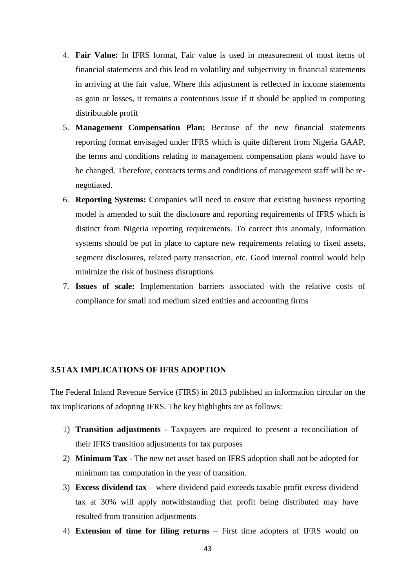- 4. **Fair Value:** In IFRS format, Fair value is used in measurement of most items of financial statements and this lead to volatility and subjectivity in financial statements in arriving at the fair value. Where this adjustment is reflected in income statements as gain or losses, it remains a contentious issue if it should be applied in computing distributable profit
- 5. **Management Compensation Plan:** Because of the new financial statements reporting format envisaged under IFRS which is quite different from Nigeria GAAP, the terms and conditions relating to management compensation plans would have to be changed. Therefore, contracts terms and conditions of management staff will be renegotiated.
- 6. **Reporting Systems:** Companies will need to ensure that existing business reporting model is amended to suit the disclosure and reporting requirements of IFRS which is distinct from Nigeria reporting requirements. To correct this anomaly, information systems should be put in place to capture new requirements relating to fixed assets, segment disclosures, related party transaction, etc. Good internal control would help minimize the risk of business disruptions
- 7. **Issues of scale:** Implementation barriers associated with the relative costs of compliance for small and medium sized entities and accounting firms

#### **3.5TAX IMPLICATIONS OF IFRS ADOPTION**

The Federal Inland Revenue Service (FIRS) in 2013 published an information circular on the tax implications of adopting IFRS. The key highlights are as follows:

- 1) **Transition adjustments -** Taxpayers are required to present a reconciliation of their IFRS transition adjustments for tax purposes
- 2) **Minimum Tax** The new net asset based on IFRS adoption shall not be adopted for minimum tax computation in the year of transition.
- 3) **Excess dividend tax** where dividend paid exceeds taxable profit excess dividend tax at 30% will apply notwithstanding that profit being distributed may have resulted from transition adjustments
- 4) **Extension of time for filing returns** First time adopters of IFRS would on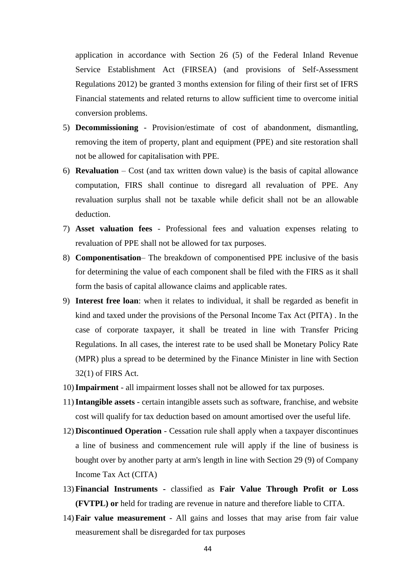application in accordance with Section 26 (5) of the Federal Inland Revenue Service Establishment Act (FIRSEA) (and provisions of Self-Assessment Regulations 2012) be granted 3 months extension for filing of their first set of IFRS Financial statements and related returns to allow sufficient time to overcome initial conversion problems.

- 5) **Decommissioning**  Provision/estimate of cost of abandonment, dismantling, removing the item of property, plant and equipment (PPE) and site restoration shall not be allowed for capitalisation with PPE.
- 6) **Revaluation**  Cost (and tax written down value) is the basis of capital allowance computation, FIRS shall continue to disregard all revaluation of PPE. Any revaluation surplus shall not be taxable while deficit shall not be an allowable deduction.
- 7) **Asset valuation fees**  Professional fees and valuation expenses relating to revaluation of PPE shall not be allowed for tax purposes.
- 8) **Componentisation** The breakdown of componentised PPE inclusive of the basis for determining the value of each component shall be filed with the FIRS as it shall form the basis of capital allowance claims and applicable rates.
- 9) **Interest free loan**: when it relates to individual, it shall be regarded as benefit in kind and taxed under the provisions of the Personal Income Tax Act (PITA) . In the case of corporate taxpayer, it shall be treated in line with Transfer Pricing Regulations. In all cases, the interest rate to be used shall be Monetary Policy Rate (MPR) plus a spread to be determined by the Finance Minister in line with Section 32(1) of FIRS Act.
- 10)**Impairment** all impairment losses shall not be allowed for tax purposes.
- 11)**Intangible assets**  certain intangible assets such as software, franchise, and website cost will qualify for tax deduction based on amount amortised over the useful life.
- 12) **Discontinued Operation** Cessation rule shall apply when a taxpayer discontinues a line of business and commencement rule will apply if the line of business is bought over by another party at arm's length in line with Section 29 (9) of Company Income Tax Act (CITA)
- 13) **Financial Instruments -** classified as **Fair Value Through Profit or Loss (FVTPL) or** held for trading are revenue in nature and therefore liable to CITA.
- 14) **Fair value measurement** All gains and losses that may arise from fair value measurement shall be disregarded for tax purposes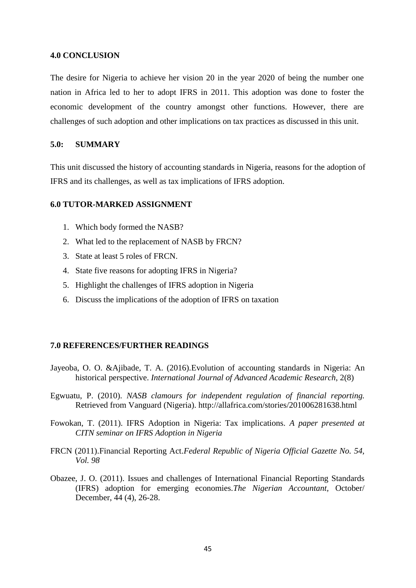#### **4.0 CONCLUSION**

The desire for Nigeria to achieve her vision 20 in the year 2020 of being the number one nation in Africa led to her to adopt IFRS in 2011. This adoption was done to foster the economic development of the country amongst other functions. However, there are challenges of such adoption and other implications on tax practices as discussed in this unit.

#### **5.0: SUMMARY**

This unit discussed the history of accounting standards in Nigeria, reasons for the adoption of IFRS and its challenges, as well as tax implications of IFRS adoption.

## **6.0 TUTOR-MARKED ASSIGNMENT**

- 1. Which body formed the NASB?
- 2. What led to the replacement of NASB by FRCN?
- 3. State at least 5 roles of FRCN.
- 4. State five reasons for adopting IFRS in Nigeria?
- 5. Highlight the challenges of IFRS adoption in Nigeria
- 6. Discuss the implications of the adoption of IFRS on taxation

#### **7.0 REFERENCES/FURTHER READINGS**

- Jayeoba, O. O. &Ajibade, T. A. (2016).Evolution of accounting standards in Nigeria: An historical perspective. *International Journal of Advanced Academic Research*, 2(8)
- Egwuatu, P. (2010). *NASB clamours for independent regulation of financial reporting.*  Retrieved from Vanguard (Nigeria). http://allafrica.com/stories/201006281638.html
- Fowokan, T. (2011). IFRS Adoption in Nigeria: Tax implications. *A paper presented at CITN seminar on IFRS Adoption in Nigeria*
- FRCN (2011).Financial Reporting Act.*Federal Republic of Nigeria Official Gazette No. 54, Vol. 98*
- Obazee, J. O. (2011). Issues and challenges of International Financial Reporting Standards (IFRS) adoption for emerging economies.*The Nigerian Accountant,* October/ December, 44 (4), 26-28.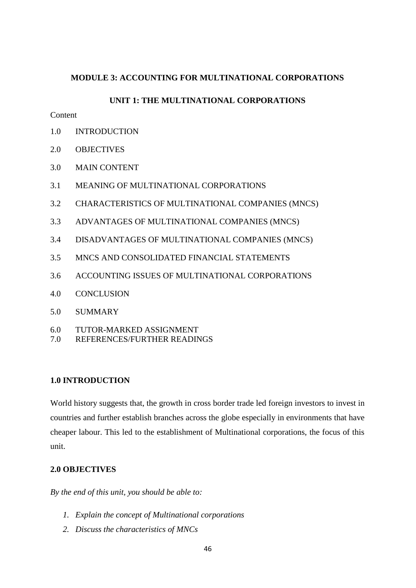## **MODULE 3: ACCOUNTING FOR MULTINATIONAL CORPORATIONS**

## **UNIT 1: THE MULTINATIONAL CORPORATIONS**

# **Content**

- 1.0 INTRODUCTION
- 2.0 OBJECTIVES
- 3.0 MAIN CONTENT
- 3.1 MEANING OF MULTINATIONAL CORPORATIONS
- 3.2 CHARACTERISTICS OF MULTINATIONAL COMPANIES (MNCS)
- 3.3 ADVANTAGES OF MULTINATIONAL COMPANIES (MNCS)
- 3.4 DISADVANTAGES OF MULTINATIONAL COMPANIES (MNCS)
- 3.5 MNCS AND CONSOLIDATED FINANCIAL STATEMENTS
- 3.6 ACCOUNTING ISSUES OF MULTINATIONAL CORPORATIONS
- 4.0 CONCLUSION
- 5.0 SUMMARY
- 6.0 TUTOR-MARKED ASSIGNMENT
- 7.0 REFERENCES/FURTHER READINGS

## **1.0 INTRODUCTION**

World history suggests that, the growth in cross border trade led foreign investors to invest in countries and further establish branches across the globe especially in environments that have cheaper labour. This led to the establishment of Multinational corporations, the focus of this unit.

# **2.0 OBJECTIVES**

*By the end of this unit, you should be able to:*

- *1. Explain the concept of Multinational corporations*
- *2. Discuss the characteristics of MNCs*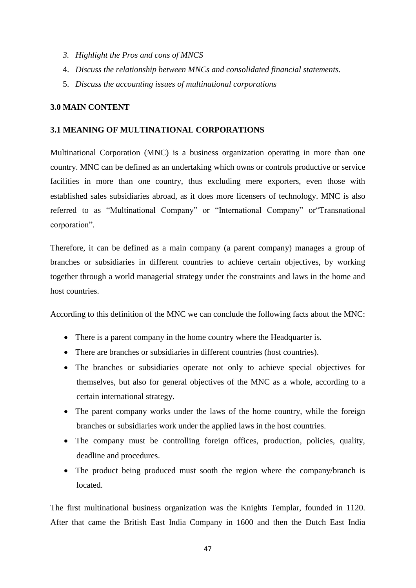- *3. Highlight the Pros and cons of MNCS*
- 4. *Discuss the relationship between MNCs and consolidated financial statements.*
- 5. *Discuss the accounting issues of multinational corporations*

## **3.0 MAIN CONTENT**

## **3.1 MEANING OF MULTINATIONAL CORPORATIONS**

Multinational Corporation (MNC) is a business organization operating in more than one country. MNC can be defined as an undertaking which owns or controls productive or service facilities in more than one country, thus excluding mere exporters, even those with established sales subsidiaries abroad, as it does more licensers of technology. MNC is also referred to as "Multinational Company" or "International Company" or"Transnational corporation".

Therefore, it can be defined as a main company (a parent company) manages a group of branches or subsidiaries in different countries to achieve certain objectives, by working together through a world managerial strategy under the constraints and laws in the home and host countries.

According to this definition of the MNC we can conclude the following facts about the MNC:

- There is a parent company in the home country where the Headquarter is.
- There are branches or subsidiaries in different countries (host countries).
- The branches or subsidiaries operate not only to achieve special objectives for themselves, but also for general objectives of the MNC as a whole, according to a certain international strategy.
- The parent company works under the laws of the home country, while the foreign branches or subsidiaries work under the applied laws in the host countries.
- The company must be controlling foreign offices, production, policies, quality, deadline and procedures.
- The product being produced must sooth the region where the company/branch is located.

The first multinational business organization was the Knights Templar, founded in 1120. After that came the British East India Company in 1600 and then the Dutch East India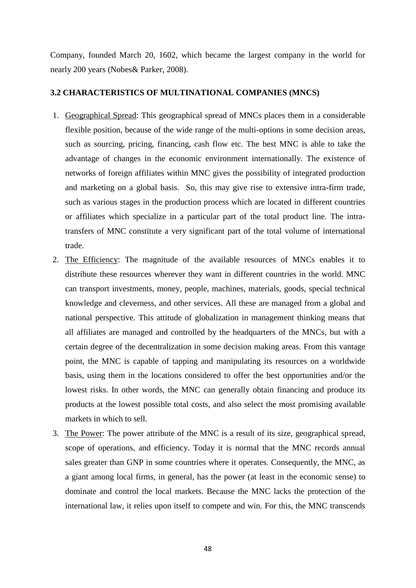Company, founded March 20, 1602, which became the largest company in the world for nearly 200 years (Nobes& Parker, 2008).

#### **3.2 CHARACTERISTICS OF MULTINATIONAL COMPANIES (MNCS)**

- 1. Geographical Spread: This geographical spread of MNCs places them in a considerable flexible position, because of the wide range of the multi-options in some decision areas, such as sourcing, pricing, financing, cash flow etc. The best MNC is able to take the advantage of changes in the economic environment internationally. The existence of networks of foreign affiliates within MNC gives the possibility of integrated production and marketing on a global basis. So, this may give rise to extensive intra-firm trade, such as various stages in the production process which are located in different countries or affiliates which specialize in a particular part of the total product line. The intratransfers of MNC constitute a very significant part of the total volume of international trade.
- 2. The Efficiency: The magnitude of the available resources of MNCs enables it to distribute these resources wherever they want in different countries in the world. MNC can transport investments, money, people, machines, materials, goods, special technical knowledge and cleverness, and other services. All these are managed from a global and national perspective. This attitude of globalization in management thinking means that all affiliates are managed and controlled by the headquarters of the MNCs, but with a certain degree of the decentralization in some decision making areas. From this vantage point, the MNC is capable of tapping and manipulating its resources on a worldwide basis, using them in the locations considered to offer the best opportunities and/or the lowest risks. In other words, the MNC can generally obtain financing and produce its products at the lowest possible total costs, and also select the most promising available markets in which to sell.
- 3. The Power: The power attribute of the MNC is a result of its size, geographical spread, scope of operations, and efficiency. Today it is normal that the MNC records annual sales greater than GNP in some countries where it operates. Consequently, the MNC, as a giant among local firms, in general, has the power (at least in the economic sense) to dominate and control the local markets. Because the MNC lacks the protection of the international law, it relies upon itself to compete and win. For this, the MNC transcends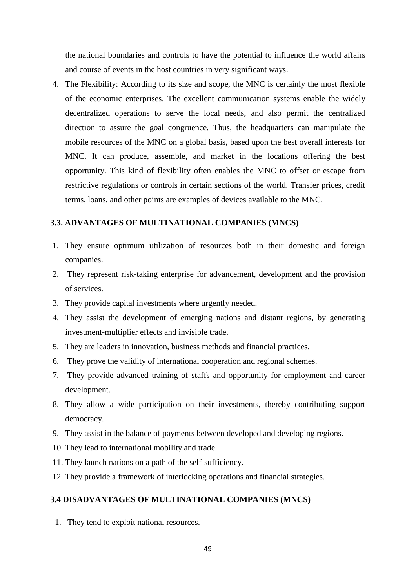the national boundaries and controls to have the potential to influence the world affairs and course of events in the host countries in very significant ways.

4. The Flexibility: According to its size and scope, the MNC is certainly the most flexible of the economic enterprises. The excellent communication systems enable the widely decentralized operations to serve the local needs, and also permit the centralized direction to assure the goal congruence. Thus, the headquarters can manipulate the mobile resources of the MNC on a global basis, based upon the best overall interests for MNC. It can produce, assemble, and market in the locations offering the best opportunity. This kind of flexibility often enables the MNC to offset or escape from restrictive regulations or controls in certain sections of the world. Transfer prices, credit terms, loans, and other points are examples of devices available to the MNC.

## **3.3. ADVANTAGES OF MULTINATIONAL COMPANIES (MNCS)**

- 1. They ensure optimum utilization of resources both in their domestic and foreign companies.
- 2. They represent risk-taking enterprise for advancement, development and the provision of services.
- 3. They provide capital investments where urgently needed.
- 4. They assist the development of emerging nations and distant regions, by generating investment-multiplier effects and invisible trade.
- 5. They are leaders in innovation, business methods and financial practices.
- 6. They prove the validity of international cooperation and regional schemes.
- 7. They provide advanced training of staffs and opportunity for employment and career development.
- 8. They allow a wide participation on their investments, thereby contributing support democracy.
- 9. They assist in the balance of payments between developed and developing regions.
- 10. They lead to international mobility and trade.
- 11. They launch nations on a path of the self-sufficiency.
- 12. They provide a framework of interlocking operations and financial strategies.

## **3.4 DISADVANTAGES OF MULTINATIONAL COMPANIES (MNCS)**

1. They tend to exploit national resources.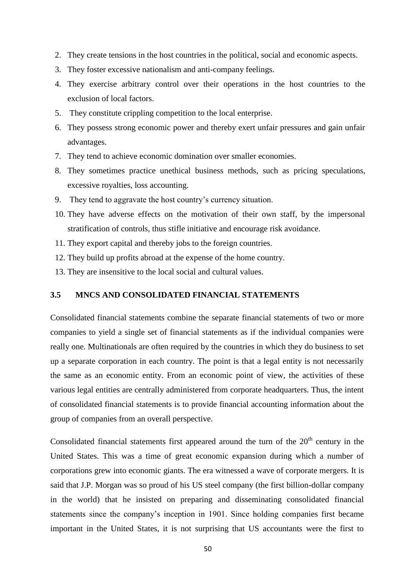- 2. They create tensions in the host countries in the political, social and economic aspects.
- 3. They foster excessive nationalism and anti-company feelings.
- 4. They exercise arbitrary control over their operations in the host countries to the exclusion of local factors.
- 5. They constitute crippling competition to the local enterprise.
- 6. They possess strong economic power and thereby exert unfair pressures and gain unfair advantages.
- 7. They tend to achieve economic domination over smaller economies.
- 8. They sometimes practice unethical business methods, such as pricing speculations, excessive royalties, loss accounting.
- 9. They tend to aggravate the host country's currency situation.
- 10. They have adverse effects on the motivation of their own staff, by the impersonal stratification of controls, thus stifle initiative and encourage risk avoidance.
- 11. They export capital and thereby jobs to the foreign countries.
- 12. They build up profits abroad at the expense of the home country.
- 13. They are insensitive to the local social and cultural values.

#### **3.5 MNCS AND CONSOLIDATED FINANCIAL STATEMENTS**

Consolidated financial statements combine the separate financial statements of two or more companies to yield a single set of financial statements as if the individual companies were really one. Multinationals are often required by the countries in which they do business to set up a separate corporation in each country. The point is that a legal entity is not necessarily the same as an economic entity. From an economic point of view, the activities of these various legal entities are centrally administered from corporate headquarters. Thus, the intent of consolidated financial statements is to provide financial accounting information about the group of companies from an overall perspective.

Consolidated financial statements first appeared around the turn of the  $20<sup>th</sup>$  century in the United States. This was a time of great economic expansion during which a number of corporations grew into economic giants. The era witnessed a wave of corporate mergers. It is said that J.P. Morgan was so proud of his US steel company (the first billion-dollar company in the world) that he insisted on preparing and disseminating consolidated financial statements since the company's inception in 1901. Since holding companies first became important in the United States, it is not surprising that US accountants were the first to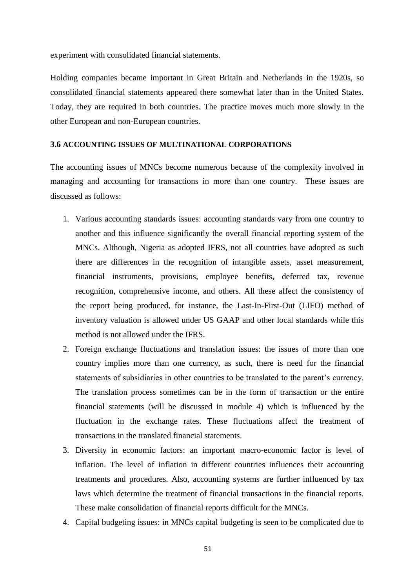experiment with consolidated financial statements.

Holding companies became important in Great Britain and Netherlands in the 1920s, so consolidated financial statements appeared there somewhat later than in the United States. Today, they are required in both countries. The practice moves much more slowly in the other European and non-European countries.

#### **3.6 ACCOUNTING ISSUES OF MULTINATIONAL CORPORATIONS**

The accounting issues of MNCs become numerous because of the complexity involved in managing and accounting for transactions in more than one country. These issues are discussed as follows:

- 1. Various accounting standards issues: accounting standards vary from one country to another and this influence significantly the overall financial reporting system of the MNCs. Although, Nigeria as adopted IFRS, not all countries have adopted as such there are differences in the recognition of intangible assets, asset measurement, financial instruments, provisions, employee benefits, deferred tax, revenue recognition, comprehensive income, and others. All these affect the consistency of the report being produced, for instance, the Last-In-First-Out (LIFO) method of inventory valuation is allowed under US GAAP and other local standards while this method is not allowed under the IFRS.
- 2. Foreign exchange fluctuations and translation issues: the issues of more than one country implies more than one currency, as such, there is need for the financial statements of subsidiaries in other countries to be translated to the parent's currency. The translation process sometimes can be in the form of transaction or the entire financial statements (will be discussed in module 4) which is influenced by the fluctuation in the exchange rates. These fluctuations affect the treatment of transactions in the translated financial statements.
- 3. Diversity in economic factors: an important macro-economic factor is level of inflation. The level of inflation in different countries influences their accounting treatments and procedures. Also, accounting systems are further influenced by tax laws which determine the treatment of financial transactions in the financial reports. These make consolidation of financial reports difficult for the MNCs.
- 4. Capital budgeting issues: in MNCs capital budgeting is seen to be complicated due to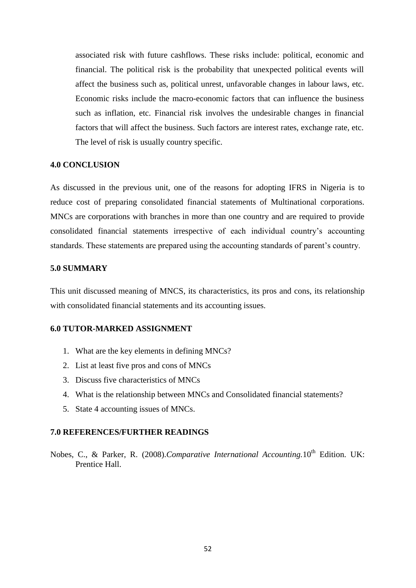associated risk with future cashflows. These risks include: political, economic and financial. The political risk is the probability that unexpected political events will affect the business such as, political unrest, unfavorable changes in labour laws, etc. Economic risks include the macro-economic factors that can influence the business such as inflation, etc. Financial risk involves the undesirable changes in financial factors that will affect the business. Such factors are interest rates, exchange rate, etc. The level of risk is usually country specific.

#### **4.0 CONCLUSION**

As discussed in the previous unit, one of the reasons for adopting IFRS in Nigeria is to reduce cost of preparing consolidated financial statements of Multinational corporations. MNCs are corporations with branches in more than one country and are required to provide consolidated financial statements irrespective of each individual country's accounting standards. These statements are prepared using the accounting standards of parent's country.

#### **5.0 SUMMARY**

This unit discussed meaning of MNCS, its characteristics, its pros and cons, its relationship with consolidated financial statements and its accounting issues.

# **6.0 TUTOR-MARKED ASSIGNMENT**

- 1. What are the key elements in defining MNCs?
- 2. List at least five pros and cons of MNCs
- 3. Discuss five characteristics of MNCs
- 4. What is the relationship between MNCs and Consolidated financial statements?
- 5. State 4 accounting issues of MNCs.

#### **7.0 REFERENCES/FURTHER READINGS**

Nobes, C., & Parker, R. (2008). Comparative International Accounting. 10<sup>th</sup> Edition. UK: Prentice Hall.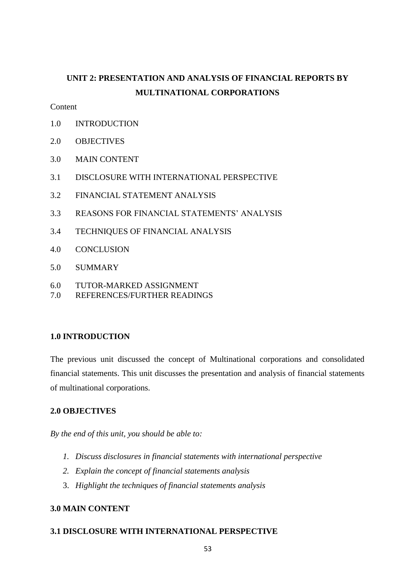# **UNIT 2: PRESENTATION AND ANALYSIS OF FINANCIAL REPORTS BY MULTINATIONAL CORPORATIONS**

**Content** 

- 1.0 INTRODUCTION
- 2.0 OBJECTIVES
- 3.0 MAIN CONTENT
- 3.1 DISCLOSURE WITH INTERNATIONAL PERSPECTIVE
- 3.2 FINANCIAL STATEMENT ANALYSIS
- 3.3 REASONS FOR FINANCIAL STATEMENTS' ANALYSIS
- 3.4 TECHNIQUES OF FINANCIAL ANALYSIS
- 4.0 CONCLUSION
- 5.0 SUMMARY
- 6.0 TUTOR-MARKED ASSIGNMENT
- 7.0 REFERENCES/FURTHER READINGS

## **1.0 INTRODUCTION**

The previous unit discussed the concept of Multinational corporations and consolidated financial statements. This unit discusses the presentation and analysis of financial statements of multinational corporations.

# **2.0 OBJECTIVES**

*By the end of this unit, you should be able to:*

- *1. Discuss disclosures in financial statements with international perspective*
- *2. Explain the concept of financial statements analysis*
- 3. *Highlight the techniques of financial statements analysis*

# **3.0 MAIN CONTENT**

## **3.1 DISCLOSURE WITH INTERNATIONAL PERSPECTIVE**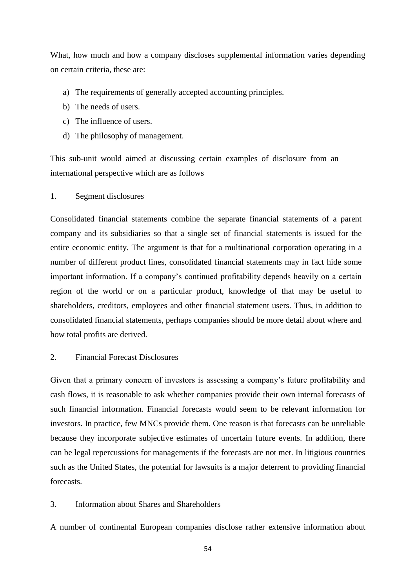What, how much and how a company discloses supplemental information varies depending on certain criteria, these are:

- a) The requirements of generally accepted accounting principles.
- b) The needs of users.
- c) The influence of users.
- d) The philosophy of management.

This sub-unit would aimed at discussing certain examples of disclosure from an international perspective which are as follows

1. Segment disclosures

Consolidated financial statements combine the separate financial statements of a parent company and its subsidiaries so that a single set of financial statements is issued for the entire economic entity. The argument is that for a multinational corporation operating in a number of different product lines, consolidated financial statements may in fact hide some important information. If a company's continued profitability depends heavily on a certain region of the world or on a particular product, knowledge of that may be useful to shareholders, creditors, employees and other financial statement users. Thus, in addition to consolidated financial statements, perhaps companies should be more detail about where and how total profits are derived.

## 2. Financial Forecast Disclosures

Given that a primary concern of investors is assessing a company's future profitability and cash flows, it is reasonable to ask whether companies provide their own internal forecasts of such financial information. Financial forecasts would seem to be relevant information for investors. In practice, few MNCs provide them. One reason is that forecasts can be unreliable because they incorporate subjective estimates of uncertain future events. In addition, there can be legal repercussions for managements if the forecasts are not met. In litigious countries such as the United States, the potential for lawsuits is a major deterrent to providing financial forecasts.

## 3. Information about Shares and Shareholders

A number of continental European companies disclose rather extensive information about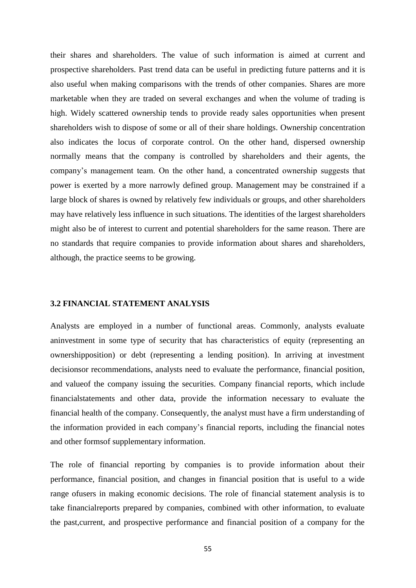their shares and shareholders. The value of such information is aimed at current and prospective shareholders. Past trend data can be useful in predicting future patterns and it is also useful when making comparisons with the trends of other companies. Shares are more marketable when they are traded on several exchanges and when the volume of trading is high. Widely scattered ownership tends to provide ready sales opportunities when present shareholders wish to dispose of some or all of their share holdings. Ownership concentration also indicates the locus of corporate control. On the other hand, dispersed ownership normally means that the company is controlled by shareholders and their agents, the company's management team. On the other hand, a concentrated ownership suggests that power is exerted by a more narrowly defined group. Management may be constrained if a large block of shares is owned by relatively few individuals or groups, and other shareholders may have relatively less influence in such situations. The identities of the largest shareholders might also be of interest to current and potential shareholders for the same reason. There are no standards that require companies to provide information about shares and shareholders, although, the practice seems to be growing.

#### **3.2 FINANCIAL STATEMENT ANALYSIS**

Analysts are employed in a number of functional areas. Commonly, analysts evaluate aninvestment in some type of security that has characteristics of equity (representing an ownershipposition) or debt (representing a lending position). In arriving at investment decisionsor recommendations, analysts need to evaluate the performance, financial position, and valueof the company issuing the securities. Company financial reports, which include financialstatements and other data, provide the information necessary to evaluate the financial health of the company. Consequently, the analyst must have a firm understanding of the information provided in each company's financial reports, including the financial notes and other formsof supplementary information.

The role of financial reporting by companies is to provide information about their performance, financial position, and changes in financial position that is useful to a wide range ofusers in making economic decisions. The role of financial statement analysis is to take financialreports prepared by companies, combined with other information, to evaluate the past,current, and prospective performance and financial position of a company for the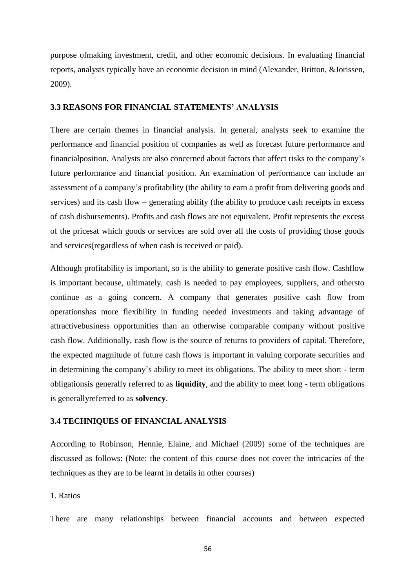purpose ofmaking investment, credit, and other economic decisions. In evaluating financial reports, analysts typically have an economic decision in mind (Alexander, Britton, &Jorissen, 2009).

#### **3.3 REASONS FOR FINANCIAL STATEMENTS' ANALYSIS**

There are certain themes in financial analysis. In general, analysts seek to examine the performance and financial position of companies as well as forecast future performance and financialposition. Analysts are also concerned about factors that affect risks to the company's future performance and financial position. An examination of performance can include an assessment of a company's profitability (the ability to earn a profit from delivering goods and services) and its cash flow – generating ability (the ability to produce cash receipts in excess of cash disbursements). Profits and cash flows are not equivalent. Profit represents the excess of the pricesat which goods or services are sold over all the costs of providing those goods and services(regardless of when cash is received or paid).

Although profitability is important, so is the ability to generate positive cash flow. Cashflow is important because, ultimately, cash is needed to pay employees, suppliers, and othersto continue as a going concern. A company that generates positive cash flow from operationshas more flexibility in funding needed investments and taking advantage of attractivebusiness opportunities than an otherwise comparable company without positive cash flow. Additionally, cash flow is the source of returns to providers of capital. Therefore, the expected magnitude of future cash flows is important in valuing corporate securities and in determining the company's ability to meet its obligations. The ability to meet short - term obligationsis generally referred to as **liquidity**, and the ability to meet long - term obligations is generallyreferred to as **solvency**.

#### **3.4 TECHNIQUES OF FINANCIAL ANALYSIS**

According to Robinson, Hennie, Elaine, and Michael (2009) some of the techniques are discussed as follows: (Note: the content of this course does not cover the intricacies of the techniques as they are to be learnt in details in other courses)

#### 1. Ratios

There are many relationships between financial accounts and between expected

56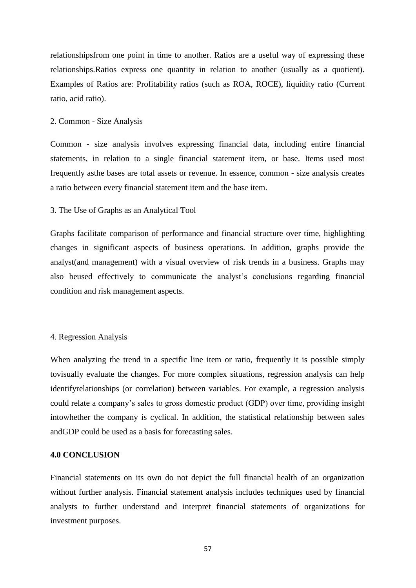relationshipsfrom one point in time to another. Ratios are a useful way of expressing these relationships.Ratios express one quantity in relation to another (usually as a quotient). Examples of Ratios are: Profitability ratios (such as ROA, ROCE), liquidity ratio (Current ratio, acid ratio).

#### 2. Common - Size Analysis

Common - size analysis involves expressing financial data, including entire financial statements, in relation to a single financial statement item, or base. Items used most frequently asthe bases are total assets or revenue. In essence, common - size analysis creates a ratio between every financial statement item and the base item.

#### 3. The Use of Graphs as an Analytical Tool

Graphs facilitate comparison of performance and financial structure over time, highlighting changes in significant aspects of business operations. In addition, graphs provide the analyst(and management) with a visual overview of risk trends in a business. Graphs may also beused effectively to communicate the analyst's conclusions regarding financial condition and risk management aspects.

#### 4. Regression Analysis

When analyzing the trend in a specific line item or ratio, frequently it is possible simply tovisually evaluate the changes. For more complex situations, regression analysis can help identifyrelationships (or correlation) between variables. For example, a regression analysis could relate a company's sales to gross domestic product (GDP) over time, providing insight intowhether the company is cyclical. In addition, the statistical relationship between sales andGDP could be used as a basis for forecasting sales.

#### **4.0 CONCLUSION**

Financial statements on its own do not depict the full financial health of an organization without further analysis. Financial statement analysis includes techniques used by financial analysts to further understand and interpret financial statements of organizations for investment purposes.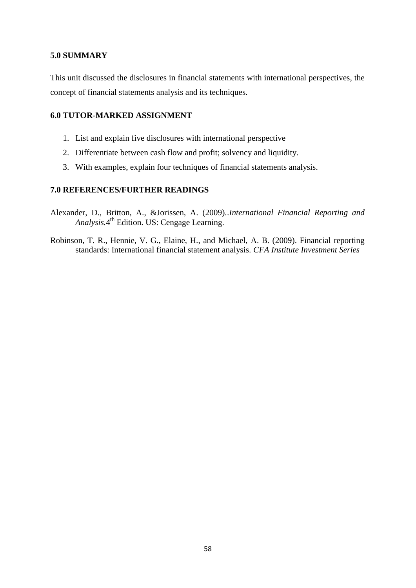## **5.0 SUMMARY**

This unit discussed the disclosures in financial statements with international perspectives, the concept of financial statements analysis and its techniques.

## **6.0 TUTOR-MARKED ASSIGNMENT**

- 1. List and explain five disclosures with international perspective
- 2. Differentiate between cash flow and profit; solvency and liquidity.
- 3. With examples, explain four techniques of financial statements analysis.

# **7.0 REFERENCES/FURTHER READINGS**

- Alexander, D., Britton, A., &Jorissen, A. (2009)..*International Financial Reporting and Analysis.*4 th Edition. US: Cengage Learning.
- Robinson, T. R., Hennie, V. G., Elaine, H., and Michael, A. B. (2009). Financial reporting standards: International financial statement analysis. *CFA Institute Investment Series*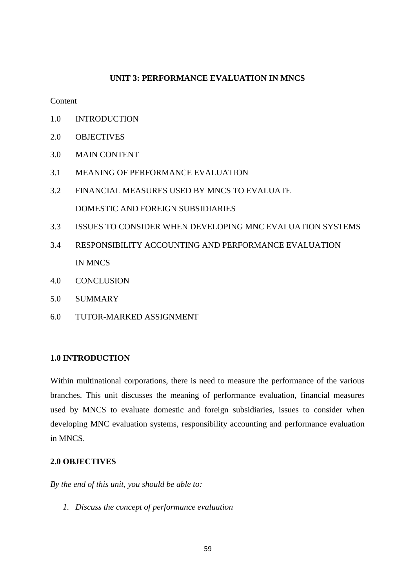#### **UNIT 3: PERFORMANCE EVALUATION IN MNCS**

#### Content

- 1.0 INTRODUCTION
- 2.0 OBJECTIVES
- 3.0 MAIN CONTENT
- 3.1 MEANING OF PERFORMANCE EVALUATION
- 3.2 FINANCIAL MEASURES USED BY MNCS TO EVALUATE DOMESTIC AND FOREIGN SUBSIDIARIES
- 3.3 ISSUES TO CONSIDER WHEN DEVELOPING MNC EVALUATION SYSTEMS
- 3.4 RESPONSIBILITY ACCOUNTING AND PERFORMANCE EVALUATION IN MNCS
- 4.0 CONCLUSION
- 5.0 SUMMARY
- 6.0 TUTOR-MARKED ASSIGNMENT

## **1.0 INTRODUCTION**

Within multinational corporations, there is need to measure the performance of the various branches. This unit discusses the meaning of performance evaluation, financial measures used by MNCS to evaluate domestic and foreign subsidiaries, issues to consider when developing MNC evaluation systems, responsibility accounting and performance evaluation in MNCS.

#### **2.0 OBJECTIVES**

*By the end of this unit, you should be able to:*

*1. Discuss the concept of performance evaluation*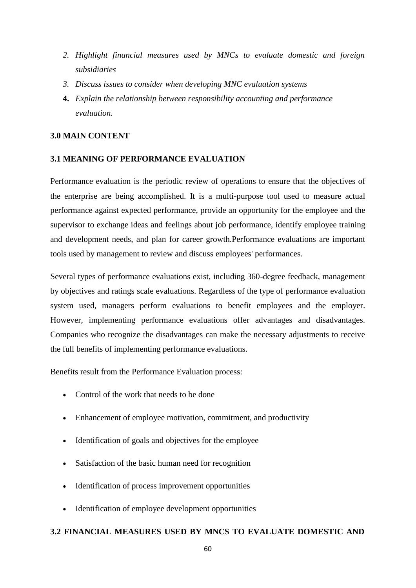- *2. Highlight financial measures used by MNCs to evaluate domestic and foreign subsidiaries*
- *3. Discuss issues to consider when developing MNC evaluation systems*
- **4.** *Explain the relationship between responsibility accounting and performance evaluation.*

#### **3.0 MAIN CONTENT**

#### **3.1 MEANING OF PERFORMANCE EVALUATION**

Performance evaluation is the periodic review of operations to ensure that the objectives of the enterprise are being accomplished. It is a multi-purpose tool used to measure actual performance against expected performance, provide an opportunity for the employee and the supervisor to exchange ideas and feelings about job performance, identify employee training and development needs, and plan for career growth.Performance evaluations are important tools used by management to review and discuss employees' performances.

Several types of performance evaluations exist, including 360-degree feedback, management by objectives and ratings scale evaluations. Regardless of the type of performance evaluation system used, managers perform evaluations to benefit employees and the employer. However, implementing performance evaluations offer advantages and disadvantages. Companies who recognize the disadvantages can make the necessary adjustments to receive the full benefits of implementing performance evaluations.

Benefits result from the Performance Evaluation process:

- Control of the work that needs to be done
- Enhancement of employee motivation, commitment, and productivity
- Identification of goals and objectives for the employee
- Satisfaction of the basic human need for recognition
- Identification of process improvement opportunities
- Identification of employee development opportunities

#### **3.2 FINANCIAL MEASURES USED BY MNCS TO EVALUATE DOMESTIC AND**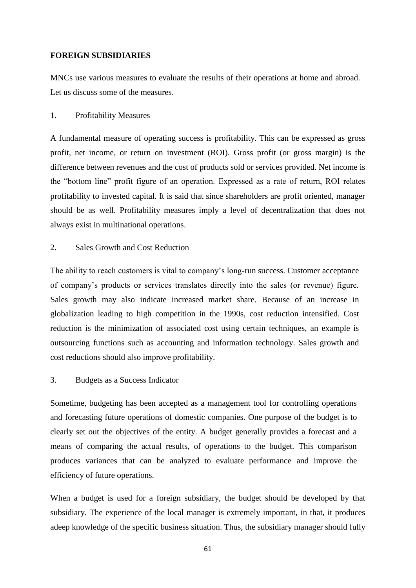## **FOREIGN SUBSIDIARIES**

MNCs use various measures to evaluate the results of their operations at home and abroad. Let us discuss some of the measures.

#### 1. Profitability Measures

A fundamental measure of operating success is profitability. This can be expressed as gross profit, net income, or return on investment (ROI). Gross profit (or gross margin) is the difference between revenues and the cost of products sold or services provided. Net income is the "bottom line" profit figure of an operation. Expressed as a rate of return, ROI relates profitability to invested capital. It is said that since shareholders are profit oriented, manager should be as well. Profitability measures imply a level of decentralization that does not always exist in multinational operations.

#### 2. Sales Growth and Cost Reduction

The ability to reach customers is vital to company's long-run success. Customer acceptance of company's products or services translates directly into the sales (or revenue) figure. Sales growth may also indicate increased market share. Because of an increase in globalization leading to high competition in the 1990s, cost reduction intensified. Cost reduction is the minimization of associated cost using certain techniques, an example is outsourcing functions such as accounting and information technology. Sales growth and cost reductions should also improve profitability.

# 3. Budgets as a Success Indicator

Sometime, budgeting has been accepted as a management tool for controlling operations and forecasting future operations of domestic companies. One purpose of the budget is to clearly set out the objectives of the entity. A budget generally provides a forecast and a means of comparing the actual results, of operations to the budget. This comparison produces variances that can be analyzed to evaluate performance and improve the efficiency of future operations.

When a budget is used for a foreign subsidiary, the budget should be developed by that subsidiary. The experience of the local manager is extremely important, in that, it produces adeep knowledge of the specific business situation. Thus, the subsidiary manager should fully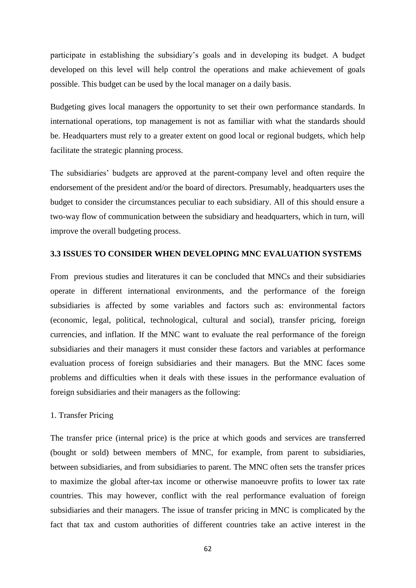participate in establishing the subsidiary's goals and in developing its budget. A budget developed on this level will help control the operations and make achievement of goals possible. This budget can be used by the local manager on a daily basis.

Budgeting gives local managers the opportunity to set their own performance standards. In international operations, top management is not as familiar with what the standards should be. Headquarters must rely to a greater extent on good local or regional budgets, which help facilitate the strategic planning process.

The subsidiaries' budgets are approved at the parent-company level and often require the endorsement of the president and/or the board of directors. Presumably, headquarters uses the budget to consider the circumstances peculiar to each subsidiary. All of this should ensure a two-way flow of communication between the subsidiary and headquarters, which in turn, will improve the overall budgeting process.

#### **3.3 ISSUES TO CONSIDER WHEN DEVELOPING MNC EVALUATION SYSTEMS**

From previous studies and literatures it can be concluded that MNCs and their subsidiaries operate in different international environments, and the performance of the foreign subsidiaries is affected by some variables and factors such as: environmental factors (economic, legal, political, technological, cultural and social), transfer pricing, foreign currencies, and inflation. If the MNC want to evaluate the real performance of the foreign subsidiaries and their managers it must consider these factors and variables at performance evaluation process of foreign subsidiaries and their managers. But the MNC faces some problems and difficulties when it deals with these issues in the performance evaluation of foreign subsidiaries and their managers as the following:

#### 1. Transfer Pricing

The transfer price (internal price) is the price at which goods and services are transferred (bought or sold) between members of MNC, for example, from parent to subsidiaries, between subsidiaries, and from subsidiaries to parent. The MNC often sets the transfer prices to maximize the global after-tax income or otherwise manoeuvre profits to lower tax rate countries. This may however, conflict with the real performance evaluation of foreign subsidiaries and their managers. The issue of transfer pricing in MNC is complicated by the fact that tax and custom authorities of different countries take an active interest in the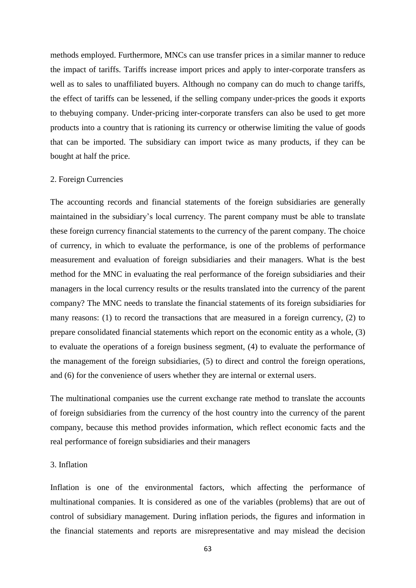methods employed. Furthermore, MNCs can use transfer prices in a similar manner to reduce the impact of tariffs. Tariffs increase import prices and apply to inter-corporate transfers as well as to sales to unaffiliated buyers. Although no company can do much to change tariffs, the effect of tariffs can be lessened, if the selling company under-prices the goods it exports to thebuying company. Under-pricing inter-corporate transfers can also be used to get more products into a country that is rationing its currency or otherwise limiting the value of goods that can be imported. The subsidiary can import twice as many products, if they can be bought at half the price.

#### 2. Foreign Currencies

The accounting records and financial statements of the foreign subsidiaries are generally maintained in the subsidiary's local currency. The parent company must be able to translate these foreign currency financial statements to the currency of the parent company. The choice of currency, in which to evaluate the performance, is one of the problems of performance measurement and evaluation of foreign subsidiaries and their managers. What is the best method for the MNC in evaluating the real performance of the foreign subsidiaries and their managers in the local currency results or the results translated into the currency of the parent company? The MNC needs to translate the financial statements of its foreign subsidiaries for many reasons: (1) to record the transactions that are measured in a foreign currency, (2) to prepare consolidated financial statements which report on the economic entity as a whole, (3) to evaluate the operations of a foreign business segment, (4) to evaluate the performance of the management of the foreign subsidiaries, (5) to direct and control the foreign operations, and (6) for the convenience of users whether they are internal or external users.

The multinational companies use the current exchange rate method to translate the accounts of foreign subsidiaries from the currency of the host country into the currency of the parent company, because this method provides information, which reflect economic facts and the real performance of foreign subsidiaries and their managers

#### 3. Inflation

Inflation is one of the environmental factors, which affecting the performance of multinational companies. It is considered as one of the variables (problems) that are out of control of subsidiary management. During inflation periods, the figures and information in the financial statements and reports are misrepresentative and may mislead the decision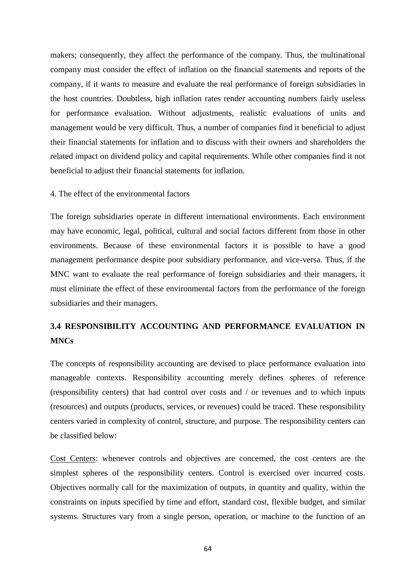makers; consequently, they affect the performance of the company. Thus, the multinational company must consider the effect of inflation on the financial statements and reports of the company, if it wants to measure and evaluate the real performance of foreign subsidiaries in the host countries. Doubtless, high inflation rates render accounting numbers fairly useless for performance evaluation. Without adjustments, realistic evaluations of units and management would be very difficult. Thus, a number of companies find it beneficial to adjust their financial statements for inflation and to discuss with their owners and shareholders the related impact on dividend policy and capital requirements. While other companies find it not beneficial to adjust their financial statements for inflation.

#### 4. The effect of the environmental factors

The foreign subsidiaries operate in different international environments. Each environment may have economic, legal, political, cultural and social factors different from those in other environments. Because of these environmental factors it is possible to have a good management performance despite poor subsidiary performance, and vice-versa. Thus, if the MNC want to evaluate the real performance of foreign subsidiaries and their managers, it must eliminate the effect of these environmental factors from the performance of the foreign subsidiaries and their managers.

# **3.4 RESPONSIBILITY ACCOUNTING AND PERFORMANCE EVALUATION IN MNCs**

The concepts of responsibility accounting are devised to place performance evaluation into manageable contexts. Responsibility accounting merely defines spheres of reference (responsibility centers) that had control over costs and / or revenues and to which inputs (resources) and outputs (products, services, or revenues) could be traced. These responsibility centers varied in complexity of control, structure, and purpose. The responsibility centers can be classified below:

Cost Centers: whenever controls and objectives are concerned, the cost centers are the simplest spheres of the responsibility centers. Control is exercised over incurred costs. Objectives normally call for the maximization of outputs, in quantity and quality, within the constraints on inputs specified by time and effort, standard cost, flexible budget, and similar systems. Structures vary from a single person, operation, or machine to the function of an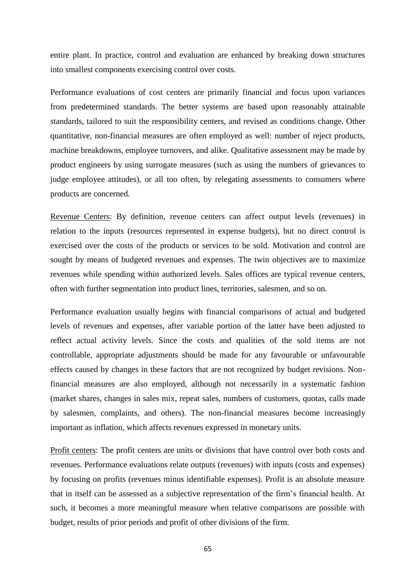entire plant. In practice, control and evaluation are enhanced by breaking down structures into smallest components exercising control over costs.

Performance evaluations of cost centers are primarily financial and focus upon variances from predetermined standards. The better systems are based upon reasonably attainable standards, tailored to suit the responsibility centers, and revised as conditions change. Other quantitative, non-financial measures are often employed as well: number of reject products, machine breakdowns, employee turnovers, and alike. Qualitative assessment may be made by product engineers by using surrogate measures (such as using the numbers of grievances to judge employee attitudes), or all too often, by relegating assessments to consumers where products are concerned.

Revenue Centers: By definition, revenue centers can affect output levels (revenues) in relation to the inputs (resources represented in expense budgets), but no direct control is exercised over the costs of the products or services to be sold. Motivation and control are sought by means of budgeted revenues and expenses. The twin objectives are to maximize revenues while spending within authorized levels. Sales offices are typical revenue centers, often with further segmentation into product lines, territories, salesmen, and so on.

Performance evaluation usually begins with financial comparisons of actual and budgeted levels of revenues and expenses, after variable portion of the latter have been adjusted to reflect actual activity levels. Since the costs and qualities of the sold items are not controllable, appropriate adjustments should be made for any favourable or unfavourable effects caused by changes in these factors that are not recognized by budget revisions. Nonfinancial measures are also employed, although not necessarily in a systematic fashion (market shares, changes in sales mix, repeat sales, numbers of customers, quotas, calls made by salesmen, complaints, and others). The non-financial measures become increasingly important as inflation, which affects revenues expressed in monetary units.

Profit centers: The profit centers are units or divisions that have control over both costs and revenues. Performance evaluations relate outputs (revenues) with inputs (costs and expenses) by focusing on profits (revenues minus identifiable expenses). Profit is an absolute measure that in itself can be assessed as a subjective representation of the firm's financial health. At such, it becomes a more meaningful measure when relative comparisons are possible with budget, results of prior periods and profit of other divisions of the firm.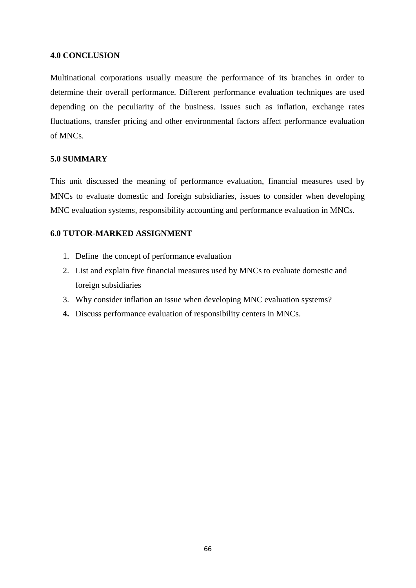#### **4.0 CONCLUSION**

Multinational corporations usually measure the performance of its branches in order to determine their overall performance. Different performance evaluation techniques are used depending on the peculiarity of the business. Issues such as inflation, exchange rates fluctuations, transfer pricing and other environmental factors affect performance evaluation of MNCs.

#### **5.0 SUMMARY**

This unit discussed the meaning of performance evaluation, financial measures used by MNCs to evaluate domestic and foreign subsidiaries, issues to consider when developing MNC evaluation systems, responsibility accounting and performance evaluation in MNCs.

## **6.0 TUTOR-MARKED ASSIGNMENT**

- 1. Define the concept of performance evaluation
- 2. List and explain five financial measures used by MNCs to evaluate domestic and foreign subsidiaries
- 3. Why consider inflation an issue when developing MNC evaluation systems?
- **4.** Discuss performance evaluation of responsibility centers in MNCs.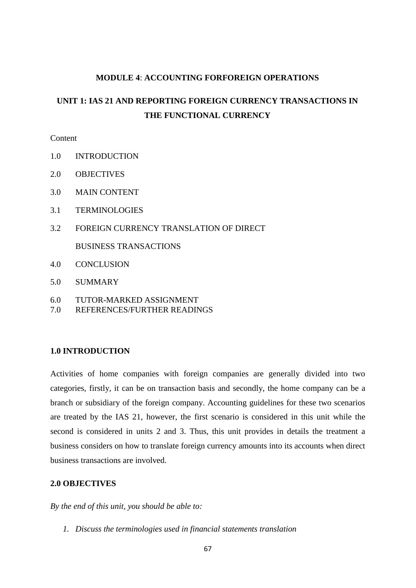#### **MODULE 4**: **ACCOUNTING FORFOREIGN OPERATIONS**

# **UNIT 1: IAS 21 AND REPORTING FOREIGN CURRENCY TRANSACTIONS IN THE FUNCTIONAL CURRENCY**

#### **Content**

- 1.0 INTRODUCTION
- 2.0 OBJECTIVES
- 3.0 MAIN CONTENT
- 3.1 TERMINOLOGIES
- 3.2 FOREIGN CURRENCY TRANSLATION OF DIRECT
	- BUSINESS TRANSACTIONS
- 4.0 CONCLUSION
- 5.0 SUMMARY
- 6.0 TUTOR-MARKED ASSIGNMENT
- 7.0 REFERENCES/FURTHER READINGS

#### **1.0 INTRODUCTION**

Activities of home companies with foreign companies are generally divided into two categories, firstly, it can be on transaction basis and secondly, the home company can be a branch or subsidiary of the foreign company. Accounting guidelines for these two scenarios are treated by the IAS 21, however, the first scenario is considered in this unit while the second is considered in units 2 and 3. Thus, this unit provides in details the treatment a business considers on how to translate foreign currency amounts into its accounts when direct business transactions are involved.

## **2.0 OBJECTIVES**

*By the end of this unit, you should be able to:*

*1. Discuss the terminologies used in financial statements translation*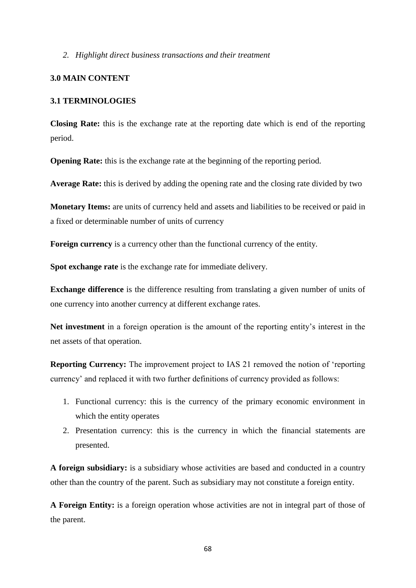#### *2. Highlight direct business transactions and their treatment*

#### **3.0 MAIN CONTENT**

#### **3.1 TERMINOLOGIES**

**Closing Rate:** this is the exchange rate at the reporting date which is end of the reporting period.

**Opening Rate:** this is the exchange rate at the beginning of the reporting period.

**Average Rate:** this is derived by adding the opening rate and the closing rate divided by two

**Monetary Items:** are units of currency held and assets and liabilities to be received or paid in a fixed or determinable number of units of currency

**Foreign currency** is a currency other than the functional currency of the entity.

**Spot exchange rate** is the exchange rate for immediate delivery.

**Exchange difference** is the difference resulting from translating a given number of units of one currency into another currency at different exchange rates.

**Net investment** in a foreign operation is the amount of the reporting entity's interest in the net assets of that operation.

**Reporting Currency:** The improvement project to IAS 21 removed the notion of 'reporting currency' and replaced it with two further definitions of currency provided as follows:

- 1. Functional currency: this is the currency of the primary economic environment in which the entity operates
- 2. Presentation currency: this is the currency in which the financial statements are presented.

**A foreign subsidiary:** is a subsidiary whose activities are based and conducted in a country other than the country of the parent. Such as subsidiary may not constitute a foreign entity.

**A Foreign Entity:** is a foreign operation whose activities are not in integral part of those of the parent.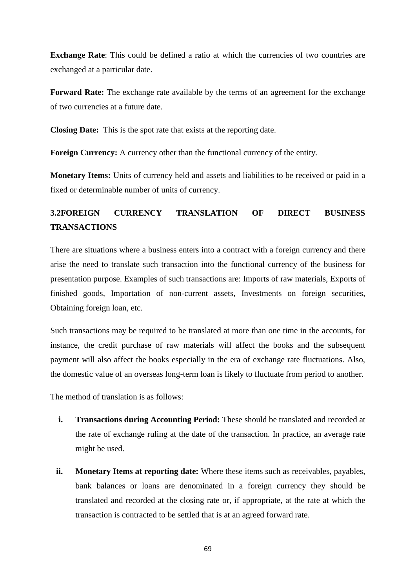**Exchange Rate:** This could be defined a ratio at which the currencies of two countries are exchanged at a particular date.

**Forward Rate:** The exchange rate available by the terms of an agreement for the exchange of two currencies at a future date.

**Closing Date:** This is the spot rate that exists at the reporting date.

**Foreign Currency:** A currency other than the functional currency of the entity.

**Monetary Items:** Units of currency held and assets and liabilities to be received or paid in a fixed or determinable number of units of currency.

# **3.2FOREIGN CURRENCY TRANSLATION OF DIRECT BUSINESS TRANSACTIONS**

There are situations where a business enters into a contract with a foreign currency and there arise the need to translate such transaction into the functional currency of the business for presentation purpose. Examples of such transactions are: Imports of raw materials, Exports of finished goods, Importation of non-current assets, Investments on foreign securities, Obtaining foreign loan, etc.

Such transactions may be required to be translated at more than one time in the accounts, for instance, the credit purchase of raw materials will affect the books and the subsequent payment will also affect the books especially in the era of exchange rate fluctuations. Also, the domestic value of an overseas long-term loan is likely to fluctuate from period to another.

The method of translation is as follows:

- **i. Transactions during Accounting Period:** These should be translated and recorded at the rate of exchange ruling at the date of the transaction. In practice, an average rate might be used.
- **ii. Monetary Items at reporting date:** Where these items such as receivables, payables, bank balances or loans are denominated in a foreign currency they should be translated and recorded at the closing rate or, if appropriate, at the rate at which the transaction is contracted to be settled that is at an agreed forward rate.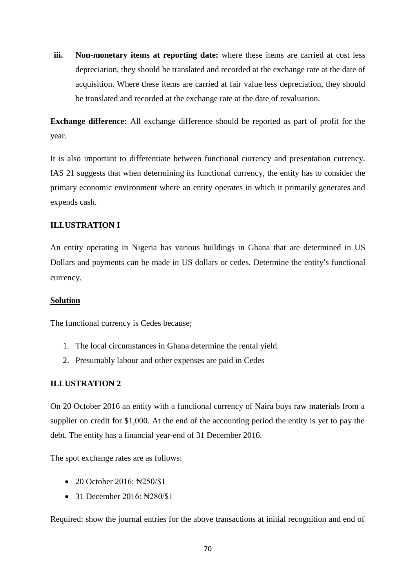**iii.** Non-monetary items at reporting date: where these items are carried at cost less depreciation, they should be translated and recorded at the exchange rate at the date of acquisition. Where these items are carried at fair value less depreciation, they should be translated and recorded at the exchange rate at the date of revaluation.

**Exchange difference:** All exchange difference should be reported as part of profit for the year.

It is also important to differentiate between functional currency and presentation currency. IAS 21 suggests that when determining its functional currency, the entity has to consider the primary economic environment where an entity operates in which it primarily generates and expends cash.

# **ILLUSTRATION I**

An entity operating in Nigeria has various buildings in Ghana that are determined in US Dollars and payments can be made in US dollars or cedes. Determine the entity's functional currency.

## **Solution**

The functional currency is Cedes because;

- 1. The local circumstances in Ghana determine the rental yield.
- 2. Presumably labour and other expenses are paid in Cedes

# **ILLUSTRATION 2**

On 20 October 2016 an entity with a functional currency of Naira buys raw materials from a supplier on credit for \$1,000. At the end of the accounting period the entity is yet to pay the debt. The entity has a financial year-end of 31 December 2016.

The spot exchange rates are as follows:

- 20 October 2016: New 250/\$1
- $\bullet$  31 December 2016:  $\angle 2016$

Required: show the journal entries for the above transactions at initial recognition and end of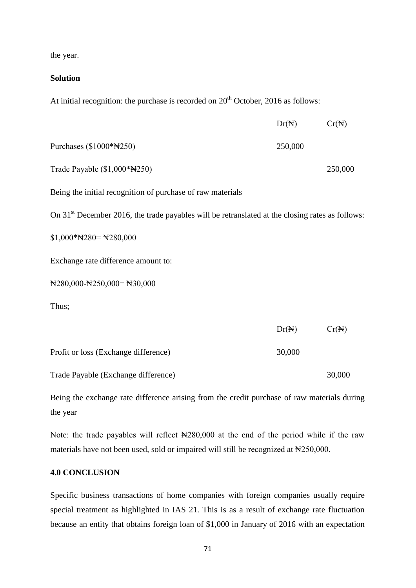the year.

#### **Solution**

At initial recognition: the purchase is recorded on  $20<sup>th</sup>$  October, 2016 as follows:

|                                                                                                             | $Dr(\mathbb{N})$ | $Cr(\mathbb{N})$ |
|-------------------------------------------------------------------------------------------------------------|------------------|------------------|
| Purchases (\$1000*N250)                                                                                     | 250,000          |                  |
| Trade Payable (\$1,000*N250)                                                                                |                  | 250,000          |
| Being the initial recognition of purchase of raw materials                                                  |                  |                  |
| On 31 <sup>st</sup> December 2016, the trade payables will be retranslated at the closing rates as follows: |                  |                  |
| $$1,000*$ N $280=$ N $280,000$                                                                              |                  |                  |
| Exchange rate difference amount to:                                                                         |                  |                  |
| $\text{N}280,000 - \text{N}250,000 = \text{N}30,000$                                                        |                  |                  |
| Thus;                                                                                                       |                  |                  |
|                                                                                                             | $Dr(\mathbb{N})$ | $Cr(\mathbb{N})$ |
| Profit or loss (Exchange difference)                                                                        | 30,000           |                  |
| Trade Payable (Exchange difference)                                                                         |                  | 30,000           |

Being the exchange rate difference arising from the credit purchase of raw materials during the year

Note: the trade payables will reflect  $\mathbb{N}280,000$  at the end of the period while if the raw materials have not been used, sold or impaired will still be recognized at  $\text{H250,000}$ .

## **4.0 CONCLUSION**

Specific business transactions of home companies with foreign companies usually require special treatment as highlighted in IAS 21. This is as a result of exchange rate fluctuation because an entity that obtains foreign loan of \$1,000 in January of 2016 with an expectation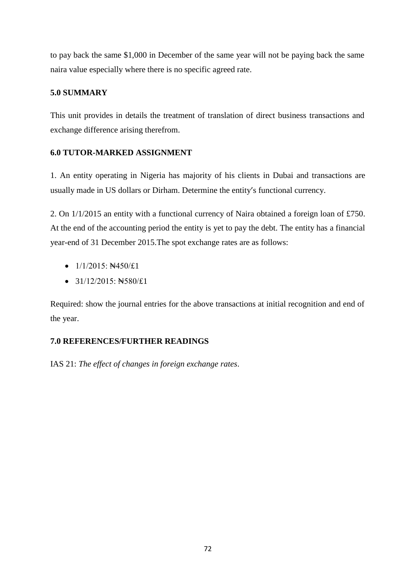to pay back the same \$1,000 in December of the same year will not be paying back the same naira value especially where there is no specific agreed rate.

# **5.0 SUMMARY**

This unit provides in details the treatment of translation of direct business transactions and exchange difference arising therefrom.

# **6.0 TUTOR-MARKED ASSIGNMENT**

1. An entity operating in Nigeria has majority of his clients in Dubai and transactions are usually made in US dollars or Dirham. Determine the entity's functional currency.

2. On 1/1/2015 an entity with a functional currency of Naira obtained a foreign loan of £750. At the end of the accounting period the entity is yet to pay the debt. The entity has a financial year-end of 31 December 2015.The spot exchange rates are as follows:

- $\bullet$  1/1/2015:  $\text{N4}450/\text{L1}$
- $\bullet$  31/12/2015:  $\angle$  580/£1

Required: show the journal entries for the above transactions at initial recognition and end of the year.

# **7.0 REFERENCES/FURTHER READINGS**

IAS 21: *The effect of changes in foreign exchange rates*.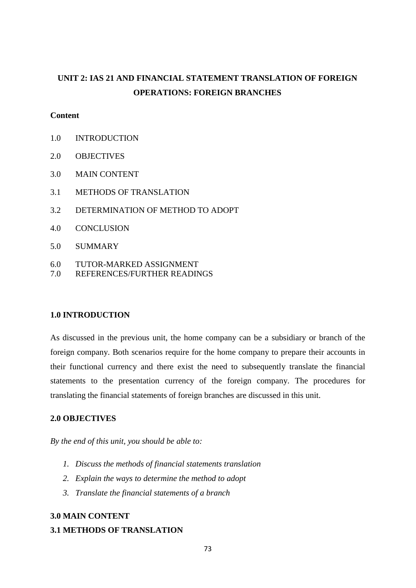# **UNIT 2: IAS 21 AND FINANCIAL STATEMENT TRANSLATION OF FOREIGN OPERATIONS: FOREIGN BRANCHES**

### **Content**

- 1.0 INTRODUCTION
- 2.0 OBJECTIVES
- 3.0 MAIN CONTENT
- 3.1 METHODS OF TRANSLATION
- 3.2 DETERMINATION OF METHOD TO ADOPT
- 4.0 CONCLUSION
- 5.0 SUMMARY
- 6.0 TUTOR-MARKED ASSIGNMENT
- 7.0 REFERENCES/FURTHER READINGS

#### **1.0 INTRODUCTION**

As discussed in the previous unit, the home company can be a subsidiary or branch of the foreign company. Both scenarios require for the home company to prepare their accounts in their functional currency and there exist the need to subsequently translate the financial statements to the presentation currency of the foreign company. The procedures for translating the financial statements of foreign branches are discussed in this unit.

# **2.0 OBJECTIVES**

*By the end of this unit, you should be able to:*

- *1. Discuss the methods of financial statements translation*
- *2. Explain the ways to determine the method to adopt*
- *3. Translate the financial statements of a branch*

## **3.0 MAIN CONTENT**

#### **3.1 METHODS OF TRANSLATION**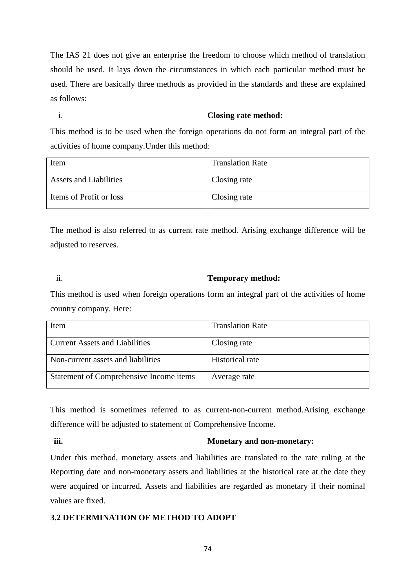The IAS 21 does not give an enterprise the freedom to choose which method of translation should be used. It lays down the circumstances in which each particular method must be used. There are basically three methods as provided in the standards and these are explained as follows:

### i. **Closing rate method:**

This method is to be used when the foreign operations do not form an integral part of the activities of home company.Under this method:

| Item                          | <b>Translation Rate</b> |
|-------------------------------|-------------------------|
| <b>Assets and Liabilities</b> | Closing rate            |
| Items of Profit or loss       | Closing rate            |

The method is also referred to as current rate method. Arising exchange difference will be adjusted to reserves.

# ii. **Temporary method:**

This method is used when foreign operations form an integral part of the activities of home country company. Here:

| Item                                    | <b>Translation Rate</b> |
|-----------------------------------------|-------------------------|
|                                         |                         |
| <b>Current Assets and Liabilities</b>   | Closing rate            |
|                                         |                         |
| Non-current assets and liabilities      | Historical rate         |
| Statement of Comprehensive Income items | Average rate            |

This method is sometimes referred to as current-non-current method.Arising exchange difference will be adjusted to statement of Comprehensive Income.

#### **iii. Monetary and non-monetary:**

Under this method, monetary assets and liabilities are translated to the rate ruling at the Reporting date and non-monetary assets and liabilities at the historical rate at the date they were acquired or incurred. Assets and liabilities are regarded as monetary if their nominal values are fixed.

# **3.2 DETERMINATION OF METHOD TO ADOPT**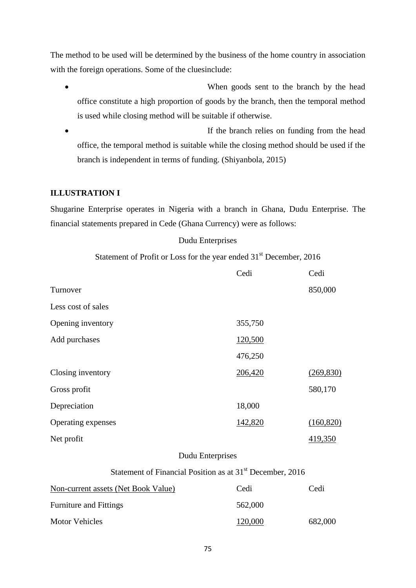The method to be used will be determined by the business of the home country in association with the foreign operations. Some of the cluesinclude:

- When goods sent to the branch by the head office constitute a high proportion of goods by the branch, then the temporal method is used while closing method will be suitable if otherwise.
- If the branch relies on funding from the head office, the temporal method is suitable while the closing method should be used if the branch is independent in terms of funding. (Shiyanbola, 2015)

# **ILLUSTRATION I**

Shugarine Enterprise operates in Nigeria with a branch in Ghana, Dudu Enterprise. The financial statements prepared in Cede (Ghana Currency) were as follows:

### Dudu Enterprises

Statement of Profit or Loss for the year ended 31<sup>st</sup> December, 2016

|                                                                       | Cedi    | Cedi       |
|-----------------------------------------------------------------------|---------|------------|
| Turnover                                                              |         | 850,000    |
| Less cost of sales                                                    |         |            |
| Opening inventory                                                     | 355,750 |            |
| Add purchases                                                         | 120,500 |            |
|                                                                       | 476,250 |            |
| Closing inventory                                                     | 206,420 | (269, 830) |
| Gross profit                                                          |         | 580,170    |
| Depreciation                                                          | 18,000  |            |
| Operating expenses                                                    | 142,820 | (160, 820) |
| Net profit                                                            |         | 419,350    |
| Dudu Enterprises                                                      |         |            |
| Statement of Financial Position as at 31 <sup>st</sup> December, 2016 |         |            |
| Non-current assets (Net Book Value)                                   | Cedi    | Cedi       |
| <b>Furniture and Fittings</b>                                         | 562,000 |            |
| <b>Motor Vehicles</b>                                                 | 120,000 | 682,000    |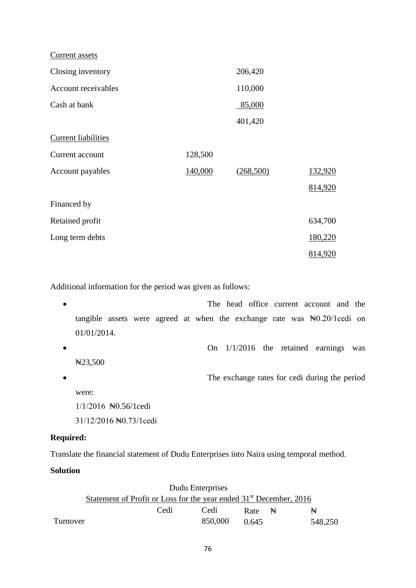| Current assets             |         |           |                |
|----------------------------|---------|-----------|----------------|
| Closing inventory          |         | 206,420   |                |
| Account receivables        |         | 110,000   |                |
| Cash at bank               |         | 85,000    |                |
|                            |         | 401,420   |                |
| <b>Current liabilities</b> |         |           |                |
| Current account            | 128,500 |           |                |
| Account payables           | 140,000 | (268,500) | <u>132,920</u> |
|                            |         |           | 814,920        |
| Financed by                |         |           |                |
| Retained profit            |         |           | 634,700        |
| Long term debts            |         |           | 180,220        |
|                            |         |           | 814,920        |

Additional information for the period was given as follows:

 The head office current account and the tangible assets were agreed at when the exchange rate was  $\mathbb{N}0.20/1$ cedi on 01/01/2014. On 1/1/2016 the retained earnings was ₦23,500 The exchange rates for cedi during the period were: 1/1/2016 ₦0.56/1cedi

31/12/2016 ₦0.73/1cedi

# **Required:**

Translate the financial statement of Dudu Enterprises into Naira using temporal method.

# **Solution**

| Dudu Enterprises                                                               |      |  |         |                   |  |         |
|--------------------------------------------------------------------------------|------|--|---------|-------------------|--|---------|
| Statement of Profit or Loss for the year ended 31 <sup>st</sup> December, 2016 |      |  |         |                   |  |         |
|                                                                                | Cedi |  | Cedi    | Rate $\mathbb{R}$ |  | ₩       |
| Turnover                                                                       |      |  | 850,000 | 0.645             |  | 548.250 |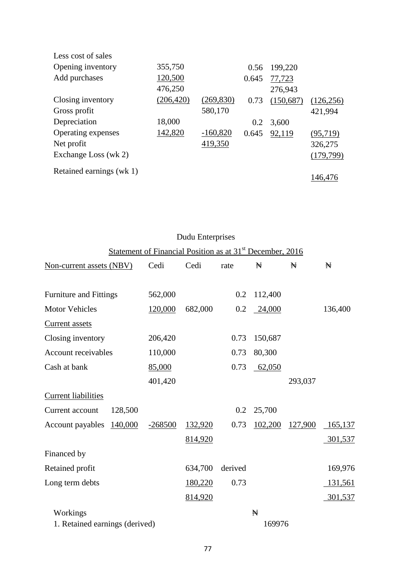| Less cost of sales       |            |            |       |           |            |
|--------------------------|------------|------------|-------|-----------|------------|
| Opening inventory        | 355,750    |            | 0.56  | 199,220   |            |
| Add purchases            | 120,500    |            | 0.645 | 77,723    |            |
|                          | 476,250    |            |       | 276,943   |            |
| Closing inventory        | (206, 420) | (269, 830) | 0.73  | (150,687) | (126, 256) |
| Gross profit             |            | 580,170    |       |           | 421,994    |
| Depreciation             | 18,000     |            | 0.2   | 3,600     |            |
| Operating expenses       | 142,820    | $-160,820$ | 0.645 | 92,119    | (95,719)   |
| Net profit               |            | 419,350    |       |           | 326,275    |
| Exchange Loss (wk 2)     |            |            |       |           | (179, 799) |
| Retained earnings (wk 1) |            |            |       |           |            |
|                          |            |            |       |           | 146,476    |
|                          |            |            |       |           |            |

| Dudu Enterprises               |                                                                       |         |         |         |         |         |
|--------------------------------|-----------------------------------------------------------------------|---------|---------|---------|---------|---------|
|                                | Statement of Financial Position as at 31 <sup>st</sup> December, 2016 |         |         |         |         |         |
| Non-current assets (NBV)       | Cedi                                                                  | Cedi    | rate    | Ħ       | Ħ       | ₩       |
|                                |                                                                       |         |         |         |         |         |
| Furniture and Fittings         | 562,000                                                               |         | 0.2     | 112,400 |         |         |
| <b>Motor Vehicles</b>          | 120,000                                                               | 682,000 | 0.2     | 24,000  |         | 136,400 |
| Current assets                 |                                                                       |         |         |         |         |         |
| Closing inventory              | 206,420                                                               |         | 0.73    | 150,687 |         |         |
| Account receivables            | 110,000                                                               |         | 0.73    | 80,300  |         |         |
| Cash at bank                   | 85,000                                                                |         | 0.73    | 62,050  |         |         |
|                                | 401,420                                                               |         |         |         | 293,037 |         |
| <b>Current liabilities</b>     |                                                                       |         |         |         |         |         |
| Current account<br>128,500     |                                                                       |         | 0.2     | 25,700  |         |         |
| 140,000<br>Account payables    | $-268500$                                                             | 132,920 | 0.73    | 102,200 | 127,900 | 165,137 |
|                                |                                                                       | 814,920 |         |         |         | 301,537 |
| Financed by                    |                                                                       |         |         |         |         |         |
| Retained profit                |                                                                       | 634,700 | derived |         |         | 169,976 |
| Long term debts                |                                                                       | 180,220 | 0.73    |         |         | 131,561 |
|                                |                                                                       | 814,920 |         |         |         | 301,537 |
| Workings                       |                                                                       |         |         | ₩       |         |         |
| 1. Retained earnings (derived) |                                                                       |         |         | 169976  |         |         |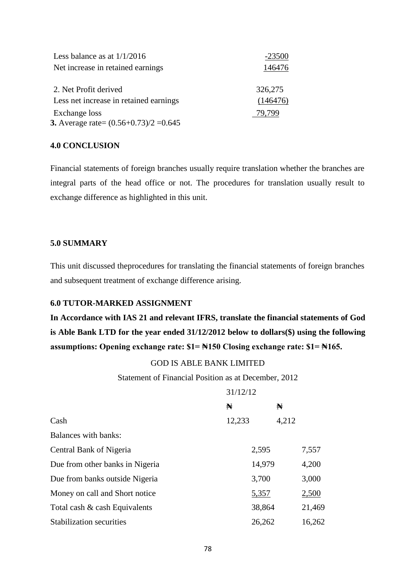| Less balance as at $1/1/2016$                             | $-23500$ |
|-----------------------------------------------------------|----------|
| Net increase in retained earnings                         | 146476   |
| 2. Net Profit derived                                     | 326,275  |
| Less net increase in retained earnings                    | (146476) |
| Exchange loss<br>3. Average rate= $(0.56+0.73)/2 = 0.645$ | 79.799   |

#### **4.0 CONCLUSION**

Financial statements of foreign branches usually require translation whether the branches are integral parts of the head office or not. The procedures for translation usually result to exchange difference as highlighted in this unit.

# **5.0 SUMMARY**

This unit discussed theprocedures for translating the financial statements of foreign branches and subsequent treatment of exchange difference arising.

# **6.0 TUTOR-MARKED ASSIGNMENT**

**In Accordance with IAS 21 and relevant IFRS, translate the financial statements of God is Able Bank LTD for the year ended 31/12/2012 below to dollars(\$) using the following assumptions: Opening exchange rate: \$1= ₦150 Closing exchange rate: \$1= ₦165.** 

# GOD IS ABLE BANK LIMITED

Statement of Financial Position as at December, 2012

 $31/12/12$ 

|                                 | 31/12/12 |        |       |        |
|---------------------------------|----------|--------|-------|--------|
|                                 | N        |        | N     |        |
| Cash                            | 12,233   |        | 4,212 |        |
| <b>Balances with banks:</b>     |          |        |       |        |
| Central Bank of Nigeria         |          | 2,595  |       | 7,557  |
| Due from other banks in Nigeria |          | 14,979 |       | 4,200  |
| Due from banks outside Nigeria  |          | 3,700  |       | 3,000  |
| Money on call and Short notice  |          | 5,357  |       | 2,500  |
| Total cash & cash Equivalents   |          | 38,864 |       | 21,469 |
| <b>Stabilization securities</b> |          | 26,262 |       | 16,262 |
|                                 |          |        |       |        |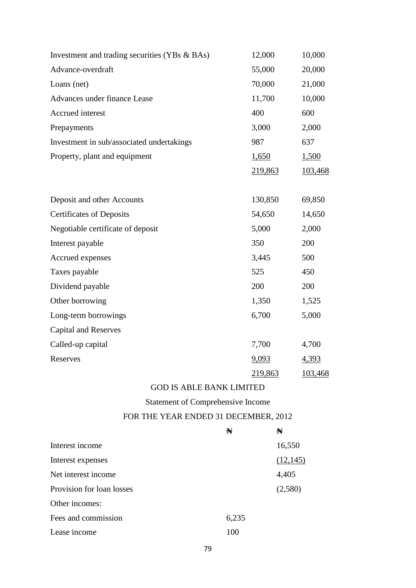| Investment and trading securities (YBs & BAs) | 12,000  | 10,000  |
|-----------------------------------------------|---------|---------|
| Advance-overdraft                             | 55,000  | 20,000  |
| Loans (net)                                   | 70,000  | 21,000  |
| Advances under finance Lease                  | 11,700  | 10,000  |
| Accrued interest                              | 400     | 600     |
| Prepayments                                   | 3,000   | 2,000   |
| Investment in sub/associated undertakings     | 987     | 637     |
| Property, plant and equipment                 | 1,650   | 1,500   |
|                                               | 219,863 | 103,468 |
|                                               |         |         |
| Deposit and other Accounts                    | 130,850 | 69,850  |
| <b>Certificates of Deposits</b>               | 54,650  | 14,650  |
| Negotiable certificate of deposit             | 5,000   | 2,000   |
| Interest payable                              | 350     | 200     |
| Accrued expenses                              | 3,445   | 500     |
| Taxes payable                                 | 525     | 450     |
| Dividend payable                              | 200     | 200     |
| Other borrowing                               | 1,350   | 1,525   |
| Long-term borrowings                          | 6,700   | 5,000   |
| <b>Capital and Reserves</b>                   |         |         |
| Called-up capital                             | 7,700   | 4,700   |
| Reserves                                      | 9,093   | 4,393   |
|                                               | 219,863 | 103,468 |

# GOD IS ABLE BANK LIMITED

Statement of Comprehensive Income

# FOR THE YEAR ENDED 31 DECEMBER, 2012

|                           | N     | N         |
|---------------------------|-------|-----------|
| Interest income           |       | 16,550    |
| Interest expenses         |       | (12, 145) |
| Net interest income       |       | 4,405     |
| Provision for loan losses |       | (2,580)   |
| Other incomes:            |       |           |
| Fees and commission       | 6,235 |           |
| Lease income              | 100   |           |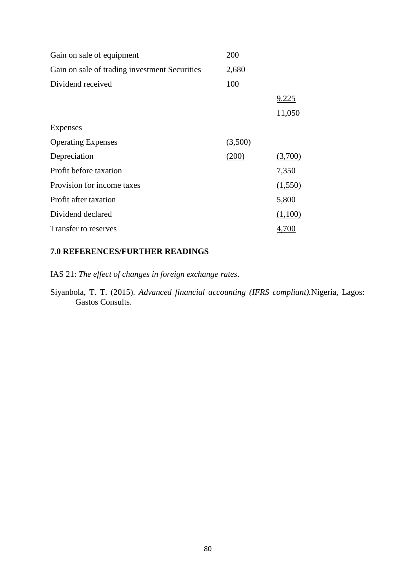| Gain on sale of equipment                     | 200        |         |
|-----------------------------------------------|------------|---------|
| Gain on sale of trading investment Securities | 2,680      |         |
| Dividend received                             | <b>100</b> |         |
|                                               |            | 9,225   |
|                                               |            | 11,050  |
| Expenses                                      |            |         |
| <b>Operating Expenses</b>                     | (3,500)    |         |
| Depreciation                                  | (200)      | (3,700) |
| Profit before taxation                        |            | 7,350   |
| Provision for income taxes                    |            | (1,550) |
| Profit after taxation                         |            | 5,800   |
| Dividend declared                             |            | (1,100) |
| Transfer to reserves                          |            | 4,700   |

# **7.0 REFERENCES/FURTHER READINGS**

IAS 21: *The effect of changes in foreign exchange rates*.

Siyanbola, T. T. (2015). *Advanced financial accounting (IFRS compliant).*Nigeria, Lagos: Gastos Consults.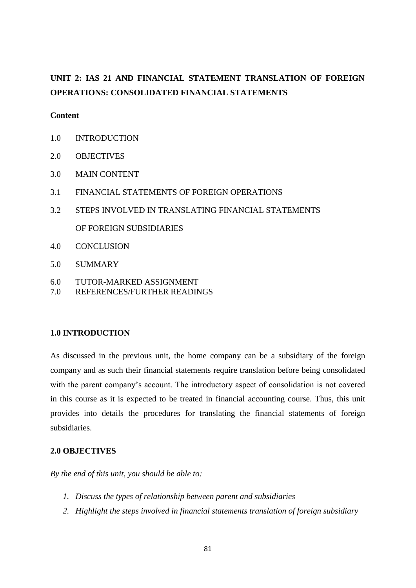# **UNIT 2: IAS 21 AND FINANCIAL STATEMENT TRANSLATION OF FOREIGN OPERATIONS: CONSOLIDATED FINANCIAL STATEMENTS**

# **Content**

- 1.0 INTRODUCTION
- 2.0 OBJECTIVES
- 3.0 MAIN CONTENT
- 3.1 FINANCIAL STATEMENTS OF FOREIGN OPERATIONS
- 3.2 STEPS INVOLVED IN TRANSLATING FINANCIAL STATEMENTS OF FOREIGN SUBSIDIARIES
- 4.0 CONCLUSION
- 5.0 SUMMARY
- 6.0 TUTOR-MARKED ASSIGNMENT
- 7.0 REFERENCES/FURTHER READINGS

# **1.0 INTRODUCTION**

As discussed in the previous unit, the home company can be a subsidiary of the foreign company and as such their financial statements require translation before being consolidated with the parent company's account. The introductory aspect of consolidation is not covered in this course as it is expected to be treated in financial accounting course. Thus, this unit provides into details the procedures for translating the financial statements of foreign subsidiaries.

## **2.0 OBJECTIVES**

*By the end of this unit, you should be able to:*

- *1. Discuss the types of relationship between parent and subsidiaries*
- *2. Highlight the steps involved in financial statements translation of foreign subsidiary*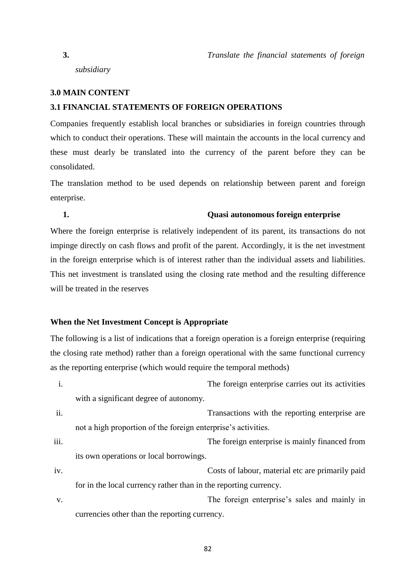*subsidiary* 

#### **3.0 MAIN CONTENT**

# **3.1 FINANCIAL STATEMENTS OF FOREIGN OPERATIONS**

Companies frequently establish local branches or subsidiaries in foreign countries through which to conduct their operations. These will maintain the accounts in the local currency and these must dearly be translated into the currency of the parent before they can be consolidated.

The translation method to be used depends on relationship between parent and foreign enterprise.

#### **1. Quasi autonomous foreign enterprise**

Where the foreign enterprise is relatively independent of its parent, its transactions do not impinge directly on cash flows and profit of the parent. Accordingly, it is the net investment in the foreign enterprise which is of interest rather than the individual assets and liabilities. This net investment is translated using the closing rate method and the resulting difference will be treated in the reserves

#### **When the Net Investment Concept is Appropriate**

The following is a list of indications that a foreign operation is a foreign enterprise (requiring the closing rate method) rather than a foreign operational with the same functional currency as the reporting enterprise (which would require the temporal methods)

- i. The foreign enterprise carries out its activities with a significant degree of autonomy.
- ii. Transactions with the reporting enterprise are not a high proportion of the foreign enterprise's activities.

iii. The foreign enterprise is mainly financed from its own operations or local borrowings.

- iv. Costs of labour, material etc are primarily paid for in the local currency rather than in the reporting currency.
- v. The foreign enterprise's sales and mainly in currencies other than the reporting currency.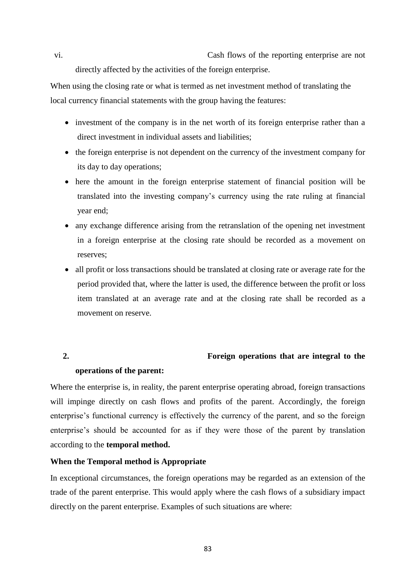vi. Cash flows of the reporting enterprise are not directly affected by the activities of the foreign enterprise.

When using the closing rate or what is termed as net investment method of translating the local currency financial statements with the group having the features:

- investment of the company is in the net worth of its foreign enterprise rather than a direct investment in individual assets and liabilities;
- the foreign enterprise is not dependent on the currency of the investment company for its day to day operations;
- here the amount in the foreign enterprise statement of financial position will be translated into the investing company's currency using the rate ruling at financial year end;
- any exchange difference arising from the retranslation of the opening net investment in a foreign enterprise at the closing rate should be recorded as a movement on reserves;
- all profit or loss transactions should be translated at closing rate or average rate for the period provided that, where the latter is used, the difference between the profit or loss item translated at an average rate and at the closing rate shall be recorded as a movement on reserve.

# **2. Foreign operations that are integral to the**

#### **operations of the parent:**

Where the enterprise is, in reality, the parent enterprise operating abroad, foreign transactions will impinge directly on cash flows and profits of the parent. Accordingly, the foreign enterprise's functional currency is effectively the currency of the parent, and so the foreign enterprise's should be accounted for as if they were those of the parent by translation according to the **temporal method.**

# **When the Temporal method is Appropriate**

In exceptional circumstances, the foreign operations may be regarded as an extension of the trade of the parent enterprise. This would apply where the cash flows of a subsidiary impact directly on the parent enterprise. Examples of such situations are where:

83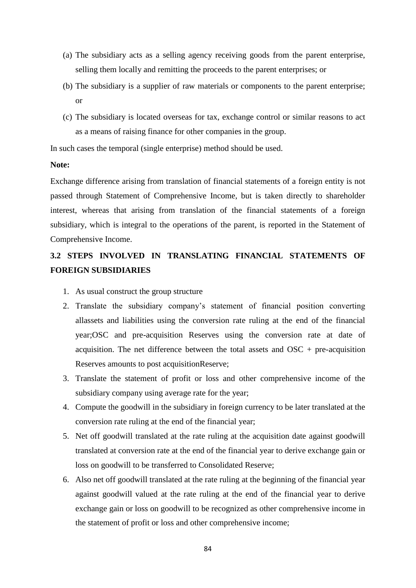- (a) The subsidiary acts as a selling agency receiving goods from the parent enterprise, selling them locally and remitting the proceeds to the parent enterprises; or
- (b) The subsidiary is a supplier of raw materials or components to the parent enterprise; or
- (c) The subsidiary is located overseas for tax, exchange control or similar reasons to act as a means of raising finance for other companies in the group.

In such cases the temporal (single enterprise) method should be used.

## **Note:**

Exchange difference arising from translation of financial statements of a foreign entity is not passed through Statement of Comprehensive Income, but is taken directly to shareholder interest, whereas that arising from translation of the financial statements of a foreign subsidiary, which is integral to the operations of the parent, is reported in the Statement of Comprehensive Income.

# **3.2 STEPS INVOLVED IN TRANSLATING FINANCIAL STATEMENTS OF FOREIGN SUBSIDIARIES**

- 1. As usual construct the group structure
- 2. Translate the subsidiary company's statement of financial position converting allassets and liabilities using the conversion rate ruling at the end of the financial year;OSC and pre-acquisition Reserves using the conversion rate at date of acquisition. The net difference between the total assets and  $OSC + pre-acquisition$ Reserves amounts to post acquisitionReserve;
- 3. Translate the statement of profit or loss and other comprehensive income of the subsidiary company using average rate for the year;
- 4. Compute the goodwill in the subsidiary in foreign currency to be later translated at the conversion rate ruling at the end of the financial year;
- 5. Net off goodwill translated at the rate ruling at the acquisition date against goodwill translated at conversion rate at the end of the financial year to derive exchange gain or loss on goodwill to be transferred to Consolidated Reserve;
- 6. Also net off goodwill translated at the rate ruling at the beginning of the financial year against goodwill valued at the rate ruling at the end of the financial year to derive exchange gain or loss on goodwill to be recognized as other comprehensive income in the statement of profit or loss and other comprehensive income;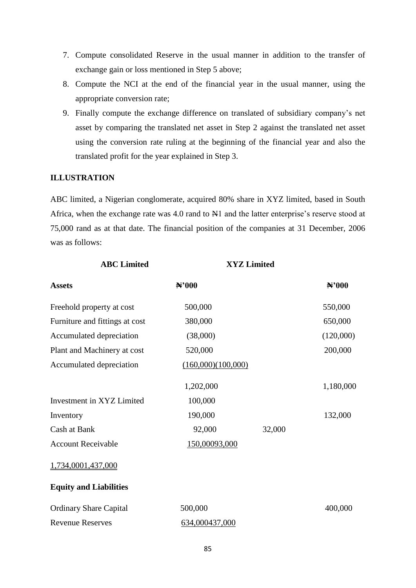- 7. Compute consolidated Reserve in the usual manner in addition to the transfer of exchange gain or loss mentioned in Step 5 above;
- 8. Compute the NCI at the end of the financial year in the usual manner, using the appropriate conversion rate;
- 9. Finally compute the exchange difference on translated of subsidiary company's net asset by comparing the translated net asset in Step 2 against the translated net asset using the conversion rate ruling at the beginning of the financial year and also the translated profit for the year explained in Step 3.

# **ILLUSTRATION**

ABC limited, a Nigerian conglomerate, acquired 80% share in XYZ limited, based in South Africa, when the exchange rate was 4.0 rand to N1 and the latter enterprise's reserve stood at 75,000 rand as at that date. The financial position of the companies at 31 December, 2006 was as follows:

| <b>ABC</b> Limited             |                    | <b>XYZ Limited</b> |           |
|--------------------------------|--------------------|--------------------|-----------|
| <b>Assets</b>                  | N'000              |                    | N'000     |
| Freehold property at cost      | 500,000            |                    | 550,000   |
| Furniture and fittings at cost | 380,000            |                    | 650,000   |
| Accumulated depreciation       | (38,000)           |                    | (120,000) |
| Plant and Machinery at cost    | 520,000            |                    | 200,000   |
| Accumulated depreciation       | (160,000)(100,000) |                    |           |
|                                | 1,202,000          |                    | 1,180,000 |
| Investment in XYZ Limited      | 100,000            |                    |           |
| Inventory                      | 190,000            |                    | 132,000   |
| Cash at Bank                   | 92,000             | 32,000             |           |
| <b>Account Receivable</b>      | 150,00093,000      |                    |           |
| 1,734,0001,437,000             |                    |                    |           |
| <b>Equity and Liabilities</b>  |                    |                    |           |
| <b>Ordinary Share Capital</b>  | 500,000            |                    | 400,000   |
| <b>Revenue Reserves</b>        | 634,000437,000     |                    |           |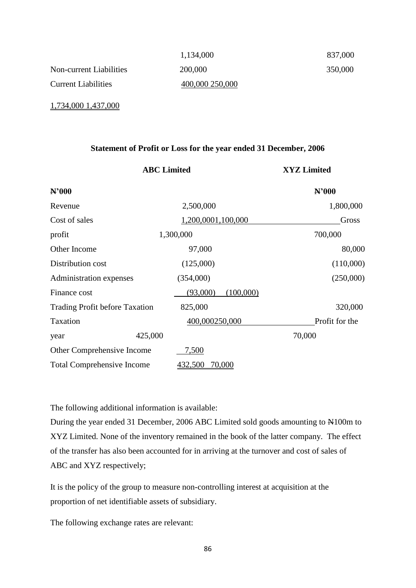|                            | 1,134,000       | 837,000 |
|----------------------------|-----------------|---------|
| Non-current Liabilities    | 200,000         | 350,000 |
| <b>Current Liabilities</b> | 400,000 250,000 |         |

1,734,000 1,437,000

#### **Statement of Profit or Loss for the year ended 31 December, 2006**

|                                       | <b>ABC</b> Limited    | <b>XYZ Limited</b> |
|---------------------------------------|-----------------------|--------------------|
| N'000                                 |                       | N'000              |
| Revenue                               | 2,500,000             | 1,800,000          |
| Cost of sales                         | 1,200,0001,100,000    | Gross              |
| profit                                | 1,300,000             | 700,000            |
| Other Income                          | 97,000                | 80,000             |
| Distribution cost                     | (125,000)             | (110,000)          |
| Administration expenses               | (354,000)             | (250,000)          |
| Finance cost                          | (100,000)<br>(93,000) |                    |
| <b>Trading Profit before Taxation</b> | 825,000               | 320,000            |
| Taxation                              | 400,000250,000        | Profit for the     |
| year                                  | 425,000               | 70,000             |
| Other Comprehensive Income            | 7,500                 |                    |
| <b>Total Comprehensive Income</b>     | 432,500<br>70,000     |                    |

The following additional information is available:

During the year ended 31 December, 2006 ABC Limited sold goods amounting to N100m to XYZ Limited. None of the inventory remained in the book of the latter company. The effect of the transfer has also been accounted for in arriving at the turnover and cost of sales of ABC and XYZ respectively;

It is the policy of the group to measure non-controlling interest at acquisition at the proportion of net identifiable assets of subsidiary.

The following exchange rates are relevant: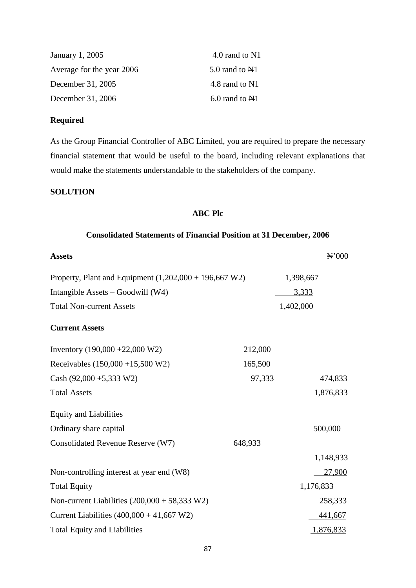| January 1, 2005           | 4.0 rand to $N1$   |
|---------------------------|--------------------|
| Average for the year 2006 | 5.0 rand to N1     |
| December 31, 2005         | 4.8 rand to N1     |
| December 31, 2006         | $6.0$ rand to $N1$ |

# **Required**

As the Group Financial Controller of ABC Limited, you are required to prepare the necessary financial statement that would be useful to the board, including relevant explanations that would make the statements understandable to the stakeholders of the company.

# **SOLUTION**

# **ABC Plc**

# **Consolidated Statements of Financial Position at 31 December, 2006**

| <b>Assets</b>                                            |         | $\mathbb{H}^2000$ |
|----------------------------------------------------------|---------|-------------------|
| Property, Plant and Equipment $(1,202,000 + 196,667 W2)$ |         | 1,398,667         |
| Intangible Assets - Goodwill (W4)                        |         | 3,333             |
| <b>Total Non-current Assets</b>                          |         | 1,402,000         |
| <b>Current Assets</b>                                    |         |                   |
| Inventory $(190,000 + 22,000 W2)$                        | 212,000 |                   |
| Receivables $(150,000 + 15,500 W2)$                      | 165,500 |                   |
| Cash $(92,000 + 5,333 \text{ W2})$                       | 97,333  | 474,833           |
| <b>Total Assets</b>                                      |         | 1,876,833         |
| <b>Equity and Liabilities</b>                            |         |                   |
| Ordinary share capital                                   |         | 500,000           |
| Consolidated Revenue Reserve (W7)                        | 648,933 |                   |
|                                                          |         | 1,148,933         |
| Non-controlling interest at year end (W8)                |         | 27,900            |
| <b>Total Equity</b>                                      |         | 1,176,833         |
| Non-current Liabilities $(200,000 + 58,333 \text{ W2})$  |         | 258,333           |
| Current Liabilities $(400,000 + 41,667 W2)$              |         | 441,667           |
| <b>Total Equity and Liabilities</b>                      |         | 1,876,833         |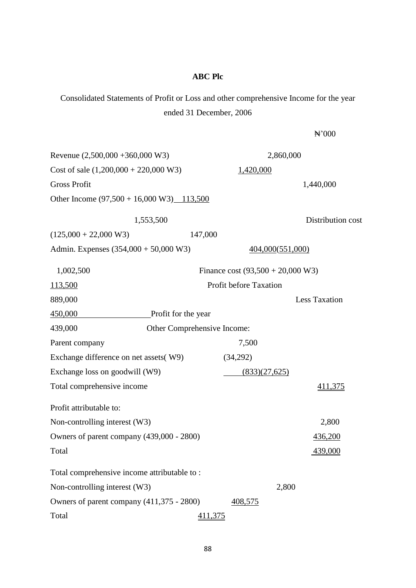#### **ABC Plc**

Consolidated Statements of Profit or Loss and other comprehensive Income for the year ended 31 December, 2006

₦'000 Revenue (2,500,000 +360,000 W3) 2,860,000 Cost of sale  $(1,200,000 + 220,000 \text{ W3})$  1,420,000 Gross Profit 2,440,000 Other Income (97,500 + 16,000 W3) 113,500 1,553,500 Distribution cost  $(125,000 + 22,000 \text{ W3})$  147,000 Admin. Expenses (354,000 + 50,000 W3) 404,000(551,000) 1,002,500 Finance cost (93,500 + 20,000 W3) 113,500 Profit before Taxation 889,000 Less Taxation 450,000 Profit for the year 439,000 Other Comprehensive Income: Parent company 7,500 Exchange difference on net assets( W9) (34,292) Exchange loss on goodwill  $(W9)$  (833) $(27,625)$ Total comprehensive income 411,375 Profit attributable to: Non-controlling interest (W3) 2,800 Owners of parent company (439,000 - 2800) 436,200 Total 439,000 Total comprehensive income attributable to : Non-controlling interest (W3) 2,800 Owners of parent company (411,375 - 2800) 408,575 Total 411,375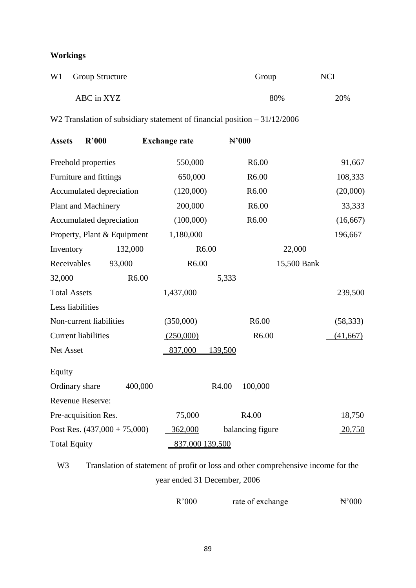# **Workings**

| W1 Group Structure | Group | NCI |
|--------------------|-------|-----|
| ABC in XYZ         | 80%   | 20% |

W<sub>2</sub> Translation of subsidiary statement of financial position – 31/12/2006

| <b>Assets</b>              | R'000                          |         | <b>Exchange rate</b> |           |                   | $H$ <sup>2</sup> 000 |             |           |
|----------------------------|--------------------------------|---------|----------------------|-----------|-------------------|----------------------|-------------|-----------|
|                            | Freehold properties            |         |                      | 550,000   |                   | R <sub>6.00</sub>    |             | 91,667    |
|                            | Furniture and fittings         |         |                      | 650,000   |                   | R6.00                |             | 108,333   |
|                            | Accumulated depreciation       |         |                      | (120,000) |                   | R6.00                |             | (20,000)  |
|                            | <b>Plant and Machinery</b>     |         |                      | 200,000   |                   | R6.00                |             | 33,333    |
|                            | Accumulated depreciation       |         |                      | (100,000) |                   | R6.00                |             | (16,667)  |
|                            | Property, Plant & Equipment    |         |                      | 1,180,000 |                   |                      |             | 196,667   |
| Inventory                  |                                | 132,000 |                      |           | R <sub>6.00</sub> |                      | 22,000      |           |
| Receivables                |                                | 93,000  |                      | R6.00     |                   |                      | 15,500 Bank |           |
| 32,000                     |                                | R6.00   |                      |           | 5,333             |                      |             |           |
| <b>Total Assets</b>        |                                |         | 1,437,000            |           |                   |                      |             | 239,500   |
| Less liabilities           |                                |         |                      |           |                   |                      |             |           |
|                            | Non-current liabilities        |         | (350,000)            |           |                   | R6.00                |             | (58, 333) |
| <b>Current liabilities</b> |                                |         | (250,000)            |           |                   | R6.00                |             | (41,667)  |
| Net Asset                  |                                |         | 837,000              |           | 139,500           |                      |             |           |
| Equity                     |                                |         |                      |           |                   |                      |             |           |
| Ordinary share             |                                | 400,000 |                      |           | R4.00             | 100,000              |             |           |
| <b>Revenue Reserve:</b>    |                                |         |                      |           |                   |                      |             |           |
|                            | Pre-acquisition Res.           |         |                      | 75,000    |                   | R4.00                |             | 18,750    |
|                            | Post Res. $(437,000 + 75,000)$ |         |                      | 362,000   |                   | balancing figure     |             | 20,750    |
| <b>Total Equity</b>        |                                |         |                      |           | 837,000 139,500   |                      |             |           |

W<sub>3</sub> Translation of statement of profit or loss and other comprehensive income for the year ended 31 December, 2006

R'000 rate of exchange  $\ddot{H}$ '000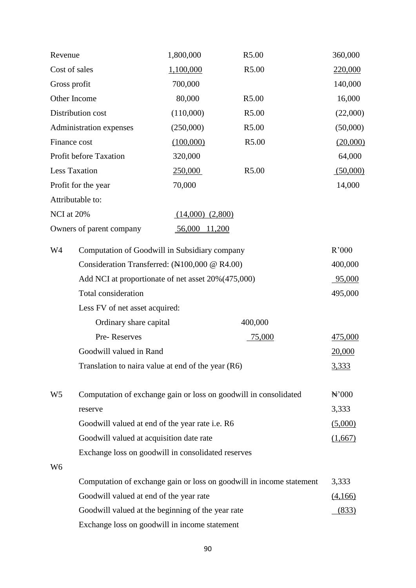| Revenue        |                                                                                                | 1,800,000                                     | R5.00                                                                | 360,000           |  |  |
|----------------|------------------------------------------------------------------------------------------------|-----------------------------------------------|----------------------------------------------------------------------|-------------------|--|--|
|                | Cost of sales<br>1,100,000<br>R5.00                                                            |                                               |                                                                      | 220,000           |  |  |
|                | 700,000<br>Gross profit                                                                        |                                               |                                                                      | 140,000           |  |  |
|                | Other Income<br>80,000<br>R5.00                                                                |                                               |                                                                      | 16,000            |  |  |
|                | Distribution cost                                                                              | (110,000)                                     | R5.00                                                                | (22,000)          |  |  |
|                | Administration expenses                                                                        | (250,000)                                     | R5.00                                                                | (50,000)          |  |  |
|                | Finance cost                                                                                   | (100,000)                                     | R5.00                                                                | (20,000)          |  |  |
|                | Profit before Taxation                                                                         | 320,000                                       |                                                                      | 64,000            |  |  |
|                | Less Taxation                                                                                  | 250,000                                       | R5.00                                                                | (50,000)          |  |  |
|                | Profit for the year                                                                            | 70,000                                        |                                                                      | 14,000            |  |  |
|                | Attributable to:                                                                               |                                               |                                                                      |                   |  |  |
| NCI at 20%     |                                                                                                | $(14,000)$ $(2,800)$                          |                                                                      |                   |  |  |
|                | Owners of parent company                                                                       | 56,000 11,200                                 |                                                                      |                   |  |  |
| W4             | Computation of Goodwill in Subsidiary company                                                  |                                               |                                                                      |                   |  |  |
|                |                                                                                                | Consideration Transferred: (N100,000 @ R4.00) |                                                                      |                   |  |  |
|                | Add NCI at proportionate of net asset 20% (475,000)                                            |                                               |                                                                      |                   |  |  |
|                | Total consideration                                                                            |                                               |                                                                      |                   |  |  |
|                | Less FV of net asset acquired:                                                                 |                                               |                                                                      |                   |  |  |
|                | Ordinary share capital                                                                         |                                               | 400,000                                                              |                   |  |  |
|                | Pre-Reserves                                                                                   |                                               | 75,000                                                               | 475,000           |  |  |
|                | Goodwill valued in Rand                                                                        |                                               |                                                                      | 20,000            |  |  |
|                | Translation to naira value at end of the year $(R6)$                                           |                                               |                                                                      | <u>3,333</u>      |  |  |
| W <sub>5</sub> |                                                                                                |                                               |                                                                      | $\mathbb{H}^2000$ |  |  |
|                |                                                                                                |                                               | Computation of exchange gain or loss on goodwill in consolidated     | 3,333             |  |  |
|                | reserve<br>Goodwill valued at end of the year rate i.e. R6                                     |                                               |                                                                      |                   |  |  |
|                |                                                                                                |                                               |                                                                      | (5,000)           |  |  |
|                | Goodwill valued at acquisition date rate<br>Exchange loss on goodwill in consolidated reserves |                                               |                                                                      | (1,667)           |  |  |
| W <sub>6</sub> |                                                                                                |                                               |                                                                      |                   |  |  |
|                |                                                                                                |                                               | Computation of exchange gain or loss on goodwill in income statement | 3,333             |  |  |
|                | Goodwill valued at end of the year rate                                                        |                                               |                                                                      |                   |  |  |
|                | Goodwill valued at the beginning of the year rate                                              |                                               |                                                                      | (4,166)<br>(833)  |  |  |
|                |                                                                                                |                                               |                                                                      |                   |  |  |
|                | Exchange loss on goodwill in income statement                                                  |                                               |                                                                      |                   |  |  |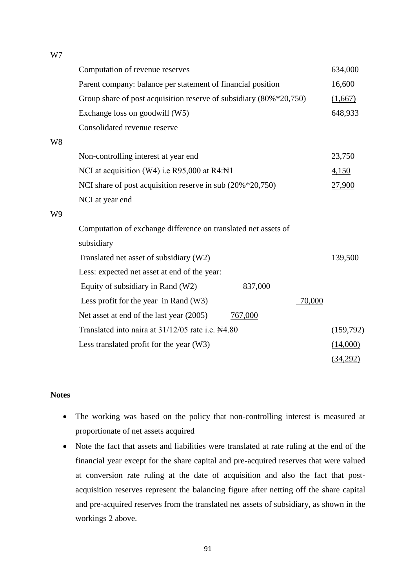W7

|    | Computation of revenue reserves                                         |         |        | 634,000   |
|----|-------------------------------------------------------------------------|---------|--------|-----------|
|    | Parent company: balance per statement of financial position             |         |        | 16,600    |
|    | Group share of post acquisition reserve of subsidiary $(80\% * 20,750)$ |         |        | (1,667)   |
|    | Exchange loss on goodwill (W5)                                          |         |        | 648,933   |
|    | Consolidated revenue reserve                                            |         |        |           |
| W8 |                                                                         |         |        |           |
|    | Non-controlling interest at year end                                    |         |        | 23,750    |
|    | NCI at acquisition (W4) i.e R95,000 at R4:N1                            |         |        | 4,150     |
|    | NCI share of post acquisition reserve in sub (20% *20,750)              |         |        | 27,900    |
|    | NCI at year end                                                         |         |        |           |
| W9 |                                                                         |         |        |           |
|    | Computation of exchange difference on translated net assets of          |         |        |           |
|    | subsidiary                                                              |         |        |           |
|    | Translated net asset of subsidiary (W2)                                 |         |        | 139,500   |
|    | Less: expected net asset at end of the year:                            |         |        |           |
|    | Equity of subsidiary in Rand (W2)                                       | 837,000 |        |           |
|    | Less profit for the year in Rand $(W3)$                                 |         | 70,000 |           |
|    | Net asset at end of the last year (2005)                                | 767,000 |        |           |
|    | Translated into naira at 31/12/05 rate i.e. N4.80                       |         |        | (159,792) |
|    | Less translated profit for the year (W3)                                |         |        | (14,000)  |
|    |                                                                         |         |        | (34,292)  |

# **Notes**

- The working was based on the policy that non-controlling interest is measured at proportionate of net assets acquired
- Note the fact that assets and liabilities were translated at rate ruling at the end of the financial year except for the share capital and pre-acquired reserves that were valued at conversion rate ruling at the date of acquisition and also the fact that postacquisition reserves represent the balancing figure after netting off the share capital and pre-acquired reserves from the translated net assets of subsidiary, as shown in the workings 2 above.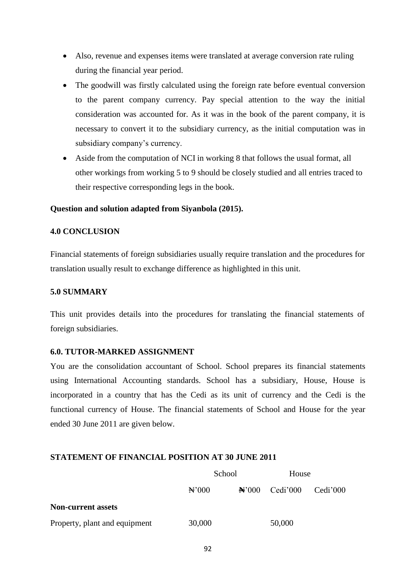- Also, revenue and expenses items were translated at average conversion rate ruling during the financial year period.
- The goodwill was firstly calculated using the foreign rate before eventual conversion to the parent company currency. Pay special attention to the way the initial consideration was accounted for. As it was in the book of the parent company, it is necessary to convert it to the subsidiary currency, as the initial computation was in subsidiary company's currency.
- Aside from the computation of NCI in working 8 that follows the usual format, all other workings from working 5 to 9 should be closely studied and all entries traced to their respective corresponding legs in the book.

### **Question and solution adapted from Siyanbola (2015).**

#### **4.0 CONCLUSION**

Financial statements of foreign subsidiaries usually require translation and the procedures for translation usually result to exchange difference as highlighted in this unit.

## **5.0 SUMMARY**

This unit provides details into the procedures for translating the financial statements of foreign subsidiaries.

#### **6.0. TUTOR-MARKED ASSIGNMENT**

You are the consolidation accountant of School. School prepares its financial statements using International Accounting standards. School has a subsidiary, House, House is incorporated in a country that has the Cedi as its unit of currency and the Cedi is the functional currency of House. The financial statements of School and House for the year ended 30 June 2011 are given below.

## **STATEMENT OF FINANCIAL POSITION AT 30 JUNE 2011**

|                               | School            |  | House            |          |
|-------------------------------|-------------------|--|------------------|----------|
|                               | $\mathbb{H}^2000$ |  | $N'000$ Cedi'000 | Cedi'000 |
| <b>Non-current assets</b>     |                   |  |                  |          |
| Property, plant and equipment | 30,000            |  | 50,000           |          |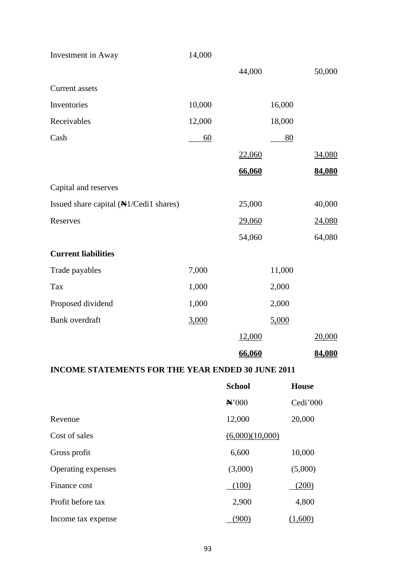| Investment in Away                     | 14,000 |        |        |        |
|----------------------------------------|--------|--------|--------|--------|
|                                        |        | 44,000 |        | 50,000 |
| <b>Current assets</b>                  |        |        |        |        |
| Inventories                            | 10,000 |        | 16,000 |        |
| Receivables                            | 12,000 |        | 18,000 |        |
| Cash                                   | 60     |        | 80     |        |
|                                        |        | 22,060 |        | 34,080 |
|                                        |        | 66,060 |        | 84,080 |
| Capital and reserves                   |        |        |        |        |
| Issued share capital (NH/Cedi1 shares) |        | 25,000 |        | 40,000 |
| Reserves                               |        | 29,060 |        | 24,080 |
|                                        |        | 54,060 |        | 64,080 |
| <b>Current liabilities</b>             |        |        |        |        |
| Trade payables                         | 7,000  |        | 11,000 |        |
| Tax                                    | 1,000  |        | 2,000  |        |
| Proposed dividend                      | 1,000  |        | 2,000  |        |
| <b>Bank</b> overdraft                  | 3,000  |        | 5,000  |        |
|                                        |        | 12,000 |        | 20,000 |
|                                        |        | 66,060 |        | 84,080 |

# **INCOME STATEMENTS FOR THE YEAR ENDED 30 JUNE 2011**

|                    | <b>School</b>     | <b>House</b> |
|--------------------|-------------------|--------------|
|                    | $\mathbf{N}^2000$ | Cedi'000     |
| Revenue            | 12,000            | 20,000       |
| Cost of sales      | (6,000)(10,000)   |              |
| Gross profit       | 6,600             | 10,000       |
| Operating expenses | (3,000)           | (5,000)      |
| Finance cost       | (100)             | (200)        |
| Profit before tax  | 2,900             | 4,800        |
| Income tax expense | (900)             | (1,600)      |